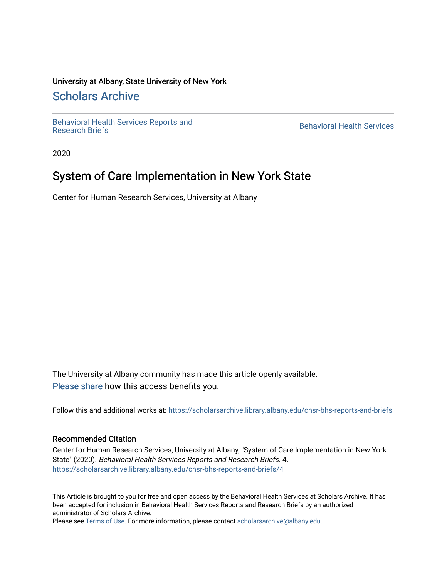#### University at Albany, State University of New York

#### [Scholars Archive](https://scholarsarchive.library.albany.edu/)

[Behavioral Health Services Reports and](https://scholarsarchive.library.albany.edu/chsr-bhs-reports-and-briefs) 

**Behavioral Health Services** 

2020

#### System of Care Implementation in New York State

Center for Human Research Services, University at Albany

The University at Albany community has made this article openly available. [Please share](https://albany.libwizard.com/f/open-access-feedback) how this access benefits you.

Follow this and additional works at: [https://scholarsarchive.library.albany.edu/chsr-bhs-reports-and-briefs](https://scholarsarchive.library.albany.edu/chsr-bhs-reports-and-briefs?utm_source=scholarsarchive.library.albany.edu%2Fchsr-bhs-reports-and-briefs%2F4&utm_medium=PDF&utm_campaign=PDFCoverPages) 

#### Recommended Citation

Center for Human Research Services, University at Albany, "System of Care Implementation in New York State" (2020). Behavioral Health Services Reports and Research Briefs. 4. [https://scholarsarchive.library.albany.edu/chsr-bhs-reports-and-briefs/4](https://scholarsarchive.library.albany.edu/chsr-bhs-reports-and-briefs/4?utm_source=scholarsarchive.library.albany.edu%2Fchsr-bhs-reports-and-briefs%2F4&utm_medium=PDF&utm_campaign=PDFCoverPages)

This Article is brought to you for free and open access by the Behavioral Health Services at Scholars Archive. It has been accepted for inclusion in Behavioral Health Services Reports and Research Briefs by an authorized administrator of Scholars Archive.

Please see [Terms of Use.](https://scholarsarchive.library.albany.edu/terms_of_use.html) For more information, please contact [scholarsarchive@albany.edu](mailto:scholarsarchive@albany.edu).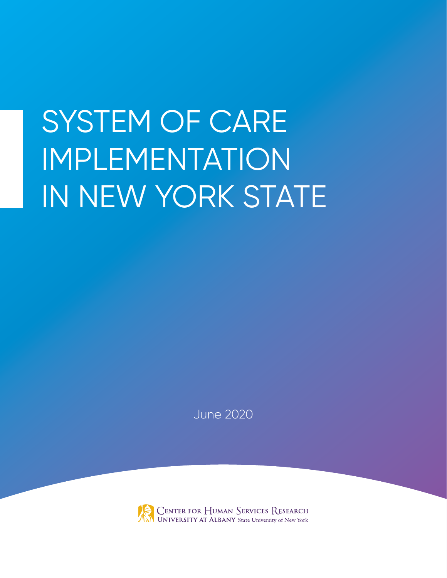## SYSTEM OF CARE IMPLEMENTATION IN NEW YORK STATE

June 2020

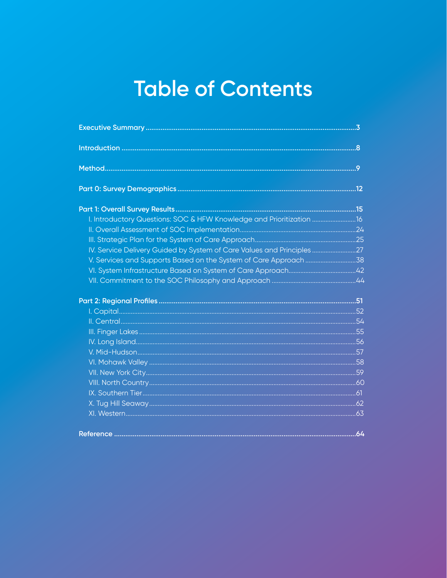## **Table of Contents**

| I. Introductory Questions: SOC & HFW Knowledge and Prioritization  16 |  |
|-----------------------------------------------------------------------|--|
|                                                                       |  |
|                                                                       |  |
| IV. Service Delivery Guided by System of Care Values and Principles   |  |
| V. Services and Supports Based on the System of Care Approach 38      |  |
|                                                                       |  |
|                                                                       |  |
|                                                                       |  |
|                                                                       |  |
|                                                                       |  |
|                                                                       |  |
|                                                                       |  |
|                                                                       |  |
|                                                                       |  |
|                                                                       |  |
|                                                                       |  |
|                                                                       |  |
|                                                                       |  |
|                                                                       |  |
|                                                                       |  |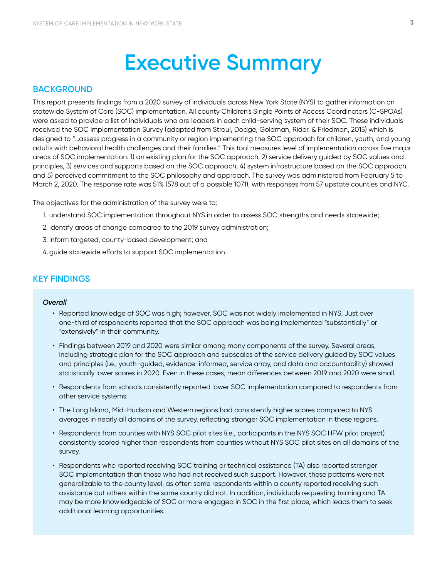### **Executive Summary**

#### **BACKGROUND**

This report presents findings from a 2020 survey of individuals across New York State (NYS) to gather information on statewide System of Care (SOC) implementation. All county Children's Single Points of Access Coordinators (C-SPOAs) were asked to provide a list of individuals who are leaders in each child-serving system of their SOC. These individuals received the SOC Implementation Survey (adapted from Stroul, Dodge, Goldman, Rider, & Friedman, 2015) which is designed to "…assess progress in a community or region implementing the SOC approach for children, youth, and young adults with behavioral health challenges and their families." This tool measures level of implementation across five major areas of SOC implementation: 1) an existing plan for the SOC approach, 2) service delivery guided by SOC values and principles, 3) services and supports based on the SOC approach, 4) system infrastructure based on the SOC approach, and 5) perceived commitment to the SOC philosophy and approach. The survey was administered from February 5 to March 2, 2020. The response rate was 51% (578 out of a possible 1071), with responses from 57 upstate counties and NYC.

The objectives for the administration of the survey were to:

- 1. understand SOC implementation throughout NYS in order to assess SOC strengths and needs statewide;
- 2. identify areas of change compared to the 2019 survey administration;
- 3. inform targeted, county-based development; and
- 4.guide statewide efforts to support SOC implementation.

#### **KEY FINDINGS**

#### *Overall*

- Reported knowledge of SOC was high; however, SOC was not widely implemented in NYS. Just over one-third of respondents reported that the SOC approach was being implemented "substantially" or "extensively" in their community.
- Findings between 2019 and 2020 were similar among many components of the survey. Several areas, including strategic plan for the SOC approach and subscales of the service delivery guided by SOC values and principles (i.e., youth-guided, evidence-informed, service array, and data and accountability) showed statistically lower scores in 2020. Even in these cases, mean differences between 2019 and 2020 were small.
- Respondents from schools consistently reported lower SOC implementation compared to respondents from other service systems.
- The Long Island, Mid-Hudson and Western regions had consistently higher scores compared to NYS averages in nearly all domains of the survey, reflecting stronger SOC implementation in these regions.
- Respondents from counties with NYS SOC pilot sites (i.e., participants in the NYS SOC HFW pilot project) consistently scored higher than respondents from counties without NYS SOC pilot sites on all domains of the survey.
- Respondents who reported receiving SOC training or technical assistance (TA) also reported stronger SOC implementation than those who had not received such support. However, these patterns were not generalizable to the county level, as often some respondents within a county reported receiving such assistance but others within the same county did not. In addition, individuals requesting training and TA may be more knowledgeable of SOC or more engaged in SOC in the first place, which leads them to seek additional learning opportunities.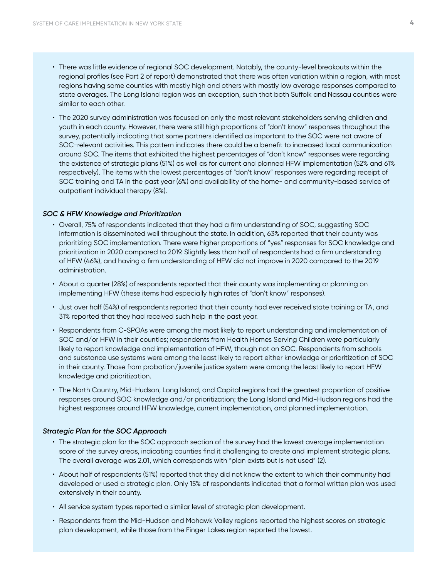- There was little evidence of regional SOC development. Notably, the county-level breakouts within the regional profiles (see Part 2 of report) demonstrated that there was often variation within a region, with most regions having some counties with mostly high and others with mostly low average responses compared to state averages. The Long Island region was an exception, such that both Suffolk and Nassau counties were similar to each other.
- The 2020 survey administration was focused on only the most relevant stakeholders serving children and youth in each county. However, there were still high proportions of "don't know" responses throughout the survey, potentially indicating that some partners identified as important to the SOC were not aware of SOC-relevant activities. This pattern indicates there could be a benefit to increased local communication around SOC. The items that exhibited the highest percentages of "don't know" responses were regarding the existence of strategic plans (51%) as well as for current and planned HFW implementation (52% and 61% respectively). The items with the lowest percentages of "don't know" responses were regarding receipt of SOC training and TA in the past year (6%) and availability of the home- and community-based service of outpatient individual therapy (8%).

#### *SOC & HFW Knowledge and Prioritization*

- Overall, 75% of respondents indicated that they had a firm understanding of SOC, suggesting SOC information is disseminated well throughout the state. In addition, 63% reported that their county was prioritizing SOC implementation. There were higher proportions of "yes" responses for SOC knowledge and prioritization in 2020 compared to 2019. Slightly less than half of respondents had a firm understanding of HFW (46%), and having a firm understanding of HFW did not improve in 2020 compared to the 2019 administration.
- About a quarter (28%) of respondents reported that their county was implementing or planning on implementing HFW (these items had especially high rates of "don't know" responses).
- Just over half (54%) of respondents reported that their county had ever received state training or TA, and 31% reported that they had received such help in the past year.
- Respondents from C-SPOAs were among the most likely to report understanding and implementation of SOC and/or HFW in their counties; respondents from Health Homes Serving Children were particularly likely to report knowledge and implementation of HFW, though not on SOC. Respondents from schools and substance use systems were among the least likely to report either knowledge or prioritization of SOC in their county. Those from probation/juvenile justice system were among the least likely to report HFW knowledge and prioritization.
- The North Country, Mid-Hudson, Long Island, and Capital regions had the greatest proportion of positive responses around SOC knowledge and/or prioritization; the Long Island and Mid-Hudson regions had the highest responses around HFW knowledge, current implementation, and planned implementation.

#### *Strategic Plan for the SOC Approach*

- The strategic plan for the SOC approach section of the survey had the lowest average implementation score of the survey areas, indicating counties find it challenging to create and implement strategic plans. The overall average was 2.01, which corresponds with "plan exists but is not used" (2).
- About half of respondents (51%) reported that they did not know the extent to which their community had developed or used a strategic plan. Only 15% of respondents indicated that a formal written plan was used extensively in their county.
- All service system types reported a similar level of strategic plan development.
- Respondents from the Mid-Hudson and Mohawk Valley regions reported the highest scores on strategic plan development, while those from the Finger Lakes region reported the lowest.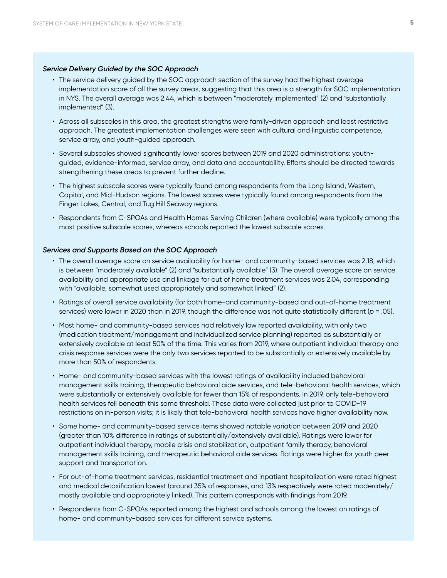#### *Service Delivery Guided by the SOC Approach*

- The service delivery guided by the SOC approach section of the survey had the highest average implementation score of all the survey areas, suggesting that this area is a strength for SOC implementation in NYS. The overall average was 2.44, which is between "moderately implemented" (2) and "substantially implemented" (3).
- Across all subscales in this area, the greatest strengths were family-driven approach and least restrictive approach. The greatest implementation challenges were seen with cultural and linguistic competence, service array, and youth-guided approach.
- Several subscales showed significantly lower scores between 2019 and 2020 administrations: youthguided, evidence-informed, service array, and data and accountability. Efforts should be directed towards strengthening these areas to prevent further decline.
- The highest subscale scores were typically found among respondents from the Long Island, Western, Capital, and Mid-Hudson regions. The lowest scores were typically found among respondents from the Finger Lakes, Central, and Tug Hill Seaway regions.
- Respondents from C-SPOAs and Health Homes Serving Children (where available) were typically among the most positive subscale scores, whereas schools reported the lowest subscale scores.

#### *Services and Supports Based on the SOC Approach*

- The overall average score on service availability for home- and community-based services was 2.18, which is between "moderately available" (2) and "substantially available" (3). The overall average score on service availability and appropriate use and linkage for out of home treatment services was 2.04, corresponding with "available, somewhat used appropriately and somewhat linked" (2).
- Ratings of overall service availability (for both home-and community-based and out-of-home treatment services) were lower in 2020 than in 2019, though the difference was not quite statistically different (*p* = .05).
- Most home- and community-based services had relatively low reported availability, with only two (medication treatment/management and individualized service planning) reported as substantially or extensively available at least 50% of the time. This varies from 2019, where outpatient individual therapy and crisis response services were the only two services reported to be substantially or extensively available by more than 50% of respondents.
- Home- and community-based services with the lowest ratings of availability included behavioral management skills training, therapeutic behavioral aide services, and tele-behavioral health services, which were substantially or extensively available for fewer than 15% of respondents. In 2019, only tele-behavioral health services fell beneath this same threshold. These data were collected just prior to COVID-19 restrictions on in-person visits; it is likely that tele-behavioral health services have higher availability now.
- Some home- and community-based service items showed notable variation between 2019 and 2020 (greater than 10% difference in ratings of substantially/extensively available). Ratings were lower for outpatient individual therapy, mobile crisis and stabilization, outpatient family therapy, behavioral management skills training, and therapeutic behavioral aide services. Ratings were higher for youth peer support and transportation.
- For out-of-home treatment services, residential treatment and inpatient hospitalization were rated highest and medical detoxification lowest (around 35% of responses, and 13% respectively were rated moderately/ mostly available and appropriately linked). This pattern corresponds with findings from 2019.
- Respondents from C-SPOAs reported among the highest and schools among the lowest on ratings of home- and community-based services for different service systems.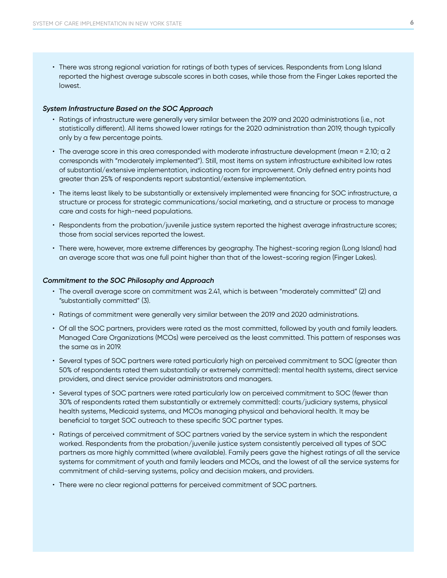• There was strong regional variation for ratings of both types of services. Respondents from Long Island reported the highest average subscale scores in both cases, while those from the Finger Lakes reported the lowest.

#### *System Infrastructure Based on the SOC Approach*

- Ratings of infrastructure were generally very similar between the 2019 and 2020 administrations (i.e., not statistically different). All items showed lower ratings for the 2020 administration than 2019, though typically only by a few percentage points.
- The average score in this area corresponded with moderate infrastructure development (mean = 2.10; a 2 corresponds with "moderately implemented"). Still, most items on system infrastructure exhibited low rates of substantial/extensive implementation, indicating room for improvement. Only defined entry points had greater than 25% of respondents report substantial/extensive implementation.
- The items least likely to be substantially or extensively implemented were financing for SOC infrastructure, a structure or process for strategic communications/social marketing, and a structure or process to manage care and costs for high-need populations.
- Respondents from the probation/juvenile justice system reported the highest average infrastructure scores; those from social services reported the lowest.
- There were, however, more extreme differences by geography. The highest-scoring region (Long Island) had an average score that was one full point higher than that of the lowest-scoring region (Finger Lakes).

#### *Commitment to the SOC Philosophy and Approach*

- The overall average score on commitment was 2.41, which is between "moderately committed" (2) and "substantially committed" (3).
- Ratings of commitment were generally very similar between the 2019 and 2020 administrations.
- Of all the SOC partners, providers were rated as the most committed, followed by youth and family leaders. Managed Care Organizations (MCOs) were perceived as the least committed. This pattern of responses was the same as in 2019.
- Several types of SOC partners were rated particularly high on perceived commitment to SOC (greater than 50% of respondents rated them substantially or extremely committed): mental health systems, direct service providers, and direct service provider administrators and managers.
- Several types of SOC partners were rated particularly low on perceived commitment to SOC (fewer than 30% of respondents rated them substantially or extremely committed): courts/judiciary systems, physical health systems, Medicaid systems, and MCOs managing physical and behavioral health. It may be beneficial to target SOC outreach to these specific SOC partner types.
- Ratings of perceived commitment of SOC partners varied by the service system in which the respondent worked. Respondents from the probation/juvenile justice system consistently perceived all types of SOC partners as more highly committed (where available). Family peers gave the highest ratings of all the service systems for commitment of youth and family leaders and MCOs, and the lowest of all the service systems for commitment of child-serving systems, policy and decision makers, and providers.
- There were no clear regional patterns for perceived commitment of SOC partners.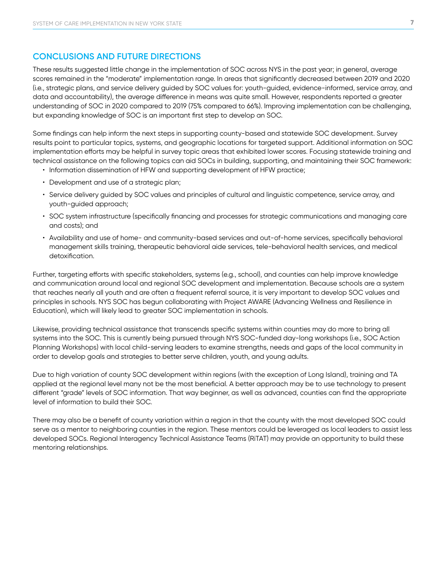#### **CONCLUSIONS AND FUTURE DIRECTIONS**

These results suggested little change in the implementation of SOC across NYS in the past year; in general, average scores remained in the "moderate" implementation range. In areas that significantly decreased between 2019 and 2020 (i.e., strategic plans, and service delivery guided by SOC values for: youth-guided, evidence-informed, service array, and data and accountability), the average difference in means was quite small. However, respondents reported a greater understanding of SOC in 2020 compared to 2019 (75% compared to 66%). Improving implementation can be challenging, but expanding knowledge of SOC is an important first step to develop an SOC.

Some findings can help inform the next steps in supporting county-based and statewide SOC development. Survey results point to particular topics, systems, and geographic locations for targeted support. Additional information on SOC implementation efforts may be helpful in survey topic areas that exhibited lower scores. Focusing statewide training and technical assistance on the following topics can aid SOCs in building, supporting, and maintaining their SOC framework:

- Information dissemination of HFW and supporting development of HFW practice;
- Development and use of a strategic plan;
- Service delivery guided by SOC values and principles of cultural and linguistic competence, service array, and youth-guided approach;
- SOC system infrastructure (specifically financing and processes for strategic communications and managing care and costs); and
- Availability and use of home- and community-based services and out-of-home services, specifically behavioral management skills training, therapeutic behavioral aide services, tele-behavioral health services, and medical detoxification.

Further, targeting efforts with specific stakeholders, systems (e.g., school), and counties can help improve knowledge and communication around local and regional SOC development and implementation. Because schools are a system that reaches nearly all youth and are often a frequent referral source, it is very important to develop SOC values and principles in schools. NYS SOC has begun collaborating with Project AWARE (Advancing Wellness and Resilience in Education), which will likely lead to greater SOC implementation in schools.

Likewise, providing technical assistance that transcends specific systems within counties may do more to bring all systems into the SOC. This is currently being pursued through NYS SOC-funded day-long workshops (i.e., SOC Action Planning Workshops) with local child-serving leaders to examine strengths, needs and gaps of the local community in order to develop goals and strategies to better serve children, youth, and young adults.

Due to high variation of county SOC development within regions (with the exception of Long Island), training and TA applied at the regional level many not be the most beneficial. A better approach may be to use technology to present different "grade" levels of SOC information. That way beginner, as well as advanced, counties can find the appropriate level of information to build their SOC.

There may also be a benefit of county variation within a region in that the county with the most developed SOC could serve as a mentor to neighboring counties in the region. These mentors could be leveraged as local leaders to assist less developed SOCs. Regional Interagency Technical Assistance Teams (RiTAT) may provide an opportunity to build these mentoring relationships.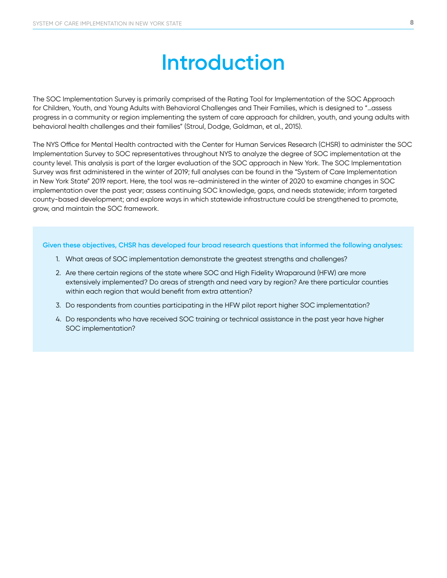### **Introduction**

The SOC Implementation Survey is primarily comprised of the Rating Tool for Implementation of the SOC Approach for Children, Youth, and Young Adults with Behavioral Challenges and Their Families, which is designed to "…assess progress in a community or region implementing the system of care approach for children, youth, and young adults with behavioral health challenges and their families" (Stroul, Dodge, Goldman, et al., 2015).

The NYS Office for Mental Health contracted with the Center for Human Services Research (CHSR) to administer the SOC Implementation Survey to SOC representatives throughout NYS to analyze the degree of SOC implementation at the county level. This analysis is part of the larger evaluation of the SOC approach in New York. The SOC Implementation Survey was first administered in the winter of 2019; full analyses can be found in the "System of Care Implementation in New York State" 2019 report. Here, the tool was re-administered in the winter of 2020 to examine changes in SOC implementation over the past year; assess continuing SOC knowledge, gaps, and needs statewide; inform targeted county-based development; and explore ways in which statewide infrastructure could be strengthened to promote, grow, and maintain the SOC framework.

#### **Given these objectives, CHSR has developed four broad research questions that informed the following analyses:**

- 1. What areas of SOC implementation demonstrate the greatest strengths and challenges?
- 2. Are there certain regions of the state where SOC and High Fidelity Wraparound (HFW) are more extensively implemented? Do areas of strength and need vary by region? Are there particular counties within each region that would benefit from extra attention?
- 3. Do respondents from counties participating in the HFW pilot report higher SOC implementation?
- 4. Do respondents who have received SOC training or technical assistance in the past year have higher SOC implementation?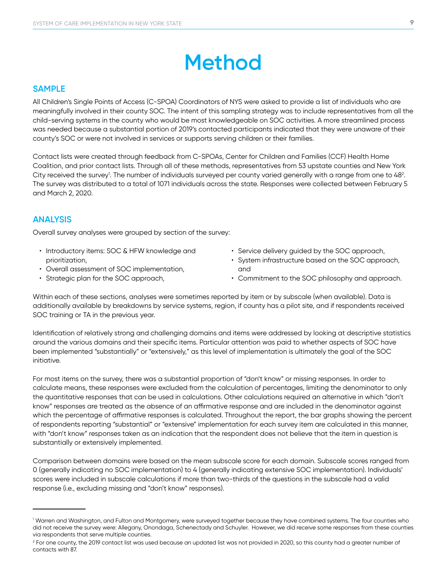## **Method**

#### **SAMPLE**

All Children's Single Points of Access (C-SPOA) Coordinators of NYS were asked to provide a list of individuals who are meaningfully involved in their county SOC. The intent of this sampling strategy was to include representatives from all the child-serving systems in the county who would be most knowledgeable on SOC activities. A more streamlined process was needed because a substantial portion of 2019's contacted participants indicated that they were unaware of their county's SOC or were not involved in services or supports serving children or their families.

Contact lists were created through feedback from C-SPOAs, Center for Children and Families (CCF) Health Home Coalition, and prior contact lists. Through all of these methods, representatives from 53 upstate counties and New York City received the survey<sup>1</sup>. The number of individuals surveyed per county varied generally with a range from one to 48<sup>2</sup>. The survey was distributed to a total of 1071 individuals across the state. Responses were collected between February 5 and March 2, 2020.

#### **ANALYSIS**

Overall survey analyses were grouped by section of the survey:

- Introductory items: SOC & HFW knowledge and prioritization,
- Overall assessment of SOC implementation,
- Strategic plan for the SOC approach,
- Service delivery guided by the SOC approach,
- System infrastructure based on the SOC approach, and
- Commitment to the SOC philosophy and approach.

Within each of these sections, analyses were sometimes reported by item or by subscale (when available). Data is additionally available by breakdowns by service systems, region, if county has a pilot site, and if respondents received SOC training or TA in the previous year.

Identification of relatively strong and challenging domains and items were addressed by looking at descriptive statistics around the various domains and their specific items. Particular attention was paid to whether aspects of SOC have been implemented "substantially" or "extensively," as this level of implementation is ultimately the goal of the SOC initiative.

For most items on the survey, there was a substantial proportion of "don't know" or missing responses. In order to calculate means, these responses were excluded from the calculation of percentages, limiting the denominator to only the quantitative responses that can be used in calculations. Other calculations required an alternative in which "don't know" responses are treated as the absence of an affirmative response and are included in the denominator against which the percentage of affirmative responses is calculated. Throughout the report, the bar graphs showing the percent of respondents reporting "substantial" or "extensive" implementation for each survey item are calculated in this manner, with "don't know" responses taken as an indication that the respondent does not believe that the item in question is substantially or extensively implemented.

Comparison between domains were based on the mean subscale score for each domain. Subscale scores ranged from 0 (generally indicating no SOC implementation) to 4 (generally indicating extensive SOC implementation). Individuals' scores were included in subscale calculations if more than two-thirds of the questions in the subscale had a valid response (i.e., excluding missing and "don't know" responses).

<sup>1</sup> Warren and Washington, and Fulton and Montgomery, were surveyed together because they have combined systems. The four counties who did not receive the survey were: Allegany, Onondaga, Schenectady and Schuyler. However, we did receive some responses from these counties via respondents that serve multiple counties.

<sup>2</sup> For one county, the 2019 contact list was used because an updated list was not provided in 2020, so this county had a greater number of contacts with 87.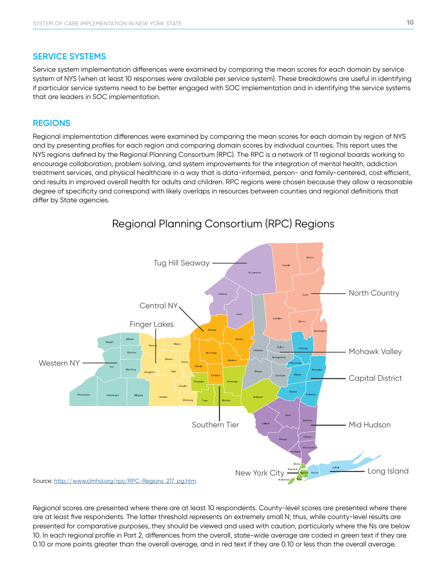#### **SERVICE SYSTEMS**

Service system implementation differences were examined by comparing the mean scores for each domain by service system of NYS (when at least 10 responses were available per service system). These breakdowns are useful in identifying if particular service systems need to be better engaged with SOC implementation and in identifying the service systems that are leaders in SOC implementation.

#### **REGIONS**

Regional implementation differences were examined by comparing the mean scores for each domain by region of NYS and by presenting profiles for each region and comparing domain scores by individual counties. This report uses the NYS regions defined by the Regional Planning Consortium (RPC). The RPC is a network of 11 regional boards working to encourage collaboration, problem solving, and system improvements for the integration of mental health, addiction treatment services, and physical healthcare in a way that is data-informed, person- and family-centered, cost efficient, and results in improved overall health for adults and children. RPC regions were chosen because they allow a reasonable degree of specificity and correspond with likely overlaps in resources between counties and regional definitions that differ by State agencies.



Regional Planning Consortium (RPC) Regions

Regional scores are presented where there are at least 10 respondents. County-level scores are presented where there are at least five respondents. The latter threshold represents an extremely small N; thus, while county-level results are presented for comparative purposes, they should be viewed and used with caution, particularly where the Ns are below 10. In each regional profile in Part 2, differences from the overall, state-wide average are coded in green text if they are 0.10 or more points greater than the overall average, and in red text if they are 0.10 or less than the overall average.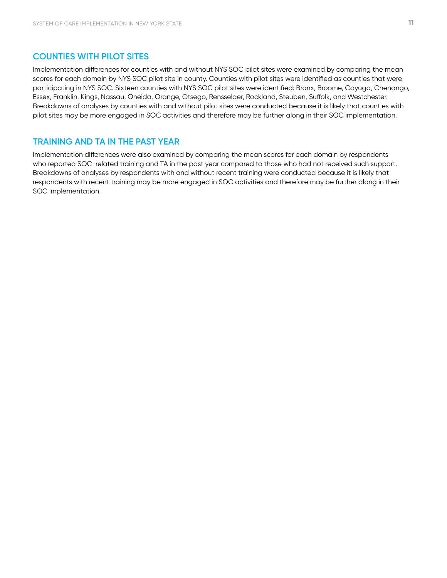#### **COUNTIES WITH PILOT SITES**

Implementation differences for counties with and without NYS SOC pilot sites were examined by comparing the mean scores for each domain by NYS SOC pilot site in county. Counties with pilot sites were identified as counties that were participating in NYS SOC. Sixteen counties with NYS SOC pilot sites were identified: Bronx, Broome, Cayuga, Chenango, Essex, Franklin, Kings, Nassau, Oneida, Orange, Otsego, Rensselaer, Rockland, Steuben, Suffolk, and Westchester. Breakdowns of analyses by counties with and without pilot sites were conducted because it is likely that counties with pilot sites may be more engaged in SOC activities and therefore may be further along in their SOC implementation.

#### **TRAINING AND TA IN THE PAST YEAR**

Implementation differences were also examined by comparing the mean scores for each domain by respondents who reported SOC-related training and TA in the past year compared to those who had not received such support. Breakdowns of analyses by respondents with and without recent training were conducted because it is likely that respondents with recent training may be more engaged in SOC activities and therefore may be further along in their SOC implementation.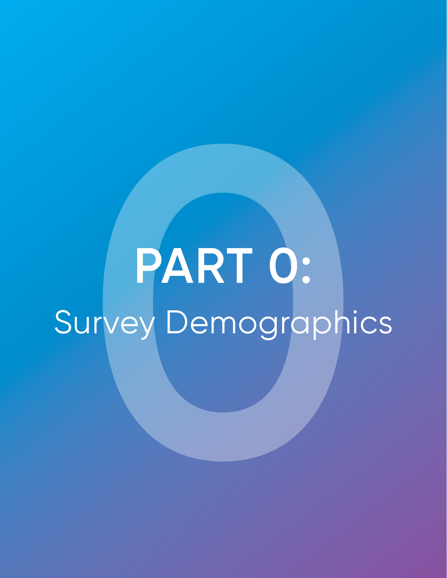# **PART 0:**<br> **Irvey Demographi PART 0:**  Survey Demographics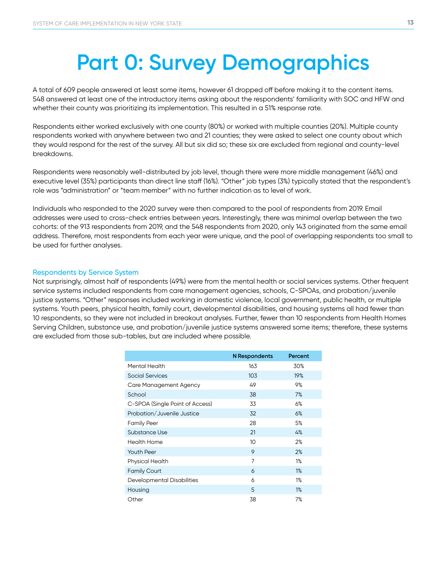### **Part 0: Survey Demographics**

A total of 609 people answered at least some items, however 61 dropped off before making it to the content items. 548 answered at least one of the introductory items asking about the respondents' familiarity with SOC and HFW and whether their county was prioritizing its implementation. This resulted in a 51% response rate.

Respondents either worked exclusively with one county (80%) or worked with multiple counties (20%). Multiple county respondents worked with anywhere between two and 21 counties; they were asked to select one county about which they would respond for the rest of the survey. All but six did so; these six are excluded from regional and county-level breakdowns.

Respondents were reasonably well-distributed by job level, though there were more middle management (46%) and executive level (35%) participants than direct line staff (16%). "Other" job types (3%) typically stated that the respondent's role was "administration" or "team member" with no further indication as to level of work.

Individuals who responded to the 2020 survey were then compared to the pool of respondents from 2019. Email addresses were used to cross-check entries between years. Interestingly, there was minimal overlap between the two cohorts: of the 913 respondents from 2019, and the 548 respondents from 2020, only 143 originated from the same email address. Therefore, most respondents from each year were unique, and the pool of overlapping respondents too small to be used for further analyses.

#### Respondents by Service System

Not surprisingly, almost half of respondents (49%) were from the mental health or social services systems. Other frequent service systems included respondents from care management agencies, schools, C-SPOAs, and probation/juvenile justice systems. "Other" responses included working in domestic violence, local government, public health, or multiple systems. Youth peers, physical health, family court, developmental disabilities, and housing systems all had fewer than 10 respondents, so they were not included in breakout analyses. Further, fewer than 10 respondents from Health Homes Serving Children, substance use, and probation/juvenile justice systems answered some items; therefore, these systems are excluded from those sub-tables, but are included where possible.

|                                 | N Respondents | Percent |
|---------------------------------|---------------|---------|
| Mental Health                   | 163           | 30%     |
| <b>Social Services</b>          | 103           | 19%     |
| Care Management Agency          | 49            | 9%      |
| School                          | 38            | 7%      |
| C-SPOA (Single Point of Access) | 33            | 6%      |
| Probation/Juvenile Justice      | 32            | 6%      |
| <b>Family Peer</b>              | 28            | 5%      |
| Substance Use                   | 21            | 4%      |
| <b>Health Home</b>              | 10            | 2%      |
| <b>Youth Peer</b>               | 9             | 2%      |
| <b>Physical Health</b>          | 7             | $1\%$   |
| <b>Family Court</b>             | 6             | 1%      |
| Developmental Disabilities      | 6             | 1%      |
| Housing                         | 5             | $1\%$   |
| Other                           | 38            | 7%      |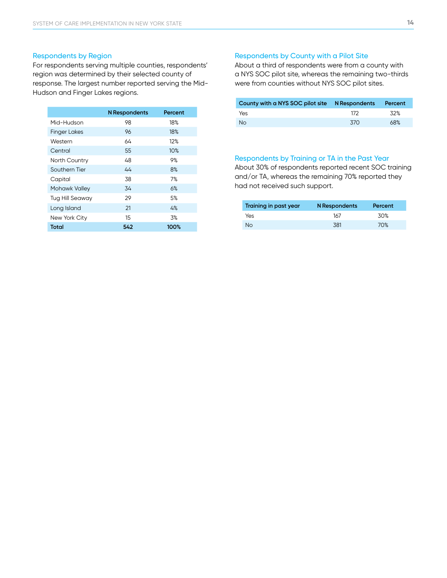#### Respondents by Region

For respondents serving multiple counties, respondents' region was determined by their selected county of response. The largest number reported serving the Mid-Hudson and Finger Lakes regions.

|                        | N Respondents | Percent |
|------------------------|---------------|---------|
| Mid-Hudson             | 98            | 18%     |
| <b>Finger Lakes</b>    | 96            | 18%     |
| Western                | 64            | 12%     |
| Central                | 55            | 10%     |
| <b>North Country</b>   | 48            | 9%      |
| Southern Tier          | 44            | 8%      |
| Capital                | 38            | 7%      |
| <b>Mohawk Valley</b>   | 34            | 6%      |
| <b>Tug Hill Seaway</b> | 29            | 5%      |
| Long Island            | 21            | 4%      |
| New York City          | 15            | 3%      |
| Total                  | 542           | 100%    |

#### Respondents by County with a Pilot Site

About a third of respondents were from a county with a NYS SOC pilot site, whereas the remaining two-thirds were from counties without NYS SOC pilot sites.

| County with a NYS SOC pilot site N Respondents Percent |      |     |
|--------------------------------------------------------|------|-----|
| Yes                                                    | 172  | 32% |
| No.                                                    | .370 | 68% |

#### Respondents by Training or TA in the Past Year

About 30% of respondents reported recent SOC training and/or TA, whereas the remaining 70% reported they had not received such support.

| Training in past year | N Respondents | Percent |
|-----------------------|---------------|---------|
| Yes                   | 167           | 30%     |
| Nο                    | 381           | 70%     |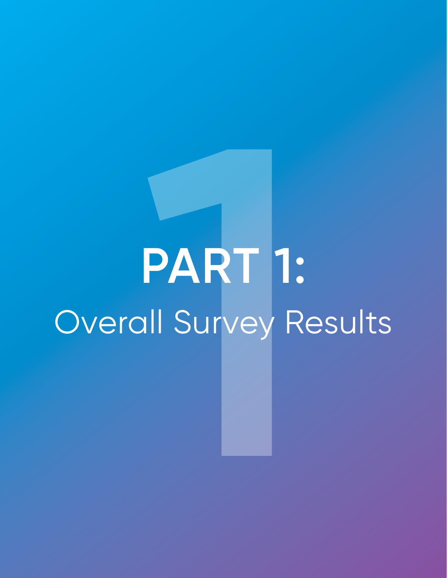# **PART 1:**<br>all Survey R **PART 1:**  Overall Survey Results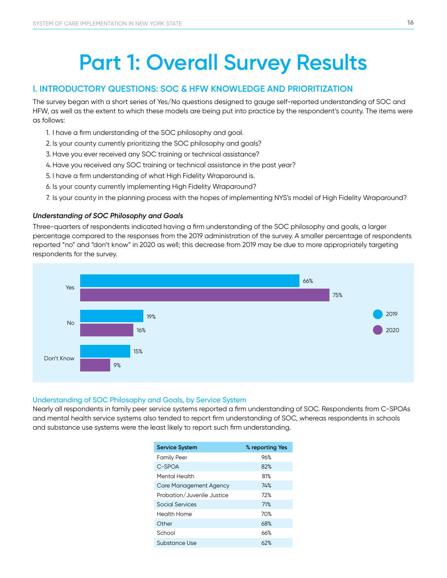## **Part 1: Overall Survey Results**

#### **I. INTRODUCTORY QUESTIONS: SOC & HFW KNOWLEDGE AND PRIORITIZATION**

The survey began with a short series of Yes/No questions designed to gauge self-reported understanding of SOC and HFW, as well as the extent to which these models are being put into practice by the respondent's county. The items were as follows:

- 1. I have a firm understanding of the SOC philosophy and goal.
- 2. Is your county currently prioritizing the SOC philosophy and goals?
- 3. Have you ever received any SOC training or technical assistance?
- 4.Have you received any SOC training or technical assistance in the past year?
- 5. I have a firm understanding of what High Fidelity Wraparound is.
- 6. Is your county currently implementing High Fidelity Wraparound?
- 7. Is your county in the planning process with the hopes of implementing NYS's model of High Fidelity Wraparound?

#### *Understanding of SOC Philosophy and Goals*

Three-quarters of respondents indicated having a firm understanding of the SOC philosophy and goals, a larger percentage compared to the responses from the 2019 administration of the survey. A smaller percentage of respondents reported "no" and "don't know" in 2020 as well; this decrease from 2019 may be due to more appropriately targeting respondents for the survey.



#### Understanding of SOC Philosophy and Goals, by Service System

Nearly all respondents in family peer service systems reported a firm understanding of SOC. Respondents from C-SPOAs and mental health service systems also tended to report firm understanding of SOC, whereas respondents in schools and substance use systems were the least likely to report such firm understanding.

| <b>Service System</b>      | % reporting Yes |
|----------------------------|-----------------|
| <b>Family Peer</b>         | 96%             |
| C-SPOA                     | 82%             |
| Mental Health              | 81%             |
| Care Management Agency     | 74%             |
| Probation/Juvenile Justice | 72%             |
| Social Services            | 71%             |
| Health Home                | 70%             |
| Other                      | 68%             |
| School                     | 66%             |
| Substance Use              | 62%             |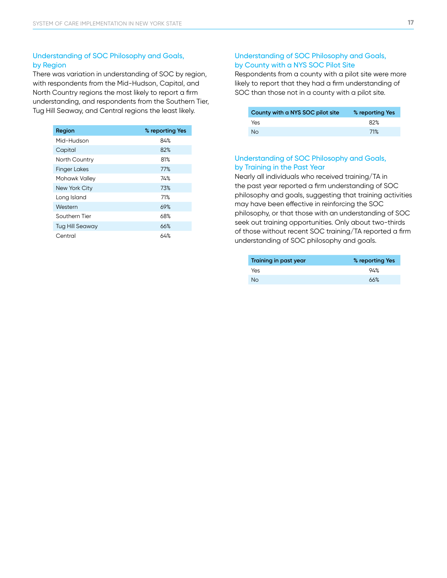#### Understanding of SOC Philosophy and Goals, by Region

There was variation in understanding of SOC by region, with respondents from the Mid-Hudson, Capital, and North Country regions the most likely to report a firm understanding, and respondents from the Southern Tier, Tug Hill Seaway, and Central regions the least likely.

| Region                 | % reporting Yes |
|------------------------|-----------------|
| Mid-Hudson             | 84%             |
| Capital                | 82%             |
| <b>North Country</b>   | 81%             |
| <b>Finger Lakes</b>    | 77%             |
| Mohawk Valley          | 74%             |
| New York City          | 73%             |
| Long Island            | 71%             |
| Western                | 69%             |
| Southern Tier          | 68%             |
| <b>Tug Hill Seaway</b> | 66%             |
| Central                | 64%             |

#### Understanding of SOC Philosophy and Goals, by County with a NYS SOC Pilot Site

Respondents from a county with a pilot site were more likely to report that they had a firm understanding of SOC than those not in a county with a pilot site.

| County with a NYS SOC pilot site | % reporting Yes |
|----------------------------------|-----------------|
| Yes                              | 82%             |
| No.                              | 71%             |

#### Understanding of SOC Philosophy and Goals, by Training in the Past Year

Nearly all individuals who received training/TA in the past year reported a firm understanding of SOC philosophy and goals, suggesting that training activities may have been effective in reinforcing the SOC philosophy, or that those with an understanding of SOC seek out training opportunities. Only about two-thirds of those without recent SOC training/TA reported a firm understanding of SOC philosophy and goals.

| Training in past year | % reporting Yes |
|-----------------------|-----------------|
| Yes                   | 94%             |
| No.                   | 66%             |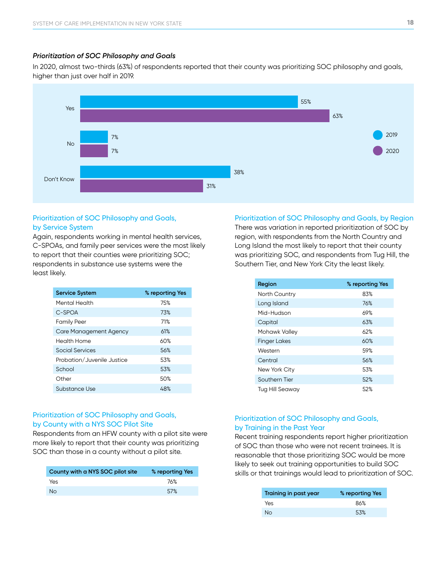#### *Prioritization of SOC Philosophy and Goals*

In 2020, almost two-thirds (63%) of respondents reported that their county was prioritizing SOC philosophy and goals, higher than just over half in 2019.



#### Prioritization of SOC Philosophy and Goals, by Service System

Again, respondents working in mental health services, C-SPOAs, and family peer services were the most likely to report that their counties were prioritizing SOC; respondents in substance use systems were the least likely.

| <b>Service System</b>      | % reporting Yes |
|----------------------------|-----------------|
| Mental Health              | 75%             |
| C-SPOA                     | 73%             |
| <b>Family Peer</b>         | 71%             |
| Care Management Agency     | 61%             |
| Health Home                | 60%             |
| Social Services            | 56%             |
| Probation/Juvenile Justice | 53%             |
| School                     | 53%             |
| Other                      | 50%             |
| Substance Use              | 48%             |

#### Prioritization of SOC Philosophy and Goals, by County with a NYS SOC Pilot Site

Respondents from an HFW county with a pilot site were more likely to report that their county was prioritizing SOC than those in a county without a pilot site.

| County with a NYS SOC pilot site | % reporting Yes |
|----------------------------------|-----------------|
| Yes                              | 76%             |
| No.                              | 57%             |

#### Prioritization of SOC Philosophy and Goals, by Region

There was variation in reported prioritization of SOC by region, with respondents from the North Country and Long Island the most likely to report that their county was prioritizing SOC, and respondents from Tug Hill, the Southern Tier, and New York City the least likely.

| Region               | % reporting Yes |
|----------------------|-----------------|
| <b>North Country</b> | 83%             |
| Long Island          | 76%             |
| Mid-Hudson           | 69%             |
| Capital              | 63%             |
| Mohawk Valley        | 62%             |
| <b>Finger Lakes</b>  | 60%             |
| Western              | 59%             |
| Central              | 56%             |
| New York City        | 53%             |
| Southern Tier        | 52%             |
| Tug Hill Seaway      | 52%             |

#### Prioritization of SOC Philosophy and Goals, by Training in the Past Year

Recent training respondents report higher prioritization of SOC than those who were not recent trainees. It is reasonable that those prioritizing SOC would be more likely to seek out training opportunities to build SOC skills or that trainings would lead to prioritization of SOC.

| Training in past year | % reporting Yes |
|-----------------------|-----------------|
| Yes                   | 86%             |
| Νo                    | .53%            |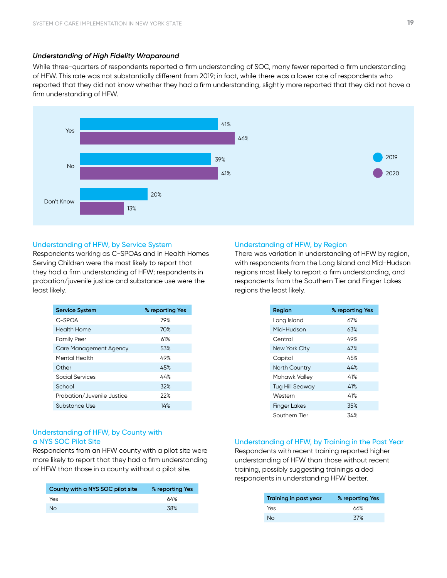#### *Understanding of High Fidelity Wraparound*

While three-quarters of respondents reported a firm understanding of SOC, many fewer reported a firm understanding of HFW. This rate was not substantially different from 2019; in fact, while there was a lower rate of respondents who reported that they did not know whether they had a firm understanding, slightly more reported that they did not have a firm understanding of HFW.



#### Understanding of HFW, by Service System

Respondents working as C-SPOAs and in Health Homes Serving Children were the most likely to report that they had a firm understanding of HFW; respondents in probation/juvenile justice and substance use were the least likely.

| <b>Service System</b>      | % reporting Yes |
|----------------------------|-----------------|
| C-SPOA                     | 79%             |
| Health Home                | 70%             |
| <b>Family Peer</b>         | 61%             |
| Care Management Agency     | 53%             |
| Mental Health              | 49%             |
| Other                      | 45%             |
| Social Services            | 44%             |
| School                     | 32%             |
| Probation/Juvenile Justice | 22%             |
| Substance Use              | 14%             |

#### Understanding of HFW, by County with a NYS SOC Pilot Site

Respondents from an HFW county with a pilot site were more likely to report that they had a firm understanding of HFW than those in a county without a pilot site.

| County with a NYS SOC pilot site | % reporting Yes |
|----------------------------------|-----------------|
| Yes                              | 64%             |
| No                               | 38%             |

#### Understanding of HFW, by Region

There was variation in understanding of HFW by region, with respondents from the Long Island and Mid-Hudson regions most likely to report a firm understanding, and respondents from the Southern Tier and Finger Lakes regions the least likely.

| Region                 | % reporting Yes |
|------------------------|-----------------|
| Long Island            | 67%             |
| Mid-Hudson             | 63%             |
| Central                | 49%             |
| New York City          | 47%             |
| Capital                | 45%             |
| <b>North Country</b>   | 44%             |
| Mohawk Valley          | 41%             |
| <b>Tug Hill Seaway</b> | 41%             |
| Western                | 41%             |
| <b>Finger Lakes</b>    | 35%             |
| Southern Tier          | .34%            |

#### Understanding of HFW, by Training in the Past Year

Respondents with recent training reported higher understanding of HFW than those without recent training, possibly suggesting trainings aided respondents in understanding HFW better.

| Training in past year | % reporting Yes |
|-----------------------|-----------------|
| Yes                   | 66%             |
| No                    | 37%             |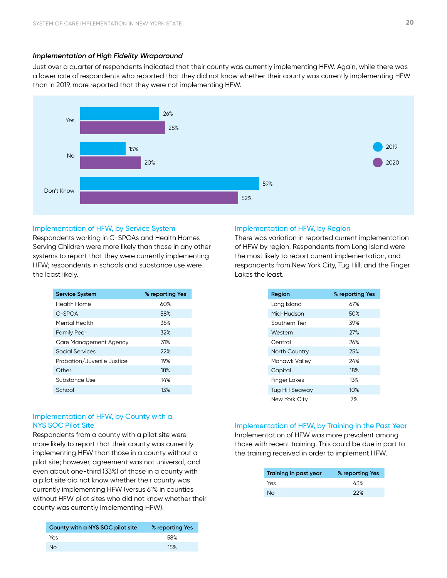#### *Implementation of High Fidelity Wraparound*

Just over a quarter of respondents indicated that their county was currently implementing HFW. Again, while there was a lower rate of respondents who reported that they did not know whether their county was currently implementing HFW than in 2019, more reported that they were not implementing HFW.



#### Implementation of HFW, by Service System

Respondents working in C-SPOAs and Health Homes Serving Children were more likely than those in any other systems to report that they were currently implementing HFW; respondents in schools and substance use were the least likely.

| <b>Service System</b>      | % reporting Yes |
|----------------------------|-----------------|
| Health Home                | 60%             |
| C-SPOA                     | 58%             |
| Mental Health              | 35%             |
| <b>Family Peer</b>         | 32%             |
| Care Management Agency     | 31%             |
| Social Services            | 22%             |
| Probation/Juvenile Justice | 19%             |
| Other                      | 18%             |
| Substance Use              | 14%             |
| School                     | 13%             |

#### Implementation of HFW, by County with a NYS SOC Pilot Site

Respondents from a county with a pilot site were more likely to report that their county was currently implementing HFW than those in a county without a pilot site; however, agreement was not universal, and even about one-third (33%) of those in a county with a pilot site did not know whether their county was currently implementing HFW (versus 61% in counties without HFW pilot sites who did not know whether their county was currently implementing HFW).

| County with a NYS SOC pilot site | % reporting Yes |
|----------------------------------|-----------------|
| Yes                              | 58%             |
| No.                              | 15%             |

#### Implementation of HFW, by Region

There was variation in reported current implementation of HFW by region. Respondents from Long Island were the most likely to report current implementation, and respondents from New York City, Tug Hill, and the Finger Lakes the least.

| Region                 | % reporting Yes |
|------------------------|-----------------|
| Long Island            | 67%             |
| Mid-Hudson             | 50%             |
| Southern Tier          | 39%             |
| Western                | 27%             |
| Central                | 26%             |
| <b>North Country</b>   | 25%             |
| Mohawk Valley          | 24%             |
| Capital                | 18%             |
| <b>Finger Lakes</b>    | 1.3%            |
| <b>Tug Hill Seaway</b> | 10%             |
| New York City          | 7%              |

#### Implementation of HFW, by Training in the Past Year

Implementation of HFW was more prevalent among those with recent training. This could be due in part to the training received in order to implement HFW.

| Training in past year | % reporting Yes |
|-----------------------|-----------------|
| Yes                   | 43%             |
| Νo                    | 22%             |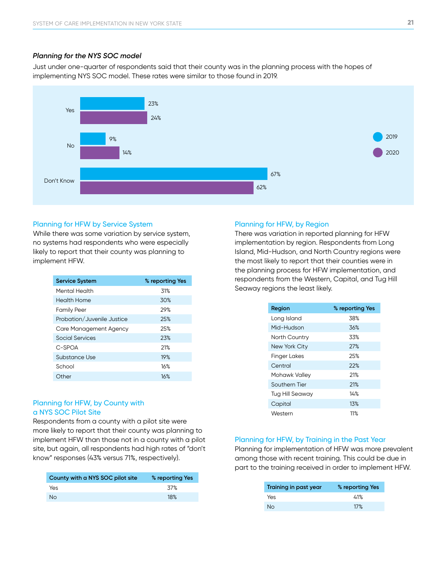#### *Planning for the NYS SOC model*

Just under one-quarter of respondents said that their county was in the planning process with the hopes of implementing NYS SOC model. These rates were similar to those found in 2019.



#### Planning for HFW by Service System

While there was some variation by service system, no systems had respondents who were especially likely to report that their county was planning to implement HFW.

| <b>Service System</b>      | % reporting Yes |
|----------------------------|-----------------|
| Mental Health              | 31%             |
| Health Home                | 30%             |
| <b>Family Peer</b>         | 29%             |
| Probation/Juvenile Justice | 25%             |
| Care Management Agency     | 25%             |
| Social Services            | 23%             |
| $C-SPOA$                   | 21%             |
| Substance Use              | 19%             |
| School                     | 16%             |
| Other                      | 16%             |

#### Planning for HFW, by County with a NYS SOC Pilot Site

Respondents from a county with a pilot site were more likely to report that their county was planning to implement HFW than those not in a county with a pilot site, but again, all respondents had high rates of "don't know" responses (43% versus 71%, respectively).

| County with a NYS SOC pilot site | % reporting Yes |
|----------------------------------|-----------------|
| Yes                              | .37%            |
| <b>No</b>                        | 18%             |

#### Planning for HFW, by Region

There was variation in reported planning for HFW implementation by region. Respondents from Long Island, Mid-Hudson, and North Country regions were the most likely to report that their counties were in the planning process for HFW implementation, and respondents from the Western, Capital, and Tug Hill Seaway regions the least likely.

| Region                 | % reporting Yes |
|------------------------|-----------------|
| Long Island            | 38%             |
| Mid-Hudson             | 36%             |
| North Country          | 33%             |
| <b>New York City</b>   | 27%             |
| <b>Finger Lakes</b>    | 25%             |
| Central                | 22%             |
| Mohawk Valley          | 21%             |
| Southern Tier          | 21%             |
| <b>Tug Hill Seaway</b> | 14%             |
| Capital                | 13%             |
| Western                | 11%             |

#### Planning for HFW, by Training in the Past Year

Planning for implementation of HFW was more prevalent among those with recent training. This could be due in part to the training received in order to implement HFW.

| Training in past year | % reporting Yes |
|-----------------------|-----------------|
| Yes                   | 41%             |
| Nο                    | 17%             |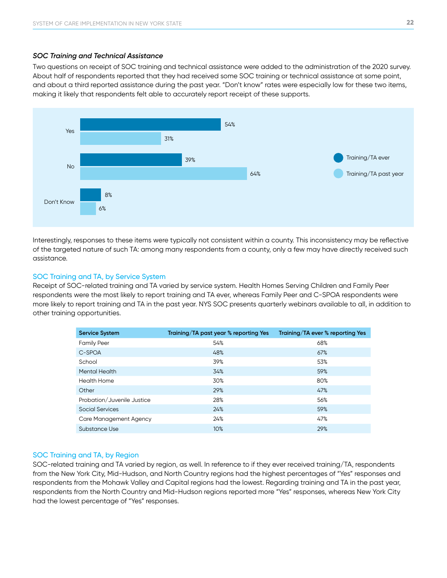#### *SOC Training and Technical Assistance*

Two questions on receipt of SOC training and technical assistance were added to the administration of the 2020 survey. About half of respondents reported that they had received some SOC training or technical assistance at some point, and about a third reported assistance during the past year. "Don't know" rates were especially low for these two items, making it likely that respondents felt able to accurately report receipt of these supports.



Interestingly, responses to these items were typically not consistent within a county. This inconsistency may be reflective of the targeted nature of such TA: among many respondents from a county, only a few may have directly received such assistance.

#### SOC Training and TA, by Service System

Receipt of SOC-related training and TA varied by service system. Health Homes Serving Children and Family Peer respondents were the most likely to report training and TA ever, whereas Family Peer and C-SPOA respondents were more likely to report training and TA in the past year. NYS SOC presents quarterly webinars available to all, in addition to other training opportunities.

| <b>Service System</b>      | Training/TA past year % reporting Yes | Training/TA ever % reporting Yes |
|----------------------------|---------------------------------------|----------------------------------|
| <b>Family Peer</b>         | 54%                                   | 68%                              |
| C-SPOA                     | 48%                                   | 67%                              |
| School                     | 39%                                   | 53%                              |
| Mental Health              | 34%                                   | 59%                              |
| <b>Health Home</b>         | 30%                                   | 80%                              |
| Other                      | 29%                                   | 47%                              |
| Probation/Juvenile Justice | 28%                                   | 56%                              |
| Social Services            | 24%                                   | 59%                              |
| Care Management Agency     | 24%                                   | 47%                              |
| Substance Use              | 10%                                   | 29%                              |

#### SOC Training and TA, by Region

SOC-related training and TA varied by region, as well. In reference to if they ever received training/TA, respondents from the New York City, Mid-Hudson, and North Country regions had the highest percentages of "Yes" responses and respondents from the Mohawk Valley and Capital regions had the lowest. Regarding training and TA in the past year, respondents from the North Country and Mid-Hudson regions reported more "Yes" responses, whereas New York City had the lowest percentage of "Yes" responses.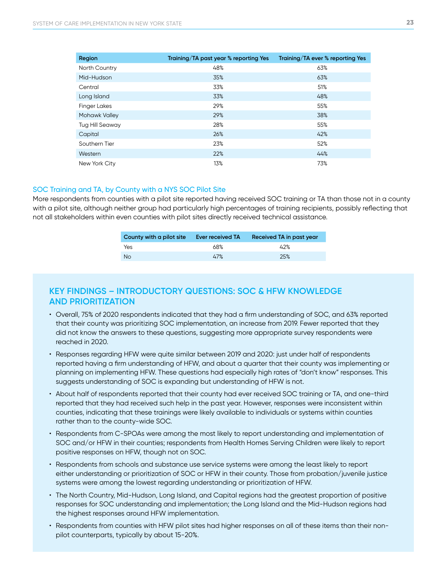| Region                 | Training/TA past year % reporting Yes | Training/TA ever % reporting Yes |
|------------------------|---------------------------------------|----------------------------------|
| North Country          | 48%                                   | 63%                              |
| Mid-Hudson             | 35%                                   | 63%                              |
| Central                | 33%                                   | 51%                              |
| Long Island            | 33%                                   | 48%                              |
| <b>Finger Lakes</b>    | 29%                                   | 55%                              |
| <b>Mohawk Valley</b>   | 29%                                   | 38%                              |
| <b>Tug Hill Seaway</b> | 28%                                   | 55%                              |
| Capital                | 26%                                   | 42%                              |
| Southern Tier          | 23%                                   | 52%                              |
| Western                | 22%                                   | 44%                              |
| New York City          | 13%                                   | 73%                              |

#### SOC Training and TA, by County with a NYS SOC Pilot Site

More respondents from counties with a pilot site reported having received SOC training or TA than those not in a county with a pilot site, although neither group had particularly high percentages of training recipients, possibly reflecting that not all stakeholders within even counties with pilot sites directly received technical assistance.

| County with a pilot site | <b>Ever received TA</b> | Received TA in past year |
|--------------------------|-------------------------|--------------------------|
| Yes                      | 68%                     | 42%                      |
| - No                     | 47%                     | 25%                      |

#### **KEY FINDINGS – INTRODUCTORY QUESTIONS: SOC & HFW KNOWLEDGE AND PRIORITIZATION**

- Overall, 75% of 2020 respondents indicated that they had a firm understanding of SOC, and 63% reported that their county was prioritizing SOC implementation, an increase from 2019. Fewer reported that they did not know the answers to these questions, suggesting more appropriate survey respondents were reached in 2020.
- Responses regarding HFW were quite similar between 2019 and 2020: just under half of respondents reported having a firm understanding of HFW, and about a quarter that their county was implementing or planning on implementing HFW. These questions had especially high rates of "don't know" responses. This suggests understanding of SOC is expanding but understanding of HFW is not.
- About half of respondents reported that their county had ever received SOC training or TA, and one-third reported that they had received such help in the past year. However, responses were inconsistent within counties, indicating that these trainings were likely available to individuals or systems within counties rather than to the county-wide SOC.
- Respondents from C-SPOAs were among the most likely to report understanding and implementation of SOC and/or HFW in their counties; respondents from Health Homes Serving Children were likely to report positive responses on HFW, though not on SOC.
- Respondents from schools and substance use service systems were among the least likely to report either understanding or prioritization of SOC or HFW in their county. Those from probation/juvenile justice systems were among the lowest regarding understanding or prioritization of HFW.
- The North Country, Mid-Hudson, Long Island, and Capital regions had the greatest proportion of positive responses for SOC understanding and implementation; the Long Island and the Mid-Hudson regions had the highest responses around HFW implementation.
- Respondents from counties with HFW pilot sites had higher responses on all of these items than their nonpilot counterparts, typically by about 15-20%.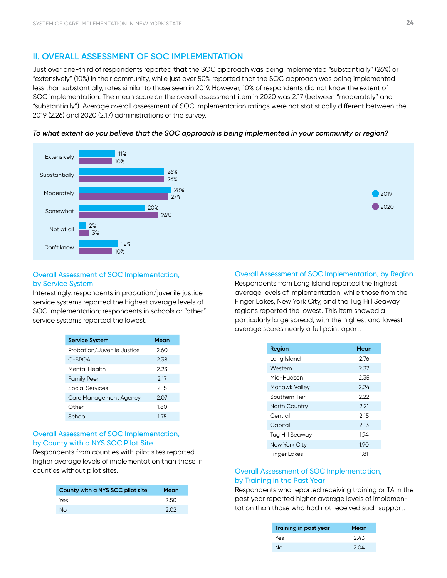#### **II. OVERALL ASSESSMENT OF SOC IMPLEMENTATION**

Just over one-third of respondents reported that the SOC approach was being implemented "substantially" (26%) or "extensively" (10%) in their community, while just over 50% reported that the SOC approach was being implemented less than substantially, rates similar to those seen in 2019. However, 10% of respondents did not know the extent of SOC implementation. The mean score on the overall assessment item in 2020 was 2.17 (between "moderately" and "substantially"). Average overall assessment of SOC implementation ratings were not statistically different between the 2019 (2.26) and 2020 (2.17) administrations of the survey.

*To what extent do you believe that the SOC approach is being implemented in your community or region?*

![](_page_24_Figure_3.jpeg)

![](_page_24_Picture_4.jpeg)

#### Overall Assessment of SOC Implementation, by Service System

Interestingly, respondents in probation/juvenile justice service systems reported the highest average levels of SOC implementation; respondents in schools or "other" service systems reported the lowest.

| <b>Service System</b>      | Mean |
|----------------------------|------|
| Probation/Juvenile Justice | 2.60 |
| $C-SPOA$                   | 2.38 |
| Mental Health              | 2.23 |
| <b>Family Peer</b>         | 2.17 |
| Social Services            | 2.15 |
| Care Management Agency     | 2.07 |
| Other                      | 1.80 |
| School                     | 1.75 |

#### Overall Assessment of SOC Implementation, by County with a NYS SOC Pilot Site

Respondents from counties with pilot sites reported higher average levels of implementation than those in counties without pilot sites.

| County with a NYS SOC pilot site | Mean |
|----------------------------------|------|
| Yes                              | 2.50 |
| <b>No</b>                        | 2.02 |

#### Overall Assessment of SOC Implementation, by Region

Respondents from Long Island reported the highest average levels of implementation, while those from the Finger Lakes, New York City, and the Tug Hill Seaway regions reported the lowest. This item showed a particularly large spread, with the highest and lowest average scores nearly a full point apart.

| Region              | Mean |
|---------------------|------|
| Long Island         | 2.76 |
| Western             | 2.37 |
| Mid-Hudson          | 2.35 |
| Mohawk Valley       | 2.24 |
| Southern Tier       | 222  |
| North Country       | 2.21 |
| Central             | 2.15 |
| Capital             | 2.13 |
| Tug Hill Seaway     | 194  |
| New York City       | 190  |
| <b>Finger Lakes</b> | 1.81 |

#### Overall Assessment of SOC Implementation, by Training in the Past Year

Respondents who reported receiving training or TA in the past year reported higher average levels of implementation than those who had not received such support.

| Training in past year | Mean |
|-----------------------|------|
| Yes                   | 2.43 |
| Nο                    | 2.04 |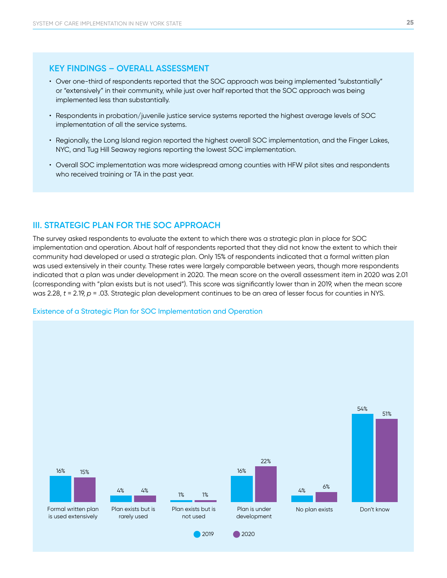#### **KEY FINDINGS – OVERALL ASSESSMENT**

- Over one-third of respondents reported that the SOC approach was being implemented "substantially" or "extensively" in their community, while just over half reported that the SOC approach was being implemented less than substantially.
- Respondents in probation/juvenile justice service systems reported the highest average levels of SOC implementation of all the service systems.
- Regionally, the Long Island region reported the highest overall SOC implementation, and the Finger Lakes, NYC, and Tug Hill Seaway regions reporting the lowest SOC implementation.
- Overall SOC implementation was more widespread among counties with HFW pilot sites and respondents who received training or TA in the past year.

#### **III. STRATEGIC PLAN FOR THE SOC APPROACH**

The survey asked respondents to evaluate the extent to which there was a strategic plan in place for SOC implementation and operation. About half of respondents reported that they did not know the extent to which their community had developed or used a strategic plan. Only 15% of respondents indicated that a formal written plan was used extensively in their county. These rates were largely comparable between years, though more respondents indicated that a plan was under development in 2020. The mean score on the overall assessment item in 2020 was 2.01 (corresponding with "plan exists but is not used"). This score was significantly lower than in 2019, when the mean score was 2.28,  $t = 2.19$ ,  $p = .03$ . Strategic plan development continues to be an area of lesser focus for counties in NYS.

#### Existence of a Strategic Plan for SOC Implementation and Operation

![](_page_25_Figure_9.jpeg)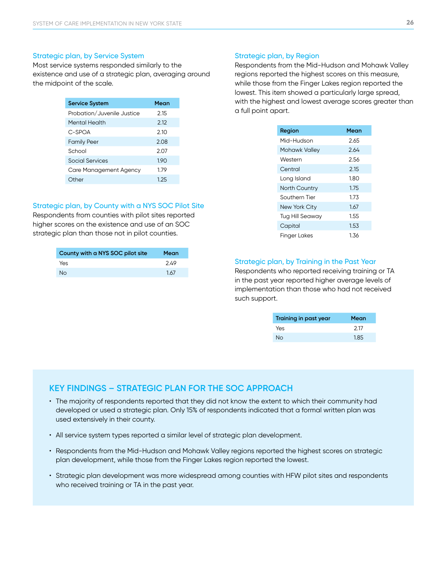#### Strategic plan, by Service System

Most service systems responded similarly to the existence and use of a strategic plan, averaging around the midpoint of the scale.

| <b>Service System</b>      | Mean |
|----------------------------|------|
| Probation/Juvenile Justice | 2.15 |
| <b>Mental Health</b>       | 2.12 |
| C-SPOA                     | 2.10 |
| <b>Family Peer</b>         | 2.08 |
| School                     | 2.07 |
| Social Services            | 190  |
| Care Management Agency     | 1.79 |
| Other                      | 1.25 |

#### Strategic plan, by County with a NYS SOC Pilot Site

Respondents from counties with pilot sites reported higher scores on the existence and use of an SOC strategic plan than those not in pilot counties.

| County with a NYS SOC pilot site | Mean |
|----------------------------------|------|
| Yes                              | 2.49 |
| <b>No</b>                        | 1.67 |

#### Strategic plan, by Region

Respondents from the Mid-Hudson and Mohawk Valley regions reported the highest scores on this measure, while those from the Finger Lakes region reported the lowest. This item showed a particularly large spread, with the highest and lowest average scores greater than a full point apart.

| Region                 | Mean |
|------------------------|------|
| Mid-Hudson             | 2.65 |
| Mohawk Valley          | 2.64 |
| Western                | 2.56 |
| Central                | 2.15 |
| Long Island            | 1.80 |
| <b>North Country</b>   | 1.75 |
| Southern Tier          | 1.73 |
| New York City          | 1.67 |
| <b>Tug Hill Seaway</b> | 1.55 |
| Capital                | 1.53 |
| Finger Lakes           | 1.36 |

#### Strategic plan, by Training in the Past Year

Respondents who reported receiving training or TA in the past year reported higher average levels of implementation than those who had not received such support.

| Mean |
|------|
| 2.17 |
| 1.85 |
|      |

#### **KEY FINDINGS – STRATEGIC PLAN FOR THE SOC APPROACH**

- The majority of respondents reported that they did not know the extent to which their community had developed or used a strategic plan. Only 15% of respondents indicated that a formal written plan was used extensively in their county.
- All service system types reported a similar level of strategic plan development.
- Respondents from the Mid-Hudson and Mohawk Valley regions reported the highest scores on strategic plan development, while those from the Finger Lakes region reported the lowest.
- Strategic plan development was more widespread among counties with HFW pilot sites and respondents who received training or TA in the past year.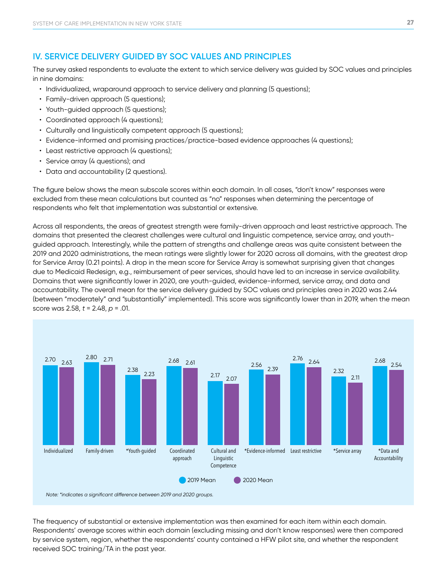#### **IV. SERVICE DELIVERY GUIDED BY SOC VALUES AND PRINCIPLES**

The survey asked respondents to evaluate the extent to which service delivery was guided by SOC values and principles in nine domains:

- Individualized, wraparound approach to service delivery and planning (5 questions);
- Family-driven approach (5 questions);
- Youth-guided approach (5 questions);
- Coordinated approach (4 questions);
- Culturally and linguistically competent approach (5 questions);
- Evidence-informed and promising practices/practice-based evidence approaches (4 questions);
- Least restrictive approach (4 questions);
- Service array (4 questions); and
- Data and accountability (2 questions).

The figure below shows the mean subscale scores within each domain. In all cases, "don't know" responses were excluded from these mean calculations but counted as "no" responses when determining the percentage of respondents who felt that implementation was substantial or extensive.

Across all respondents, the areas of greatest strength were family-driven approach and least restrictive approach. The domains that presented the clearest challenges were cultural and linguistic competence, service array, and youthguided approach. Interestingly, while the pattern of strengths and challenge areas was quite consistent between the 2019 and 2020 administrations, the mean ratings were slightly lower for 2020 across all domains, with the greatest drop for Service Array (0.21 points). A drop in the mean score for Service Array is somewhat surprising given that changes due to Medicaid Redesign, e.g., reimbursement of peer services, should have led to an increase in service availability. Domains that were significantly lower in 2020, are youth-guided, evidence-informed, service array, and data and accountability. The overall mean for the service delivery guided by SOC values and principles area in 2020 was 2.44 (between "moderately" and "substantially" implemented). This score was significantly lower than in 2019, when the mean score was 2.58, *t* = 2.48, *p* = .01.

![](_page_27_Figure_14.jpeg)

*Note: \*indicates a significant difference between 2019 and 2020 groups.*

The frequency of substantial or extensive implementation was then examined for each item within each domain. Respondents' average scores within each domain (excluding missing and don't know responses) were then compared by service system, region, whether the respondents' county contained a HFW pilot site, and whether the respondent received SOC training/TA in the past year.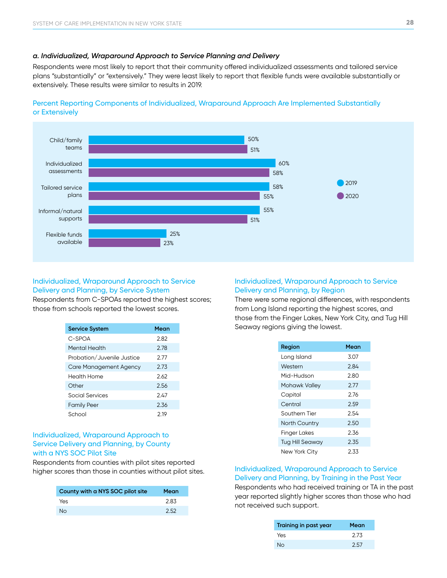#### *a. Individualized, Wraparound Approach to Service Planning and Delivery*

Respondents were most likely to report that their community offered individualized assessments and tailored service plans "substantially" or "extensively." They were least likely to report that flexible funds were available substantially or extensively. These results were similar to results in 2019.

![](_page_28_Figure_3.jpeg)

![](_page_28_Figure_4.jpeg)

#### Individualized, Wraparound Approach to Service Delivery and Planning, by Service System

Respondents from C-SPOAs reported the highest scores; those from schools reported the lowest scores.

| <b>Service System</b>      | Mean |
|----------------------------|------|
| C-SPOA                     | 2.82 |
| Mental Health              | 2.78 |
| Probation/Juvenile Justice | 2.77 |
| Care Management Agency     | 2.73 |
| Health Home                | 2.62 |
| Other                      | 2.56 |
| Social Services            | 2.47 |
| <b>Family Peer</b>         | 2.36 |
| School                     | 2.19 |

#### Individualized, Wraparound Approach to Service Delivery and Planning, by County with a NYS SOC Pilot Site

Respondents from counties with pilot sites reported higher scores than those in counties without pilot sites.

| County with a NYS SOC pilot site | Mean |
|----------------------------------|------|
| Yes                              | 2.83 |
| No.                              | 2.52 |

#### Individualized, Wraparound Approach to Service Delivery and Planning, by Region

There were some regional differences, with respondents from Long Island reporting the highest scores, and those from the Finger Lakes, New York City, and Tug Hill Seaway regions giving the lowest.

| Region                 | Mean |
|------------------------|------|
| Long Island            | 3.07 |
| Western                | 2.84 |
| Mid-Hudson             | 2.80 |
| Mohawk Valley          | 2.77 |
| Capital                | 2.76 |
| Central                | 2.59 |
| Southern Tier          | 2.54 |
| <b>North Country</b>   | 2.50 |
| <b>Finger Lakes</b>    | 2.36 |
| <b>Tug Hill Seaway</b> | 2.35 |
| New York City          | 2.33 |

#### Individualized, Wraparound Approach to Service Delivery and Planning, by Training in the Past Year Respondents who had received training or TA in the past year reported slightly higher scores than those who had not received such support.

| Training in past year | Mean |
|-----------------------|------|
| Yes                   | 2.73 |
| Nο                    | 2.57 |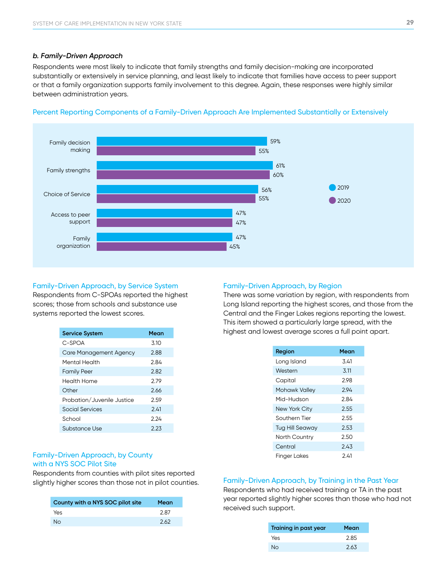#### *b. Family-Driven Approach*

Respondents were most likely to indicate that family strengths and family decision-making are incorporated substantially or extensively in service planning, and least likely to indicate that families have access to peer support or that a family organization supports family involvement to this degree. Again, these responses were highly similar between administration years.

![](_page_29_Figure_3.jpeg)

#### Percent Reporting Components of a Family-Driven Approach Are Implemented Substantially or Extensively

#### Family-Driven Approach, by Service System

Respondents from C-SPOAs reported the highest scores; those from schools and substance use systems reported the lowest scores.

| <b>Service System</b>      | Mean |
|----------------------------|------|
| C-SPOA                     | 3.10 |
| Care Management Agency     | 2.88 |
| Mental Health              | 2.84 |
| <b>Family Peer</b>         | 2.82 |
| <b>Health Home</b>         | 2.79 |
| Other                      | 2.66 |
| Probation/Juvenile Justice | 2.59 |
| Social Services            | 2.41 |
| School                     | 2.24 |
| Substance Use              | 2.23 |

#### Family-Driven Approach, by County with a NYS SOC Pilot Site

Respondents from counties with pilot sites reported slightly higher scores than those not in pilot counties.

| County with a NYS SOC pilot site | Mean |
|----------------------------------|------|
| Yes                              | 2.87 |
| No.                              | 2.62 |

#### Family-Driven Approach, by Region

There was some variation by region, with respondents from Long Island reporting the highest scores, and those from the Central and the Finger Lakes regions reporting the lowest. This item showed a particularly large spread, with the highest and lowest average scores a full point apart.

| Region                 | Mean |
|------------------------|------|
| Long Island            | 341  |
| Western                | 3.11 |
| Capital                | 2.98 |
| <b>Mohawk Valley</b>   | 2.94 |
| Mid-Hudson             | 2.84 |
| New York City          | 2.55 |
| Southern Tier          | 2.55 |
| <b>Tug Hill Seaway</b> | 2.53 |
| North Country          | 2.50 |
| Central                | 2.43 |
| Finger Lakes           | 2.41 |

#### Family-Driven Approach, by Training in the Past Year

| Training in past year | Mean |
|-----------------------|------|
| Yes                   | 2.85 |
| Nο                    | 2.63 |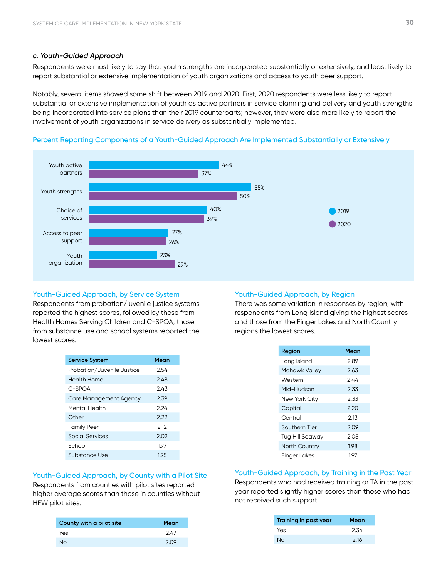#### *c. Youth-Guided Approach*

Respondents were most likely to say that youth strengths are incorporated substantially or extensively, and least likely to report substantial or extensive implementation of youth organizations and access to youth peer support.

Notably, several items showed some shift between 2019 and 2020. First, 2020 respondents were less likely to report substantial or extensive implementation of youth as active partners in service planning and delivery and youth strengths being incorporated into service plans than their 2019 counterparts; however, they were also more likely to report the involvement of youth organizations in service delivery as substantially implemented.

#### 44% 55% 40% 27% 23% 37% 50% 39% 26% 29% Youth active partners Choice of services Youth strengths Access to peer support Youth organization <sup>2</sup>2019  $2020$

#### Percent Reporting Components of a Youth-Guided Approach Are Implemented Substantially or Extensively

#### Youth-Guided Approach, by Service System

Respondents from probation/juvenile justice systems reported the highest scores, followed by those from Health Homes Serving Children and C-SPOA; those from substance use and school systems reported the lowest scores.

| <b>Service System</b>      | Mean |
|----------------------------|------|
| Probation/Juvenile Justice | 2.54 |
| Health Home                | 2.48 |
| $C-SPOA$                   | 2.43 |
| Care Management Agency     | 2.39 |
| Mental Health              | 2.24 |
| Other                      | 2.22 |
| <b>Family Peer</b>         | 2.12 |
| Social Services            | 2.02 |
| School                     | 197  |
| Substance Use              | 195  |

#### Youth-Guided Approach, by County with a Pilot Site

Respondents from counties with pilot sites reported higher average scores than those in counties without HFW pilot sites.

| Mean |
|------|
| 2.47 |
| 2.09 |
|      |

#### Youth-Guided Approach, by Region

There was some variation in responses by region, with respondents from Long Island giving the highest scores and those from the Finger Lakes and North Country regions the lowest scores.

| Region               | Mean |
|----------------------|------|
| Long Island          | 2.89 |
| <b>Mohawk Valley</b> | 2.63 |
| Western              | 2.44 |
| Mid-Hudson           | 2.33 |
| New York City        | 2.33 |
| Capital              | 2.20 |
| Central              | 2.13 |
| Southern Tier        | 2.09 |
| Tug Hill Seaway      | 2.05 |
| <b>North Country</b> | 198  |
| Finger Lakes         | 197  |

#### Youth-Guided Approach, by Training in the Past Year Respondents who had received training or TA in the past year reported slightly higher scores than those who had not received such support.

| Training in past year | Mean |
|-----------------------|------|
| Yes                   | 2.34 |
| Nο                    | 2.16 |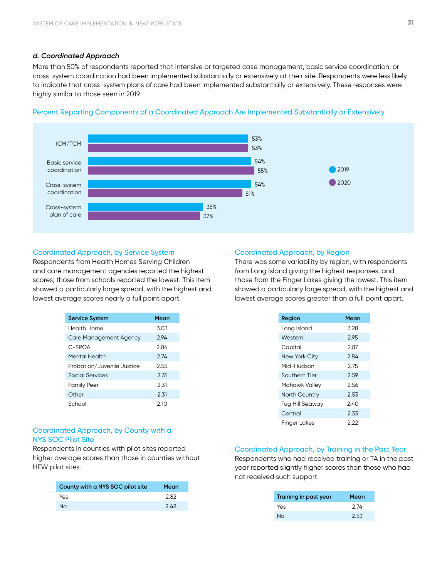#### *d. Coordinated Approach*

More than 50% of respondents reported that intensive or targeted case management, basic service coordination, or cross-system coordination had been implemented substantially or extensively at their site. Respondents were less likely to indicate that cross-system plans of care had been implemented substantially or extensively. These responses were highly similar to those seen in 2019.

![](_page_31_Figure_3.jpeg)

#### Percent Reporting Components of a Coordinated Approach Are Implemented Substantially or Extensively

#### Coordinated Approach, by Service System

Respondents from Health Homes Serving Children and care management agencies reported the highest scores; those from schools reported the lowest. This item showed a particularly large spread, with the highest and lowest average scores nearly a full point apart.

| <b>Service System</b>      | Mean |
|----------------------------|------|
| <b>Health Home</b>         | 3.03 |
| Care Management Agency     | 294  |
| C-SPOA                     | 2.84 |
| Mental Health              | 2.74 |
| Probation/Juvenile Justice | 2.55 |
| <b>Social Services</b>     | 2.31 |
| <b>Family Peer</b>         | 2.31 |
| Other                      | 2.31 |
| School                     | 2.10 |

#### Coordinated Approach, by County with a NYS SOC Pilot Site

Respondents in counties with pilot sites reported higher average scores than those in counties without HFW pilot sites.

| County with a NYS SOC pilot site | Mean |
|----------------------------------|------|
| Yes                              | 2.82 |
| <b>No</b>                        | 2.48 |

#### Coordinated Approach, by Region

There was some variability by region, with respondents from Long Island giving the highest responses, and those from the Finger Lakes giving the lowest. This item showed a particularly large spread, with the highest and lowest average scores greater than a full point apart.

| Region          | Mean |
|-----------------|------|
| Long Island     | 3.28 |
| Western         | 295  |
| Capital         | 2.87 |
| New York City   | 2.84 |
| Mid-Hudson      | 2.75 |
| Southern Tier   | 2.59 |
| Mohawk Valley   | 2.56 |
| North Country   | 2.53 |
| Tug Hill Seaway | 2.40 |
| Central         | 2.33 |
| Finger Lakes    | 2.22 |

#### Coordinated Approach, by Training in the Past Year

| Training in past year | Mean |
|-----------------------|------|
| Yes                   | 2.74 |
| No                    | 2.53 |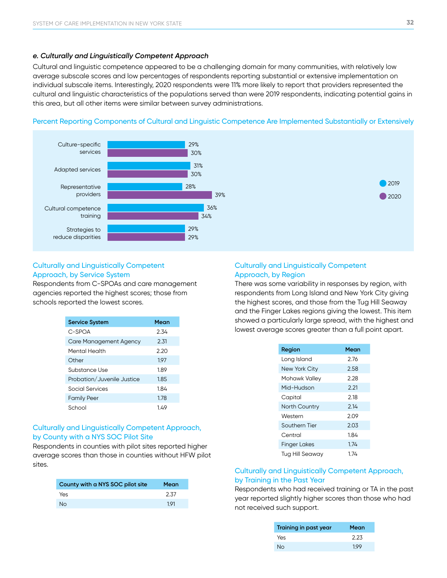#### *e. Culturally and Linguistically Competent Approach*

Cultural and linguistic competence appeared to be a challenging domain for many communities, with relatively low average subscale scores and low percentages of respondents reporting substantial or extensive implementation on individual subscale items. Interestingly, 2020 respondents were 11% more likely to report that providers represented the cultural and linguistic characteristics of the populations served than were 2019 respondents, indicating potential gains in this area, but all other items were similar between survey administrations.

#### Percent Reporting Components of Cultural and Linguistic Competence Are Implemented Substantially or Extensively

![](_page_32_Figure_4.jpeg)

#### Culturally and Linguistically Competent Approach, by Service System

Respondents from C-SPOAs and care management agencies reported the highest scores; those from schools reported the lowest scores.

| <b>Service System</b>      | Mean |
|----------------------------|------|
| C-SPOA                     | 2.34 |
| Care Management Agency     | 2.31 |
| Mental Health              | 2.20 |
| Other                      | 197  |
| Substance Use              | 1.89 |
| Probation/Juvenile Justice | 185  |
| Social Services            | 1.84 |
| <b>Family Peer</b>         | 1.78 |
| School                     | 149  |

#### Culturally and Linguistically Competent Approach, by County with a NYS SOC Pilot Site

Respondents in counties with pilot sites reported higher average scores than those in counties without HFW pilot sites.

| County with a NYS SOC pilot site | Mean |
|----------------------------------|------|
| Yes                              | 2.37 |
| <b>No</b>                        | 191  |

#### Culturally and Linguistically Competent Approach, by Region

There was some variability in responses by region, with respondents from Long Island and New York City giving the highest scores, and those from the Tug Hill Seaway and the Finger Lakes regions giving the lowest. This item showed a particularly large spread, with the highest and lowest average scores greater than a full point apart.

| Region               | Mean |
|----------------------|------|
| Long Island          | 2.76 |
| New York City        | 2.58 |
| Mohawk Valley        | 2.28 |
| Mid-Hudson           | 2.21 |
| Capital              | 2.18 |
| <b>North Country</b> | 2.14 |
| Western              | 2.09 |
| Southern Tier        | 2.03 |
| Central              | 1.84 |
| <b>Finger Lakes</b>  | 1.74 |
| Tug Hill Seaway      | 1.74 |

#### Culturally and Linguistically Competent Approach, by Training in the Past Year

| Training in past year | Mean |
|-----------------------|------|
| Yes                   | 2.23 |
| Nο                    | 199  |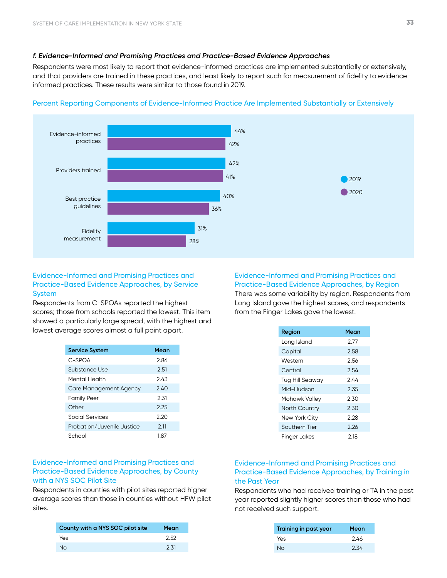#### *f. Evidence-Informed and Promising Practices and Practice-Based Evidence Approaches*

Respondents were most likely to report that evidence-informed practices are implemented substantially or extensively, and that providers are trained in these practices, and least likely to report such for measurement of fidelity to evidenceinformed practices. These results were similar to those found in 2019.

![](_page_33_Figure_3.jpeg)

#### Percent Reporting Components of Evidence-Informed Practice Are Implemented Substantially or Extensively

#### Evidence-Informed and Promising Practices and Practice-Based Evidence Approaches, by Service **System**

Respondents from C-SPOAs reported the highest scores; those from schools reported the lowest. This item showed a particularly large spread, with the highest and lowest average scores almost a full point apart.

| <b>Service System</b>      | Mean |
|----------------------------|------|
| C-SPOA                     | 2.86 |
| Substance Use              | 2.51 |
| Mental Health              | 2.43 |
| Care Management Agency     | 240  |
| <b>Family Peer</b>         | 2.31 |
| Other                      | 2.25 |
| Social Services            | 2.20 |
| Probation/Juvenile Justice | 2.11 |
| School                     | 1.87 |

#### Evidence-Informed and Promising Practices and Practice-Based Evidence Approaches, by County with a NYS SOC Pilot Site

Respondents in counties with pilot sites reported higher average scores than those in counties without HFW pilot sites.

| County with a NYS SOC pilot site | Mean |
|----------------------------------|------|
| Yes                              | 2.52 |
| <b>No</b>                        | 2.31 |

#### Evidence-Informed and Promising Practices and Practice-Based Evidence Approaches, by Region

There was some variability by region. Respondents from Long Island gave the highest scores, and respondents from the Finger Lakes gave the lowest.

| Region                 | Mean |
|------------------------|------|
| Long Island            | 2.77 |
| Capital                | 2.58 |
| Western                | 2.56 |
| Central                | 2.54 |
| <b>Tug Hill Seaway</b> | 244  |
| Mid-Hudson             | 2.35 |
| Mohawk Valley          | 2.30 |
| <b>North Country</b>   | 2.30 |
| New York City          | 2.28 |
| Southern Tier          | 2.26 |
| Finger Lakes           | 2.18 |

#### Evidence-Informed and Promising Practices and Practice-Based Evidence Approaches, by Training in the Past Year

| Training in past year | Mean |
|-----------------------|------|
| Yes                   | 2.46 |
| No                    | 2.34 |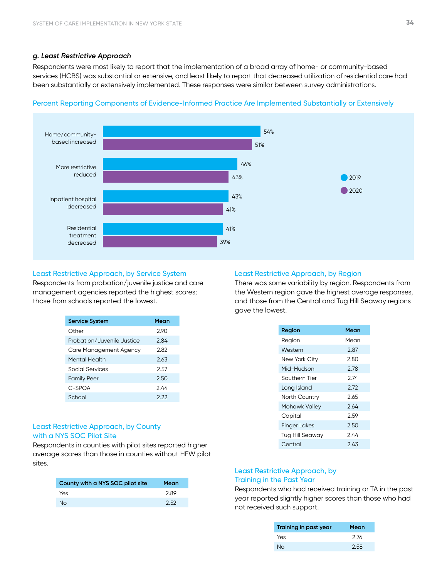#### *g. Least Restrictive Approach*

Respondents were most likely to report that the implementation of a broad array of home- or community-based services (HCBS) was substantial or extensive, and least likely to report that decreased utilization of residential care had been substantially or extensively implemented. These responses were similar between survey administrations.

![](_page_34_Figure_3.jpeg)

#### Percent Reporting Components of Evidence-Informed Practice Are Implemented Substantially or Extensively

#### Least Restrictive Approach, by Service System

Respondents from probation/juvenile justice and care management agencies reported the highest scores; those from schools reported the lowest.

| <b>Service System</b>      | Mean |
|----------------------------|------|
| Other                      | 2.90 |
| Probation/Juvenile Justice | 2.84 |
| Care Management Agency     | 2.82 |
| Mental Health              | 2.63 |
| Social Services            | 2.57 |
| <b>Family Peer</b>         | 2.50 |
| C-SPOA                     | 2.44 |
| School                     | 2.22 |

#### Least Restrictive Approach, by County with a NYS SOC Pilot Site

Respondents in counties with pilot sites reported higher average scores than those in counties without HFW pilot sites.

| County with a NYS SOC pilot site | Mean |
|----------------------------------|------|
| Yes                              | 2.89 |
| <b>No</b>                        | 2.52 |

#### Least Restrictive Approach, by Region

There was some variability by region. Respondents from the Western region gave the highest average responses, and those from the Central and Tug Hill Seaway regions gave the lowest.

| Region              | Mean |
|---------------------|------|
| Region              | Mean |
| Western             | 2.87 |
| New York City       | 2.80 |
| Mid-Hudson          | 2.78 |
| Southern Tier       | 2.74 |
| Long Island         | 2.72 |
| North Country       | 2.65 |
| Mohawk Valley       | 2.64 |
| Capital             | 2.59 |
| <b>Finger Lakes</b> | 2.50 |
| Tug Hill Seaway     | 244  |
| Central             | 2.43 |

#### Least Restrictive Approach, by Training in the Past Year

| Training in past year | Mean |
|-----------------------|------|
| Yes                   | 2.76 |
| No                    | 2.58 |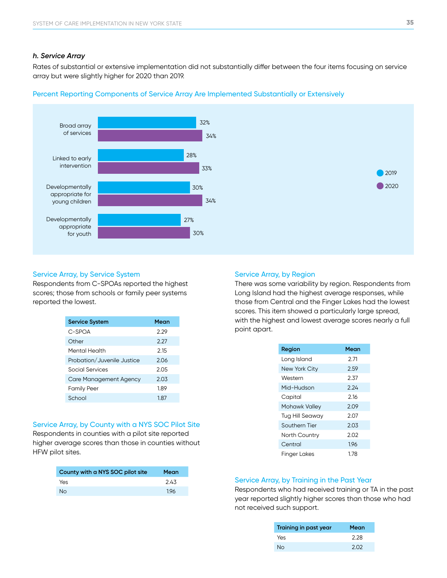#### *h. Service Array*

Rates of substantial or extensive implementation did not substantially differ between the four items focusing on service array but were slightly higher for 2020 than 2019.

![](_page_35_Figure_3.jpeg)

#### Percent Reporting Components of Service Array Are Implemented Substantially or Extensively

#### Service Array, by Service System

Respondents from C-SPOAs reported the highest scores; those from schools or family peer systems reported the lowest.

| <b>Service System</b>         | Mean |
|-------------------------------|------|
| C-SPOA                        | 2.29 |
| Other                         | 2.27 |
| Mental Health                 | 2.15 |
| Probation/Juvenile Justice    | 2.06 |
| Social Services               | 2.05 |
| <b>Care Management Agency</b> | 2.03 |
| <b>Family Peer</b>            | 1.89 |
| School                        | 187  |

#### Service Array, by County with a NYS SOC Pilot Site

Respondents in counties with a pilot site reported higher average scores than those in counties without HFW pilot sites.

| County with a NYS SOC pilot site | Mean |
|----------------------------------|------|
| Yes                              | 2.43 |
| <b>No</b>                        | 1.96 |

#### Service Array, by Region

There was some variability by region. Respondents from Long Island had the highest average responses, while those from Central and the Finger Lakes had the lowest scores. This item showed a particularly large spread, with the highest and lowest average scores nearly a full point apart.

| Region                 | Mean |
|------------------------|------|
| Long Island            | 2.71 |
| New York City          | 2.59 |
| Western                | 2.37 |
| Mid-Hudson             | 2.24 |
| Capital                | 2.16 |
| Mohawk Valley          | 2.09 |
| <b>Tug Hill Seaway</b> | 2.07 |
| Southern Tier          | 2.03 |
| North Country          | 2.02 |
| Central                | 196  |
| Finger Lakes           | 1.78 |

#### Service Array, by Training in the Past Year

| Training in past year | Mean |
|-----------------------|------|
| Yes                   | 2.28 |
| Nο                    | 2.02 |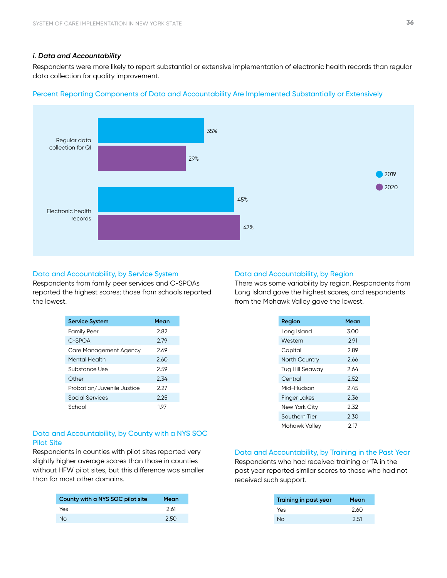#### *i. Data and Accountability*

Respondents were more likely to report substantial or extensive implementation of electronic health records than regular data collection for quality improvement.

![](_page_36_Figure_3.jpeg)

#### Percent Reporting Components of Data and Accountability Are Implemented Substantially or Extensively

#### Data and Accountability, by Service System

Respondents from family peer services and C-SPOAs reported the highest scores; those from schools reported the lowest.

| <b>Service System</b>      | Mean |
|----------------------------|------|
| <b>Family Peer</b>         | 2.82 |
| C-SPOA                     | 2.79 |
| Care Management Agency     | 2.69 |
| Mental Health              | 2.60 |
| Substance Use              | 2.59 |
| Other                      | 2.34 |
| Probation/Juvenile Justice | 2.27 |
| Social Services            | 2.25 |
| School                     | 197  |

#### Data and Accountability, by County with a NYS SOC Pilot Site

Respondents in counties with pilot sites reported very slightly higher average scores than those in counties without HFW pilot sites, but this difference was smaller than for most other domains.

| County with a NYS SOC pilot site | Mean |
|----------------------------------|------|
| Yes                              | 2.61 |
| <b>No</b>                        | 2.50 |

#### Data and Accountability, by Region

There was some variability by region. Respondents from Long Island gave the highest scores, and respondents from the Mohawk Valley gave the lowest.

| Region               | Mean |
|----------------------|------|
| Long Island          | 3.00 |
| Western              | 2.91 |
| Capital              | 2.89 |
| <b>North Country</b> | 2.66 |
| Tug Hill Seaway      | 2.64 |
| Central              | 2.52 |
| Mid-Hudson           | 245  |
| <b>Finger Lakes</b>  | 2.36 |
| New York City        | 2.32 |
| Southern Tier        | 2.30 |
| Mohawk Valley        | 2.17 |

#### Data and Accountability, by Training in the Past Year

| Training in past year | Mean |
|-----------------------|------|
| Yes                   | 2.60 |
| Nο                    | 2.51 |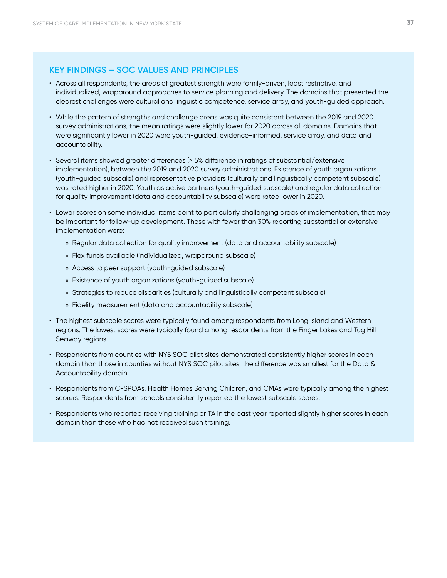#### **KEY FINDINGS – SOC VALUES AND PRINCIPLES**

- Across all respondents, the areas of greatest strength were family-driven, least restrictive, and individualized, wraparound approaches to service planning and delivery. The domains that presented the clearest challenges were cultural and linguistic competence, service array, and youth-guided approach.
- While the pattern of strengths and challenge areas was quite consistent between the 2019 and 2020 survey administrations, the mean ratings were slightly lower for 2020 across all domains. Domains that were significantly lower in 2020 were youth-guided, evidence-informed, service array, and data and accountability.
- Several items showed greater differences (> 5% difference in ratings of substantial/extensive implementation), between the 2019 and 2020 survey administrations. Existence of youth organizations (youth-guided subscale) and representative providers (culturally and linguistically competent subscale) was rated higher in 2020. Youth as active partners (youth-guided subscale) and regular data collection for quality improvement (data and accountability subscale) were rated lower in 2020.
- Lower scores on some individual items point to particularly challenging areas of implementation, that may be important for follow-up development. Those with fewer than 30% reporting substantial or extensive implementation were:
	- » Regular data collection for quality improvement (data and accountability subscale)
	- » Flex funds available (individualized, wraparound subscale)
	- » Access to peer support (youth-guided subscale)
	- » Existence of youth organizations (youth-guided subscale)
	- » Strategies to reduce disparities (culturally and linguistically competent subscale)
	- » Fidelity measurement (data and accountability subscale)
- The highest subscale scores were typically found among respondents from Long Island and Western regions. The lowest scores were typically found among respondents from the Finger Lakes and Tug Hill Seaway regions.
- Respondents from counties with NYS SOC pilot sites demonstrated consistently higher scores in each domain than those in counties without NYS SOC pilot sites; the difference was smallest for the Data & Accountability domain.
- Respondents from C-SPOAs, Health Homes Serving Children, and CMAs were typically among the highest scorers. Respondents from schools consistently reported the lowest subscale scores.
- Respondents who reported receiving training or TA in the past year reported slightly higher scores in each domain than those who had not received such training.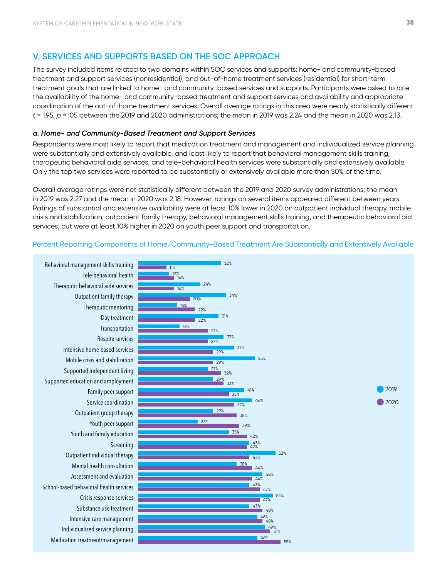#### **V. SERVICES AND SUPPORTS BASED ON THE SOC APPROACH**

The survey included items related to two domains within SOC services and supports: home- and community-based treatment and support services (nonresidential), and out-of-home treatment services (residential) for short-term treatment goals that are linked to home- and community-based services and supports. Participants were asked to rate the availability of the home- and community-based treatment and support services and availability and appropriate coordination of the out-of-home treatment services. Overall average ratings in this area were nearly statistically different *t* = 1.95, *p* = .05 between the 2019 and 2020 administrations; the mean in 2019 was 2.24 and the mean in 2020 was 2.13.

#### *a. Home- and Community-Based Treatment and Support Services*

Respondents were most likely to report that medication treatment and management and individualized service planning were substantially and extensively available, and least likely to report that behavioral management skills training, therapeutic behavioral aide services, and tele-behavioral health services were substantially and extensively available. Only the top two services were reported to be substantially or extensively available more than 50% of the time.

Overall average ratings were not statistically different between the 2019 and 2020 survey administrations; the mean in 2019 was 2.27 and the mean in 2020 was 2.18. However, ratings on several items appeared different between years. Ratings of substantial and extensive availability were at least 10% lower in 2020 on outpatient individual therapy, mobile crisis and stabilization, outpatient family therapy, behavioral management skills training, and therapeutic behavioral aid services, but were at least 10% higher in 2020 on youth peer support and transportation.

![](_page_38_Figure_6.jpeg)

#### Percent Reporting Components of Home/Community-Based Treatment Are Substantially and Extensively Available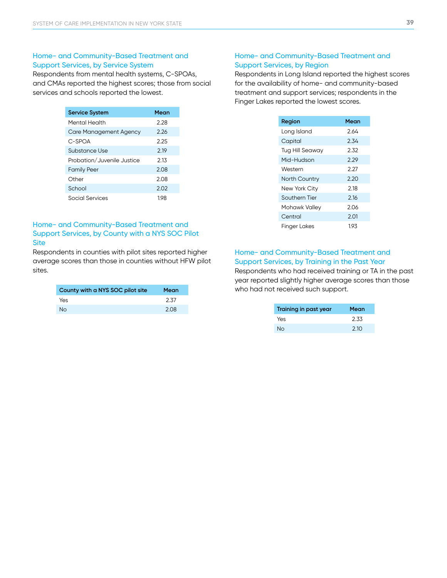#### Home- and Community-Based Treatment and Support Services, by Service System

Respondents from mental health systems, C-SPOAs, and CMAs reported the highest scores; those from social services and schools reported the lowest.

| <b>Service System</b>      | Mean |
|----------------------------|------|
| Mental Health              | 2.28 |
| Care Management Agency     | 2.26 |
| C-SPOA                     | 2.25 |
| Substance Use              | 2.19 |
| Probation/Juvenile Justice | 2.13 |
| <b>Family Peer</b>         | 2.08 |
| Other                      | 2.08 |
| School                     | 2.02 |
| Social Services            | 198  |

#### Home- and Community-Based Treatment and Support Services, by County with a NYS SOC Pilot **Site**

Respondents in counties with pilot sites reported higher average scores than those in counties without HFW pilot sites.

| County with a NYS SOC pilot site | Mean |
|----------------------------------|------|
| Yes                              | 2.37 |
| <b>No</b>                        | 2.08 |

#### Home- and Community-Based Treatment and Support Services, by Region

Respondents in Long Island reported the highest scores for the availability of home- and community-based treatment and support services; respondents in the Finger Lakes reported the lowest scores.

| Region          | Mean |
|-----------------|------|
| Long Island     | 2 64 |
| Capital         | 2.34 |
| Tug Hill Seaway | 2.32 |
| Mid-Hudson      | 2.29 |
| Western         | 2.27 |
| North Country   | 2.20 |
| New York City   | 2.18 |
| Southern Tier   | 2.16 |
| Mohawk Valley   | 2.06 |
| Central         | 2.01 |
| Finger Lakes    | 193  |

#### Home- and Community-Based Treatment and

Support Services, by Training in the Past Year Respondents who had received training or TA in the past year reported slightly higher average scores than those who had not received such support.

| Training in past year | Mean |
|-----------------------|------|
| Yes                   | 2.33 |
| Nο                    | 2.10 |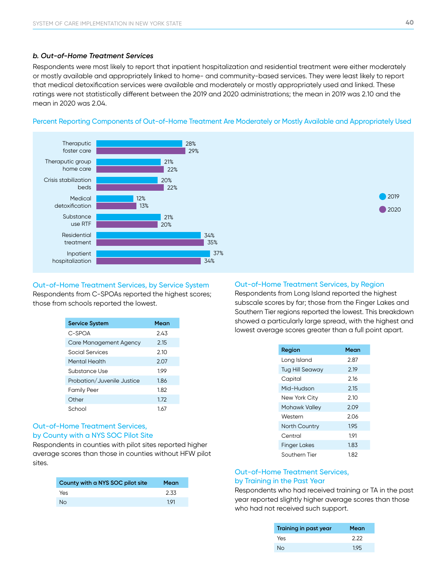#### *b. Out-of-Home Treatment Services*

Respondents were most likely to report that inpatient hospitalization and residential treatment were either moderately or mostly available and appropriately linked to home- and community-based services. They were least likely to report that medical detoxification services were available and moderately or mostly appropriately used and linked. These ratings were not statistically different between the 2019 and 2020 administrations; the mean in 2019 was 2.10 and the mean in 2020 was 2.04.

![](_page_40_Figure_3.jpeg)

#### Percent Reporting Components of Out-of-Home Treatment Are Moderately or Mostly Available and Appropriately Used

#### Out-of-Home Treatment Services, by Service System

Respondents from C-SPOAs reported the highest scores; those from schools reported the lowest.

| <b>Service System</b>      | Mean |
|----------------------------|------|
| C-SPOA                     | 2.43 |
| Care Management Agency     | 2.15 |
| Social Services            | 2.10 |
| Mental Health              | 2.07 |
| Substance Use              | 199  |
| Probation/Juvenile Justice | 1.86 |
| <b>Family Peer</b>         | 1.82 |
| Other                      | 1.72 |
| School                     | 1.67 |

#### Out-of-Home Treatment Services, by County with a NYS SOC Pilot Site

Respondents in counties with pilot sites reported higher average scores than those in counties without HFW pilot sites.

| County with a NYS SOC pilot site | Mean |
|----------------------------------|------|
| Yes                              | 2.33 |
| <b>No</b>                        | 191  |

#### Out-of-Home Treatment Services, by Region

Respondents from Long Island reported the highest subscale scores by far; those from the Finger Lakes and Southern Tier regions reported the lowest. This breakdown showed a particularly large spread, with the highest and lowest average scores greater than a full point apart.

| Region                 | Mean |
|------------------------|------|
| Long Island            | 2.87 |
| <b>Tug Hill Seaway</b> | 2.19 |
| Capital                | 2.16 |
| Mid-Hudson             | 2.15 |
| New York City          | 2.10 |
| Mohawk Valley          | 2.09 |
| Western                | 2.06 |
| <b>North Country</b>   | 195  |
| Central                | 191  |
| <b>Finger Lakes</b>    | 1.83 |
| Southern Tier          | 1.82 |

#### Out-of-Home Treatment Services, by Training in the Past Year

Respondents who had received training or TA in the past year reported slightly higher average scores than those who had not received such support.

| Training in past year | Mean |
|-----------------------|------|
| Yes                   | 222  |
| Nο                    | 195  |

2019 ● 2020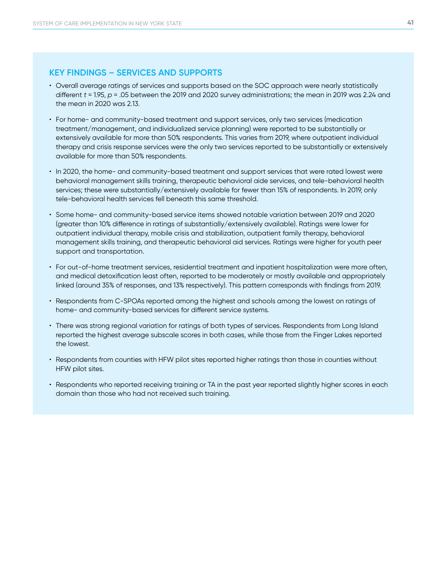#### **KEY FINDINGS – SERVICES AND SUPPORTS**

- Overall average ratings of services and supports based on the SOC approach were nearly statistically different *t* = 1.95, *p* = .05 between the 2019 and 2020 survey administrations; the mean in 2019 was 2.24 and the mean in 2020 was 2.13.
- For home- and community-based treatment and support services, only two services (medication treatment/management, and individualized service planning) were reported to be substantially or extensively available for more than 50% respondents. This varies from 2019, where outpatient individual therapy and crisis response services were the only two services reported to be substantially or extensively available for more than 50% respondents.
- In 2020, the home- and community-based treatment and support services that were rated lowest were behavioral management skills training, therapeutic behavioral aide services, and tele-behavioral health services; these were substantially/extensively available for fewer than 15% of respondents. In 2019, only tele-behavioral health services fell beneath this same threshold.
- Some home- and community-based service items showed notable variation between 2019 and 2020 (greater than 10% difference in ratings of substantially/extensively available). Ratings were lower for outpatient individual therapy, mobile crisis and stabilization, outpatient family therapy, behavioral management skills training, and therapeutic behavioral aid services. Ratings were higher for youth peer support and transportation.
- For out-of-home treatment services, residential treatment and inpatient hospitalization were more often, and medical detoxification least often, reported to be moderately or mostly available and appropriately linked (around 35% of responses, and 13% respectively). This pattern corresponds with findings from 2019.
- Respondents from C-SPOAs reported among the highest and schools among the lowest on ratings of home- and community-based services for different service systems.
- There was strong regional variation for ratings of both types of services. Respondents from Long Island reported the highest average subscale scores in both cases, while those from the Finger Lakes reported the lowest.
- Respondents from counties with HFW pilot sites reported higher ratings than those in counties without HFW pilot sites.
- Respondents who reported receiving training or TA in the past year reported slightly higher scores in each domain than those who had not received such training.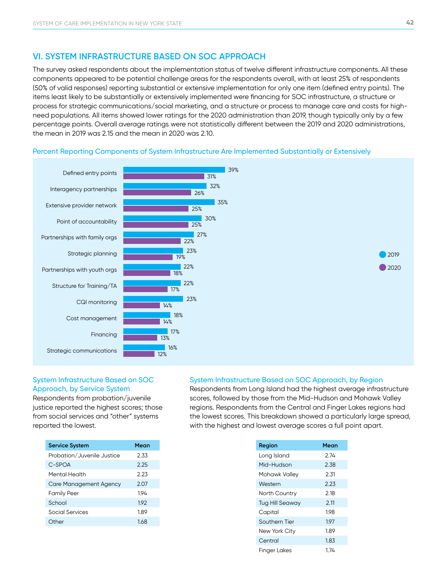#### **VI. SYSTEM INFRASTRUCTURE BASED ON SOC APPROACH**

The survey asked respondents about the implementation status of twelve different infrastructure components. All these components appeared to be potential challenge areas for the respondents overall, with at least 25% of respondents (50% of valid responses) reporting substantial or extensive implementation for only one item (defined entry points). The items least likely to be substantially or extensively implemented were financing for SOC infrastructure, a structure or process for strategic communications/social marketing, and a structure or process to manage care and costs for highneed populations. All items showed lower ratings for the 2020 administration than 2019, though typically only by a few percentage points. Overall average ratings were not statistically different between the 2019 and 2020 administrations, the mean in 2019 was 2.15 and the mean in 2020 was 2.10.

![](_page_42_Figure_3.jpeg)

#### Percent Reporting Components of System Infrastructure Are Implemented Substantially or Extensively

#### System Infrastructure Based on SOC Approach, by Service System

Respondents from probation/juvenile justice reported the highest scores; those from social services and "other" systems reported the lowest.

| <b>Service System</b>      | Mean |
|----------------------------|------|
| Probation/Juvenile Justice | 2.33 |
| C-SPOA                     | 2.25 |
| Mental Health              | 2.23 |
| Care Management Agency     | 2.07 |
| Family Peer                | 194  |
| School                     | 192  |
| Social Services            | 1.89 |
| ∩ther                      | 168  |

#### System Infrastructure Based on SOC Approach, by Region

Respondents from Long Island had the highest average infrastructure scores, followed by those from the Mid-Hudson and Mohawk Valley regions. Respondents from the Central and Finger Lakes regions had the lowest scores. This breakdown showed a particularly large spread, with the highest and lowest average scores a full point apart.

| Region                 | Mean |
|------------------------|------|
| Long Island            | 2.74 |
| Mid-Hudson             | 2.38 |
| Mohawk Valley          | 2.31 |
| Western                | 2.23 |
| <b>North Country</b>   | 2.18 |
| <b>Tug Hill Seaway</b> | 2.11 |
| Capital                | 198  |
| Southern Tier          | 197  |
| New York City          | 1.89 |
| Central                | 1.83 |
| <b>Finger Lakes</b>    | 1.74 |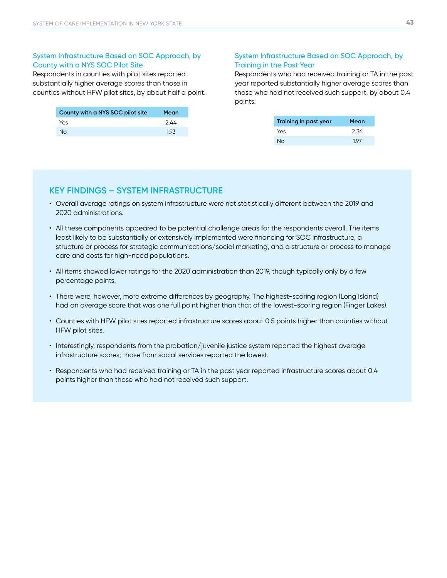#### System Infrastructure Based on SOC Approach, by County with a NYS SOC Pilot Site

Respondents in counties with pilot sites reported substantially higher average scores than those in counties without HFW pilot sites, by about half a point.

| County with a NYS SOC pilot site | Mean |
|----------------------------------|------|
| Yes                              | 2.44 |
| No.                              | 193  |

#### System Infrastructure Based on SOC Approach, by Training in the Past Year

Respondents who had received training or TA in the past year reported substantially higher average scores than those who had not received such support, by about 0.4 points.

| Training in past year | Mean |
|-----------------------|------|
| Yes                   | 2.36 |
| No.                   | 197  |

#### **KEY FINDINGS – SYSTEM INFRASTRUCTURE**

- Overall average ratings on system infrastructure were not statistically different between the 2019 and 2020 administrations.
- All these components appeared to be potential challenge areas for the respondents overall. The items least likely to be substantially or extensively implemented were financing for SOC infrastructure, a structure or process for strategic communications/social marketing, and a structure or process to manage care and costs for high-need populations.
- All items showed lower ratings for the 2020 administration than 2019, though typically only by a few percentage points.
- There were, however, more extreme differences by geography. The highest-scoring region (Long Island) had an average score that was one full point higher than that of the lowest-scoring region (Finger Lakes).
- Counties with HFW pilot sites reported infrastructure scores about 0.5 points higher than counties without HFW pilot sites.
- Interestingly, respondents from the probation/juvenile justice system reported the highest average infrastructure scores; those from social services reported the lowest.
- Respondents who had received training or TA in the past year reported infrastructure scores about 0.4 points higher than those who had not received such support.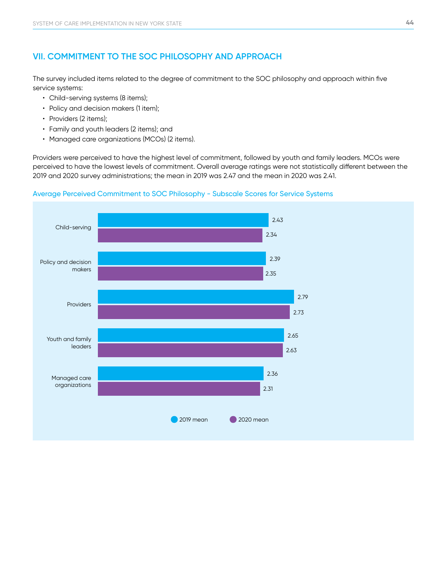#### **VII. COMMITMENT TO THE SOC PHILOSOPHY AND APPROACH**

The survey included items related to the degree of commitment to the SOC philosophy and approach within five service systems:

- Child-serving systems (8 items);
- Policy and decision makers (1 item);
- Providers (2 items);
- Family and youth leaders (2 items); and
- Managed care organizations (MCOs) (2 items).

Providers were perceived to have the highest level of commitment, followed by youth and family leaders. MCOs were perceived to have the lowest levels of commitment. Overall average ratings were not statistically different between the 2019 and 2020 survey administrations; the mean in 2019 was 2.47 and the mean in 2020 was 2.41.

![](_page_44_Figure_9.jpeg)

#### Average Perceived Commitment to SOC Philosophy - Subscale Scores for Service Systems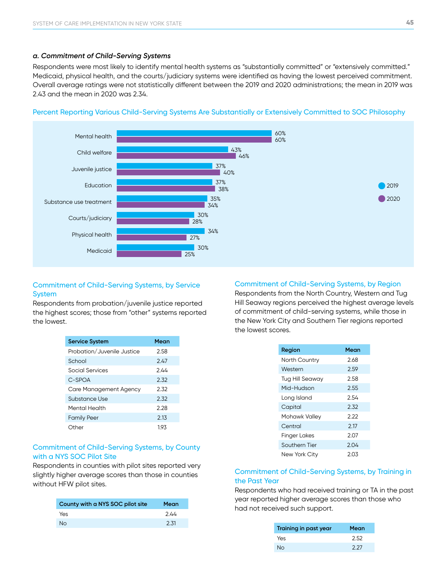#### *a. Commitment of Child-Serving Systems*

Respondents were most likely to identify mental health systems as "substantially committed" or "extensively committed." Medicaid, physical health, and the courts/judiciary systems were identified as having the lowest perceived commitment. Overall average ratings were not statistically different between the 2019 and 2020 administrations; the mean in 2019 was 2.43 and the mean in 2020 was 2.34.

![](_page_45_Figure_3.jpeg)

#### Percent Reporting Various Child-Serving Systems Are Substantially or Extensively Committed to SOC Philosophy

#### Commitment of Child-Serving Systems, by Service **System**

Respondents from probation/juvenile justice reported the highest scores; those from "other" systems reported the lowest.

| <b>Service System</b>      | Mean |
|----------------------------|------|
| Probation/Juvenile Justice | 2.58 |
| School                     | 2.47 |
| <b>Social Services</b>     | 244  |
| C-SPOA                     | 2.32 |
| Care Management Agency     | 2.32 |
| Substance Use              | 2.32 |
| Mental Health              | 2.28 |
| <b>Family Peer</b>         | 2.13 |
| Other                      | 193  |

#### Commitment of Child-Serving Systems, by County with a NYS SOC Pilot Site

Respondents in counties with pilot sites reported very slightly higher average scores than those in counties without HFW pilot sites.

| County with a NYS SOC pilot site | Mean |
|----------------------------------|------|
| Yes                              | 2.44 |
| <b>No</b>                        | 2.31 |

#### Commitment of Child-Serving Systems, by Region

Respondents from the North Country, Western and Tug Hill Seaway regions perceived the highest average levels of commitment of child-serving systems, while those in the New York City and Southern Tier regions reported the lowest scores.

| Region              | Mean |
|---------------------|------|
| North Country       | 2.68 |
| Western             | 2.59 |
| Tug Hill Seaway     | 2.58 |
| Mid-Hudson          | 2.55 |
| Long Island         | 2.54 |
| Capital             | 2.32 |
| Mohawk Valley       | 2.22 |
| Central             | 2.17 |
| <b>Finger Lakes</b> | 2.07 |
| Southern Tier       | 2.04 |
| New York City       | 2.03 |

#### Commitment of Child-Serving Systems, by Training in the Past Year

| Training in past year | Mean |
|-----------------------|------|
| Yes                   | 2.52 |
| Nο                    | 2.27 |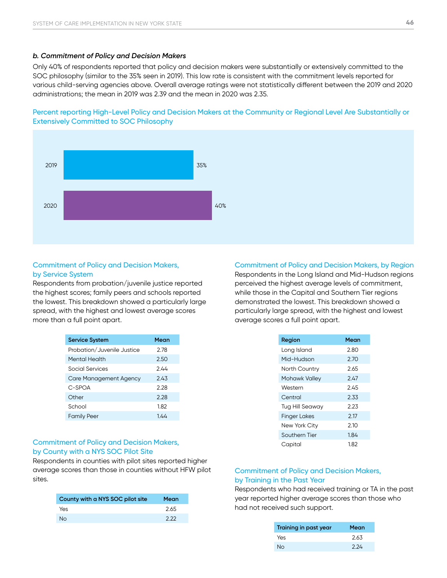#### *b. Commitment of Policy and Decision Makers*

Only 40% of respondents reported that policy and decision makers were substantially or extensively committed to the SOC philosophy (similar to the 35% seen in 2019). This low rate is consistent with the commitment levels reported for various child-serving agencies above. Overall average ratings were not statistically different between the 2019 and 2020 administrations; the mean in 2019 was 2.39 and the mean in 2020 was 2.35.

![](_page_46_Figure_3.jpeg)

![](_page_46_Figure_4.jpeg)

#### Commitment of Policy and Decision Makers, by Service System

Respondents from probation/juvenile justice reported the highest scores; family peers and schools reported the lowest. This breakdown showed a particularly large spread, with the highest and lowest average scores more than a full point apart.

| <b>Service System</b>      | Mean |
|----------------------------|------|
| Probation/Juvenile Justice | 2.78 |
| Mental Health              | 2.50 |
| Social Services            | 244  |
| Care Management Agency     | 2.43 |
| C-SPOA                     | 2.28 |
| Other                      | 2.28 |
| School                     | 1.82 |
| <b>Family Peer</b>         | 144  |

#### Commitment of Policy and Decision Makers, by County with a NYS SOC Pilot Site

Respondents in counties with pilot sites reported higher average scores than those in counties without HFW pilot sites.

| County with a NYS SOC pilot site | Mean |
|----------------------------------|------|
| Yes                              | 2.65 |
| <b>No</b>                        | 222  |

#### Commitment of Policy and Decision Makers, by Region

Respondents in the Long Island and Mid-Hudson regions perceived the highest average levels of commitment, while those in the Capital and Southern Tier regions demonstrated the lowest. This breakdown showed a particularly large spread, with the highest and lowest average scores a full point apart.

| Region                 | Mean |
|------------------------|------|
| Long Island            | 2.80 |
| Mid-Hudson             | 2.70 |
| North Country          | 2.65 |
| Mohawk Valley          | 2.47 |
| Western                | 245  |
| Central                | 2.33 |
| <b>Tug Hill Seaway</b> | 2.23 |
| <b>Finger Lakes</b>    | 2.17 |
| New York City          | 2.10 |
| Southern Tier          | 1.84 |
| Capital                | 1.82 |

#### Commitment of Policy and Decision Makers, by Training in the Past Year

| Training in past year | Mean |
|-----------------------|------|
| Yes                   | 2.63 |
| Nο                    | 2.24 |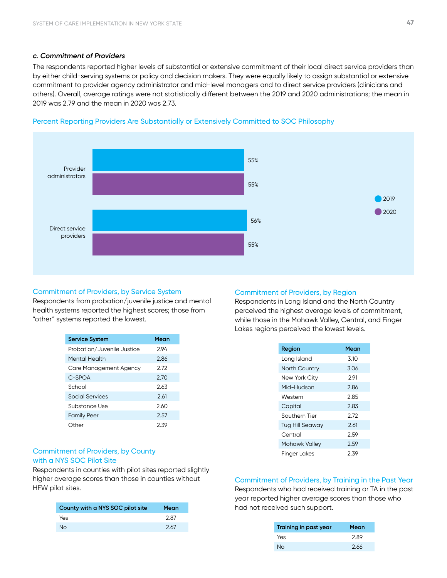#### *c. Commitment of Providers*

The respondents reported higher levels of substantial or extensive commitment of their local direct service providers than by either child-serving systems or policy and decision makers. They were equally likely to assign substantial or extensive commitment to provider agency administrator and mid-level managers and to direct service providers (clinicians and others). Overall, average ratings were not statistically different between the 2019 and 2020 administrations; the mean in 2019 was 2.79 and the mean in 2020 was 2.73.

![](_page_47_Figure_3.jpeg)

![](_page_47_Figure_4.jpeg)

#### Commitment of Providers, by Service System

Respondents from probation/juvenile justice and mental health systems reported the highest scores; those from "other" systems reported the lowest.

| <b>Service System</b>      | Mean |
|----------------------------|------|
| Probation/Juvenile Justice | 294  |
| Mental Health              | 2.86 |
| Care Management Agency     | 2.72 |
| C-SPOA                     | 2.70 |
| School                     | 2.63 |
| Social Services            | 2.61 |
| Substance Use              | 2.60 |
| <b>Family Peer</b>         | 2.57 |
| Other                      | 2.39 |

#### Commitment of Providers, by County with a NYS SOC Pilot Site

Respondents in counties with pilot sites reported slightly higher average scores than those in counties without HFW pilot sites.

| County with a NYS SOC pilot site | Mean |
|----------------------------------|------|
| Yes                              | 2.87 |
| <b>No</b>                        | 2.67 |

#### Commitment of Providers, by Region

Respondents in Long Island and the North Country perceived the highest average levels of commitment, while those in the Mohawk Valley, Central, and Finger Lakes regions perceived the lowest levels.

| Region                 | Mean |
|------------------------|------|
| Long Island            | 3.10 |
| <b>North Country</b>   | 3.06 |
| New York City          | 2.91 |
| Mid-Hudson             | 2.86 |
| Western                | 2.85 |
| Capital                | 2.83 |
| Southern Tier          | 2.72 |
| <b>Tug Hill Seaway</b> | 2.61 |
| Central                | 2.59 |
| Mohawk Valley          | 2.59 |
| Finger Lakes           | 2.39 |

#### Commitment of Providers, by Training in the Past Year

| Training in past year | Mean |
|-----------------------|------|
| Yes                   | 2.89 |
| Nο                    | 2.66 |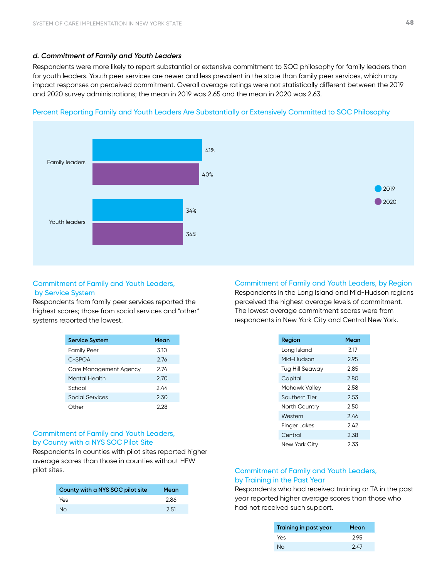#### *d. Commitment of Family and Youth Leaders*

Respondents were more likely to report substantial or extensive commitment to SOC philosophy for family leaders than for youth leaders. Youth peer services are newer and less prevalent in the state than family peer services, which may impact responses on perceived commitment. Overall average ratings were not statistically different between the 2019 and 2020 survey administrations; the mean in 2019 was 2.65 and the mean in 2020 was 2.63.

![](_page_48_Figure_3.jpeg)

#### Percent Reporting Family and Youth Leaders Are Substantially or Extensively Committed to SOC Philosophy

#### Commitment of Family and Youth Leaders, by Service System

Respondents from family peer services reported the highest scores; those from social services and "other" systems reported the lowest.

| <b>Service System</b>  | Mean |
|------------------------|------|
| <b>Family Peer</b>     | 3.10 |
| C-SPOA                 | 2.76 |
| Care Management Agency | 2.74 |
| <b>Mental Health</b>   | 2.70 |
| School                 | 2.44 |
| Social Services        | 2.30 |
| Other                  | 2.28 |

#### Commitment of Family and Youth Leaders, by County with a NYS SOC Pilot Site

Respondents in counties with pilot sites reported higher average scores than those in counties without HFW pilot sites.

| County with a NYS SOC pilot site | Mean |
|----------------------------------|------|
| Yes                              | 2.86 |
| <b>No</b>                        | 2.51 |

Commitment of Family and Youth Leaders, by Region

Respondents in the Long Island and Mid-Hudson regions perceived the highest average levels of commitment. The lowest average commitment scores were from respondents in New York City and Central New York.

| Region              | Mean |
|---------------------|------|
| Long Island         | 3.17 |
| Mid-Hudson          | 2.95 |
| Tug Hill Seaway     | 2.85 |
| Capital             | 2.80 |
| Mohawk Valley       | 2.58 |
| Southern Tier       | 2.53 |
| North Country       | 2.50 |
| Western             | 246  |
| <b>Finger Lakes</b> | 242  |
| Central             | 2.38 |
| New York City       | 2.33 |

#### Commitment of Family and Youth Leaders, by Training in the Past Year

| Training in past year | Mean |
|-----------------------|------|
| Yes                   | 2.95 |
| Nο                    | 2.47 |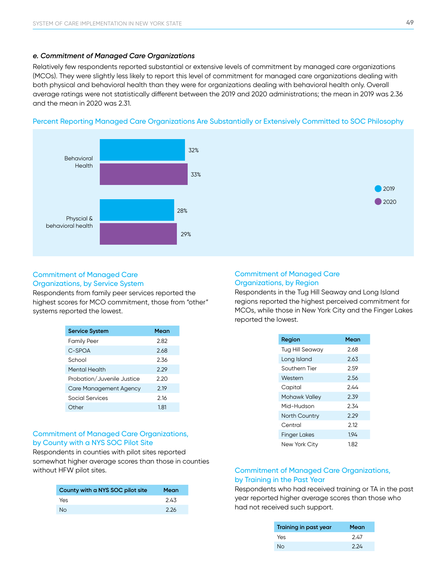#### *e. Commitment of Managed Care Organizations*

Relatively few respondents reported substantial or extensive levels of commitment by managed care organizations (MCOs). They were slightly less likely to report this level of commitment for managed care organizations dealing with both physical and behavioral health than they were for organizations dealing with behavioral health only. Overall average ratings were not statistically different between the 2019 and 2020 administrations; the mean in 2019 was 2.36 and the mean in 2020 was 2.31.

![](_page_49_Figure_3.jpeg)

![](_page_49_Figure_4.jpeg)

#### Commitment of Managed Care Organizations, by Service System

Respondents from family peer services reported the highest scores for MCO commitment, those from "other" systems reported the lowest.

| <b>Service System</b>      | Mean |
|----------------------------|------|
| <b>Family Peer</b>         | 2.82 |
| C-SPOA                     | 2.68 |
| School                     | 2.36 |
| <b>Mental Health</b>       | 2.29 |
| Probation/Juvenile Justice | 2.20 |
| Care Management Agency     | 2.19 |
| <b>Social Services</b>     | 2.16 |
| Other                      | 1.81 |

#### Commitment of Managed Care Organizations, by County with a NYS SOC Pilot Site

Respondents in counties with pilot sites reported somewhat higher average scores than those in counties without HFW pilot sites.

| County with a NYS SOC pilot site | Mean |
|----------------------------------|------|
| Yes                              | 2.43 |
| <b>No</b>                        | 2.26 |

#### Commitment of Managed Care Organizations, by Region

Respondents in the Tug Hill Seaway and Long Island regions reported the highest perceived commitment for MCOs, while those in New York City and the Finger Lakes reported the lowest.

| Region               | Mean |
|----------------------|------|
| Tug Hill Seaway      | 2.68 |
| Long Island          | 2.63 |
| Southern Tier        | 2.59 |
| Western              | 2.56 |
| Capital              | 2.44 |
| <b>Mohawk Valley</b> | 2.39 |
| Mid-Hudson           | 2.34 |
| <b>North Country</b> | 2.29 |
| Central              | 2.12 |
| <b>Finger Lakes</b>  | 194  |
| New York Citv        | 1.82 |

#### Commitment of Managed Care Organizations, by Training in the Past Year

| Training in past year | Mean |
|-----------------------|------|
| Yes                   | 2.47 |
| Nο                    | 2.24 |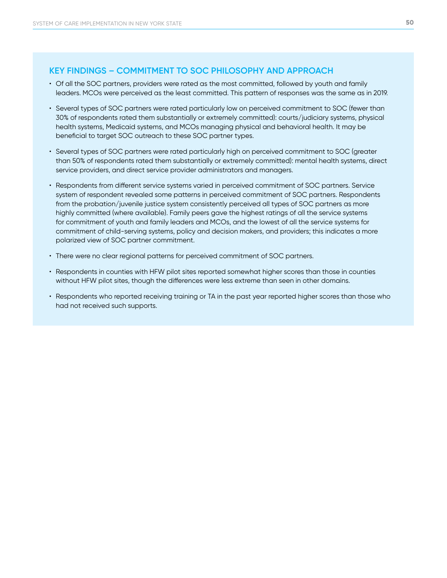#### **KEY FINDINGS – COMMITMENT TO SOC PHILOSOPHY AND APPROACH**

- Of all the SOC partners, providers were rated as the most committed, followed by youth and family leaders. MCOs were perceived as the least committed. This pattern of responses was the same as in 2019.
- Several types of SOC partners were rated particularly low on perceived commitment to SOC (fewer than 30% of respondents rated them substantially or extremely committed): courts/judiciary systems, physical health systems, Medicaid systems, and MCOs managing physical and behavioral health. It may be beneficial to target SOC outreach to these SOC partner types.
- Several types of SOC partners were rated particularly high on perceived commitment to SOC (greater than 50% of respondents rated them substantially or extremely committed): mental health systems, direct service providers, and direct service provider administrators and managers.
- Respondents from different service systems varied in perceived commitment of SOC partners. Service system of respondent revealed some patterns in perceived commitment of SOC partners. Respondents from the probation/juvenile justice system consistently perceived all types of SOC partners as more highly committed (where available). Family peers gave the highest ratings of all the service systems for commitment of youth and family leaders and MCOs, and the lowest of all the service systems for commitment of child-serving systems, policy and decision makers, and providers; this indicates a more polarized view of SOC partner commitment.
- There were no clear regional patterns for perceived commitment of SOC partners.
- Respondents in counties with HFW pilot sites reported somewhat higher scores than those in counties without HFW pilot sites, though the differences were less extreme than seen in other domains.
- Respondents who reported receiving training or TA in the past year reported higher scores than those who had not received such supports.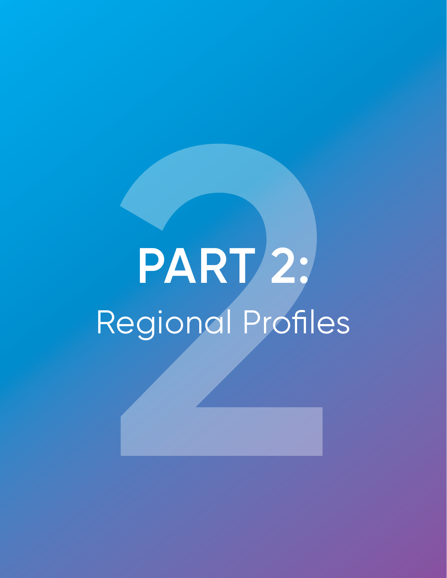# **PART 2:**<br>Regional Profiles **PART 2:**  Regional Profiles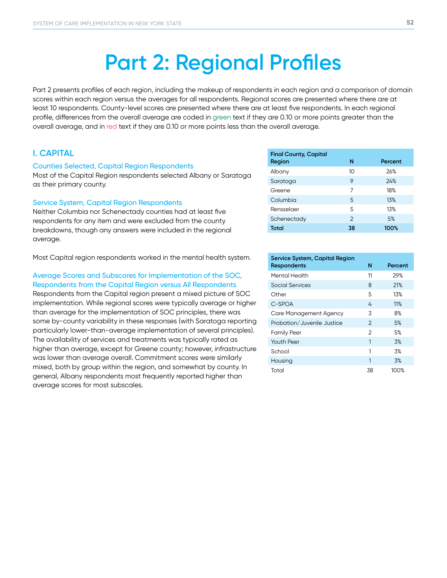## **Part 2: Regional Profiles**

Part 2 presents profiles of each region, including the makeup of respondents in each region and a comparison of domain scores within each region versus the averages for all respondents. Regional scores are presented where there are at least 10 respondents. County-level scores are presented where there are at least five respondents. In each regional profile, differences from the overall average are coded in green text if they are 0.10 or more points greater than the overall average, and in red text if they are 0.10 or more points less than the overall average.

#### **I. CAPITAL**

#### Counties Selected, Capital Region Respondents

Most of the Capital Region respondents selected Albany or Saratoga as their primary county.

#### Service System, Capital Region Respondents

Neither Columbia nor Schenectady counties had at least five respondents for any item and were excluded from the county breakdowns, though any answers were included in the regional average.

Most Capital region respondents worked in the mental health system.

#### Average Scores and Subscores for Implementation of the SOC, Respondents from the Capital Region versus All Respondents

Respondents from the Capital region present a mixed picture of SOC implementation. While regional scores were typically average or higher than average for the implementation of SOC principles, there was some by-county variability in these responses (with Saratoga reporting particularly lower-than-average implementation of several principles). The availability of services and treatments was typically rated as higher than average, except for Greene county; however, infrastructure was lower than average overall. Commitment scores were similarly mixed, both by group within the region, and somewhat by county. In general, Albany respondents most frequently reported higher than average scores for most subscales.

| <b>Final County, Capital</b> |               |         |  |  |  |
|------------------------------|---------------|---------|--|--|--|
| Region                       | N             | Percent |  |  |  |
| Albany                       | 10            | 26%     |  |  |  |
| Saratoga                     | 9             | 24%     |  |  |  |
| Greene                       | 7             | 18%     |  |  |  |
| Columbia                     | 5             | 13%     |  |  |  |
| Rensselaer                   | 5             | 13%     |  |  |  |
| Schenectady                  | $\mathcal{P}$ | 5%      |  |  |  |
| <b>Total</b>                 | 38            | 100%    |  |  |  |

| Service System, Capital Region<br>Respondents | N             | Percent |
|-----------------------------------------------|---------------|---------|
| Mental Health                                 | 11            | 29%     |
| Social Services                               | 8             | 21%     |
| Other                                         | 5             | 13%     |
| C-SPOA                                        | 4             | 11%     |
| Care Management Agency                        | 3             | 8%      |
| Probation/Juvenile Justice                    | $\mathcal{P}$ | 5%      |
| <b>Family Peer</b>                            | $\mathcal{P}$ | .5%     |
| <b>Youth Peer</b>                             | 1             | 3%      |
| School                                        | 1             | 3%      |
| Housing                                       | 1             | 3%      |
| Total                                         | 38            | 100%    |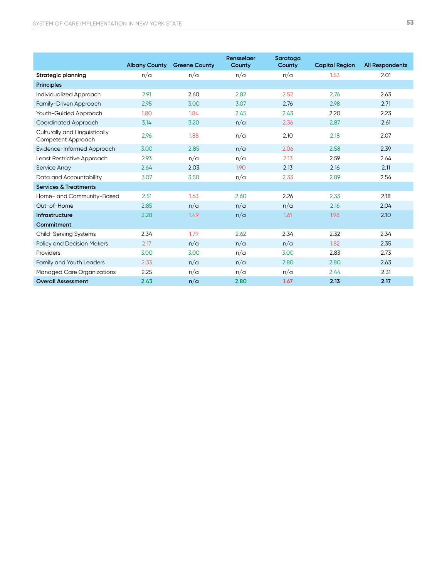|                                                     | <b>Albany County</b> | <b>Greene County</b> | Rensselaer<br>County | Saratoga<br>County | <b>Capital Region</b> | <b>All Respondents</b> |
|-----------------------------------------------------|----------------------|----------------------|----------------------|--------------------|-----------------------|------------------------|
|                                                     |                      |                      | n/a                  | n/a                |                       |                        |
| Strategic planning                                  | n/a                  | n/a                  |                      |                    | 1.53                  | 2.01                   |
| <b>Principles</b>                                   |                      |                      |                      |                    |                       |                        |
| Individualized Approach                             | 2.91                 | 2.60                 | 2.82                 | 2.52               | 2.76                  | 2.63                   |
| Family-Driven Approach                              | 2.95                 | 3.00                 | 3.07                 | 2.76               | 2.98                  | 2.71                   |
| Youth-Guided Approach                               | 1.80                 | 1.84                 | 2.45                 | 2.43               | 2.20                  | 2.23                   |
| <b>Coordinated Approach</b>                         | 3.14                 | 3.20                 | n/a                  | 2.36               | 2.87                  | 2.61                   |
| Culturally and Linguistically<br>Competent Approach | 2.96                 | 1.88                 | n/a                  | 2.10               | 2.18                  | 2.07                   |
| Evidence-Informed Approach                          | 3.00                 | 2.85                 | n/a                  | 2.06               | 2.58                  | 2.39                   |
| Least Restrictive Approach                          | 2.93                 | n/a                  | n/a                  | 2.13               | 2.59                  | 2.64                   |
| Service Array                                       | 2.64                 | 2.03                 | 1.90                 | 2.13               | 2.16                  | 2.11                   |
| Data and Accountability                             | 3.07                 | 3.50                 | n/a                  | 2.33               | 2.89                  | 2.54                   |
| <b>Services &amp; Treatments</b>                    |                      |                      |                      |                    |                       |                        |
| Home- and Community-Based                           | 2.51                 | 1.63                 | 2.60                 | 2.26               | 2.33                  | 2.18                   |
| Out-of-Home                                         | 2.85                 | n/a                  | n/a                  | n/a                | 2.16                  | 2.04                   |
| Infrastructure                                      | 2.28                 | 1.49                 | n/a                  | 1.61               | 1.98                  | 2.10                   |
| Commitment                                          |                      |                      |                      |                    |                       |                        |
| <b>Child-Serving Systems</b>                        | 2.34                 | 1.79                 | 2.62                 | 2.34               | 2.32                  | 2.34                   |
| <b>Policy and Decision Makers</b>                   | 2.17                 | n/a                  | n/a                  | n/a                | 1.82                  | 2.35                   |
| Providers                                           | 3.00                 | 3.00                 | n/a                  | 3.00               | 2.83                  | 2.73                   |
| Family and Youth Leaders                            | 2.33                 | n/a                  | n/a                  | 2.80               | 2.80                  | 2.63                   |
| <b>Managed Care Organizations</b>                   | 2.25                 | n/a                  | n/a                  | n/a                | 2.44                  | 2.31                   |
| <b>Overall Assessment</b>                           | 2.43                 | n/a                  | 2.80                 | 1.67               | 2.13                  | 2.17                   |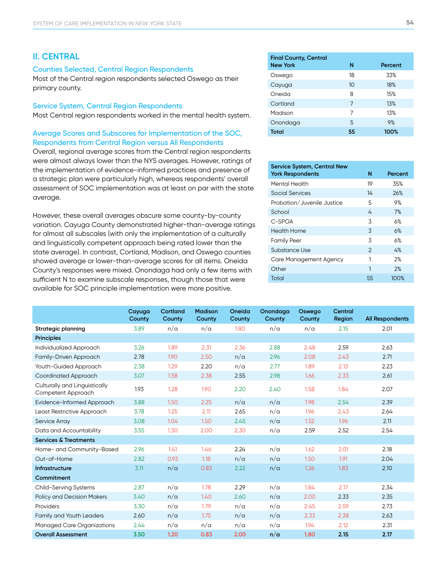#### **II. CENTRAL**

#### Counties Selected, Central Region Respondents

Most of the Central region respondents selected Oswego as their primary county.

#### Service System, Central Region Respondents

Most Central region respondents worked in the mental health system.

#### Average Scores and Subscores for Implementation of the SOC, Respondents from Central Region versus All Respondents

Overall, regional average scores from the Central region respondents were almost always lower than the NYS averages. However, ratings of the implementation of evidence-informed practices and presence of a strategic plan were particularly high, whereas respondents' overall assessment of SOC implementation was at least on par with the state average.

However, these overall averages obscure some county-by-county variation. Cayuga County demonstrated higher-than-average ratings for almost all subscales (with only the implementation of a culturally and linguistically competent approach being rated lower than the state average). In contrast, Cortland, Madison, and Oswego counties showed average or lower-than-average scores for all items. Oneida County's responses were mixed. Onondaga had only a few items with sufficient N to examine subscale responses, though those that were available for SOC principle implementation were more positive.

| <b>Final County, Central</b> |    |         |  |  |  |
|------------------------------|----|---------|--|--|--|
| <b>New York</b>              | N  | Percent |  |  |  |
| Oswego                       | 18 | 33%     |  |  |  |
| Cayuga                       | 10 | 18%     |  |  |  |
| Oneida                       | 8  | 15%     |  |  |  |
| Cortland                     | 7  | 13%     |  |  |  |
| Madison                      | 7  | 13%     |  |  |  |
| Onondaga                     | 5  | 9%      |  |  |  |
| Total                        | 55 | 100%    |  |  |  |

|               | Percent |
|---------------|---------|
|               |         |
| 19            | 35%     |
| 14            | 26%     |
| 5             | 9%      |
| 4             | 7%      |
| 3             | 6%      |
| 3             | 6%      |
| 3             | 6%      |
| $\mathcal{P}$ | 4%      |
| 1             | 2%      |
| 1             | 2%      |
| 55            | 100%    |
|               | N       |

|                                                     | Cayuga<br>County | Cortland<br>County | <b>Madison</b><br>County | Oneida<br>County | Onondaga<br>County | Oswego<br>County | Central<br>Region | <b>All Respondents</b> |
|-----------------------------------------------------|------------------|--------------------|--------------------------|------------------|--------------------|------------------|-------------------|------------------------|
| Strategic planning                                  | 3.89             | n/a                | n/a                      | 1.80             | n/a                | n/a              | 2.15              | 2.01                   |
| <b>Principles</b>                                   |                  |                    |                          |                  |                    |                  |                   |                        |
| Individualized Approach                             | 3.26             | 1.89               | 2.31                     | 2.36             | 2.88               | 2.48             | 2.59              | 2.63                   |
| Family-Driven Approach                              | 2.78             | 1.90               | 2.50                     | n/a              | 2.96               | 2.08             | 2.43              | 2.71                   |
| Youth-Guided Approach                               | 2.38             | 1.29               | 2.20                     | n/a              | 2.77               | 1.89             | 2.13              | 2.23                   |
| Coordinated Approach                                | 3.07             | 1.58               | 2.38                     | 2.55             | 2.98               | 1.66             | 2.33              | 2.61                   |
| Culturally and Linguistically<br>Competent Approach | 1.93             | 1.28               | 1.90                     | 2.20             | 2.40               | 1.58             | 1.84              | 2.07                   |
| Evidence-Informed Approach                          | 3.88             | 1.50               | 2.25                     | n/a              | n/a                | 1.98             | 2.54              | 2.39                   |
| Least Restrictive Approach                          | 3.78             | 1.25               | 2.11                     | 2.65             | n/a                | 1.96             | 2.43              | 2.64                   |
| Service Array                                       | 3.08             | 1.04               | 1.50                     | 2.45             | n/a                | 1.52             | 1.96              | 2.11                   |
| Data and Accountability                             | 3.55             | 1.30               | 2.00                     | 2.30             | n/a                | 2.59             | 2.52              | 2.54                   |
| <b>Services &amp; Treatments</b>                    |                  |                    |                          |                  |                    |                  |                   |                        |
| Home- and Community-Based                           | 2.96             | 1.41               | 1.46                     | 2.24             | n/a                | 1.62             | 2.01              | 2.18                   |
| Out-of-Home                                         | 2.82             | 0.93               | 1.18                     | n/a              | n/a                | 1.50             | 1.91              | 2.04                   |
| Infrastructure                                      | 3.11             | n/a                | 0.83                     | 2.22             | n/a                | 1.26             | 1.83              | 2.10                   |
| Commitment                                          |                  |                    |                          |                  |                    |                  |                   |                        |
| <b>Child-Serving Systems</b>                        | 2.87             | n/a                | 1.78                     | 2.29             | n/a                | 1.84             | 2.17              | 2.34                   |
| <b>Policy and Decision Makers</b>                   | 3.40             | n/a                | 1.40                     | 2.60             | n/a                | 2.00             | 2.33              | 2.35                   |
| Providers                                           | 3.30             | n/a                | 1.79                     | n/a              | n/a                | 2.45             | 2.59              | 2.73                   |
| <b>Family and Youth Leaders</b>                     | 2.60             | n/a                | 1.75                     | n/a              | n/a                | 2.33             | 2.38              | 2.63                   |
| <b>Managed Care Organizations</b>                   | 2.44             | n/a                | n/a                      | n/a              | n/a                | 1.94             | 2.12              | 2.31                   |
| <b>Overall Assessment</b>                           | 3.50             | 1.20               | 0.83                     | 2.00             | n/a                | 1.80             | 2.15              | 2.17                   |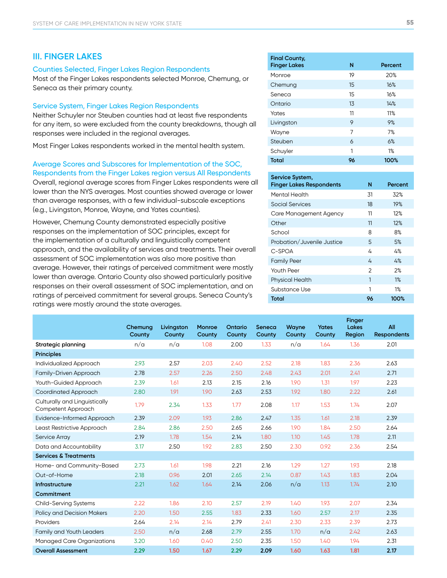#### **III. FINGER LAKES**

#### Counties Selected, Finger Lakes Region Respondents

Most of the Finger Lakes respondents selected Monroe, Chemung, or Seneca as their primary county.

#### Service System, Finger Lakes Region Respondents

Neither Schuyler nor Steuben counties had at least five respondents for any item, so were excluded from the county breakdowns, though all responses were included in the regional averages.

Most Finger Lakes respondents worked in the mental health system.

#### Average Scores and Subscores for Implementation of the SOC, Respondents from the Finger Lakes region versus All Respondents

Overall, regional average scores from Finger Lakes respondents were all lower than the NYS averages. Most counties showed average or lower than average responses, with a few individual-subscale exceptions (e.g., Livingston, Monroe, Wayne, and Yates counties).

However, Chemung County demonstrated especially positive responses on the implementation of SOC principles, except for the implementation of a culturally and linguistically competent approach, and the availability of services and treatments. Their overall assessment of SOC implementation was also more positive than average. However, their ratings of perceived commitment were mostly lower than average. Ontario County also showed particularly positive responses on their overall assessment of SOC implementation, and on ratings of perceived commitment for several groups. Seneca County's ratings were mostly around the state averages.

| <b>Final County,</b><br><b>Finger Lakes</b> | N  | Percent |
|---------------------------------------------|----|---------|
| Monroe                                      | 19 | 20%     |
| Chemung                                     | 15 | 16%     |
| Seneca                                      | 15 | 16%     |
| Ontario                                     | 13 | 14%     |
| Yates                                       | 11 | 11%     |
| Livingston                                  | 9  | 9%      |
| Wayne                                       | 7  | 7%      |
| Steuben                                     | 6  | 6%      |
| Schuyler                                    | 1  | 1%      |
| <b>Total</b>                                | 96 | 100%    |

#### **Service System,**

| <b>Finger Lakes Respondents</b> | N             | Percent |
|---------------------------------|---------------|---------|
| Mental Health                   | 31            | 32%     |
| Social Services                 | 18            | 19%     |
| Care Management Agency          | 11            | 12%     |
| Other                           | 11            | 12%     |
| School                          | 8             | 8%      |
| Probation/Juvenile Justice      | 5             | 5%      |
| C-SPOA                          | 4             | 4%      |
| <b>Family Peer</b>              | 4             | 4%      |
| Youth Peer                      | $\mathcal{P}$ | 2%      |
| <b>Physical Health</b>          | 1             | 1%      |
| Substance Use                   | 1             | 1%      |
| Total                           | 96            | 100%    |

|                                                     |         |            |        |         |        |              |              | <b>Finger</b> |                    |
|-----------------------------------------------------|---------|------------|--------|---------|--------|--------------|--------------|---------------|--------------------|
|                                                     | Chemung | Livingston | Monroe | Ontario | Seneca | <b>Wayne</b> | <b>Yates</b> | Lakes         | All                |
|                                                     | County  | County     | County | County  | County | County       | County       | Region        | <b>Respondents</b> |
| Strategic planning                                  | n/a     | n/a        | 1.08   | 2.00    | 1.33   | n/a          | 1.64         | 1.36          | 2.01               |
| <b>Principles</b>                                   |         |            |        |         |        |              |              |               |                    |
| Individualized Approach                             | 2.93    | 2.57       | 2.03   | 2.40    | 2.52   | 2.18         | 1.83         | 2.36          | 2.63               |
| Family-Driven Approach                              | 2.78    | 2.57       | 2.26   | 2.50    | 2.48   | 2.43         | 2.01         | 2.41          | 2.71               |
| Youth-Guided Approach                               | 2.39    | 1.61       | 2.13   | 2.15    | 2.16   | 1.90         | 1.31         | 1.97          | 2.23               |
| Coordinated Approach                                | 2.80    | 1.91       | 1.90   | 2.63    | 2.53   | 1.92         | 1.80         | 2.22          | 2.61               |
| Culturally and Linguistically<br>Competent Approach | 1.79    | 2.34       | 1.33   | 1.77    | 2.08   | 1.17         | 1.53         | 1.74          | 2.07               |
| Evidence-Informed Approach                          | 2.39    | 2.09       | 1.93   | 2.86    | 2.47   | 1.35         | 1.61         | 2.18          | 2.39               |
| Least Restrictive Approach                          | 2.84    | 2.86       | 2.50   | 2.65    | 2.66   | 1.90         | 1.84         | 2.50          | 2.64               |
| Service Array                                       | 2.19    | 1.78       | 1.54   | 2.14    | 1.80   | 1.10         | 1.45         | 1.78          | 2.11               |
| Data and Accountability                             | 3.17    | 2.50       | 1.92   | 2.83    | 2.50   | 2.30         | 0.92         | 2.36          | 2.54               |
| <b>Services &amp; Treatments</b>                    |         |            |        |         |        |              |              |               |                    |
| Home- and Community-Based                           | 2.73    | 1.61       | 1.98   | 2.21    | 2.16   | 1.29         | 1.27         | 1.93          | 2.18               |
| Out-of-Home                                         | 2.18    | 0.96       | 2.01   | 2.65    | 2.14   | 0.87         | 1.43         | 1.83          | 2.04               |
| Infrastructure                                      | 2.21    | 1.62       | 1.64   | 2.14    | 2.06   | n/a          | 1.13         | 1.74          | 2.10               |
| Commitment                                          |         |            |        |         |        |              |              |               |                    |
| <b>Child-Serving Systems</b>                        | 2.22    | 1.86       | 2.10   | 2.57    | 2.19   | 1.40         | 1.93         | 2.07          | 2.34               |
| <b>Policy and Decision Makers</b>                   | 2.20    | 1.50       | 2.55   | 1.83    | 2.33   | 1.60         | 2.57         | 2.17          | 2.35               |
| Providers                                           | 2.64    | 2.14       | 2.14   | 2.79    | 2.41   | 2.30         | 2.33         | 2.39          | 2.73               |
| <b>Family and Youth Leaders</b>                     | 2.50    | n/a        | 2.68   | 2.79    | 2.55   | 1.70         | n/a          | 2.42          | 2.63               |
| <b>Managed Care Organizations</b>                   | 3.20    | 1.60       | 0.40   | 2.50    | 2.35   | 1.50         | 1.40         | 1.94          | 2.31               |
| <b>Overall Assessment</b>                           | 2.29    | 1.50       | 1.67   | 2.29    | 2.09   | 1.60         | 1.63         | 1.81          | 2.17               |
|                                                     |         |            |        |         |        |              |              |               |                    |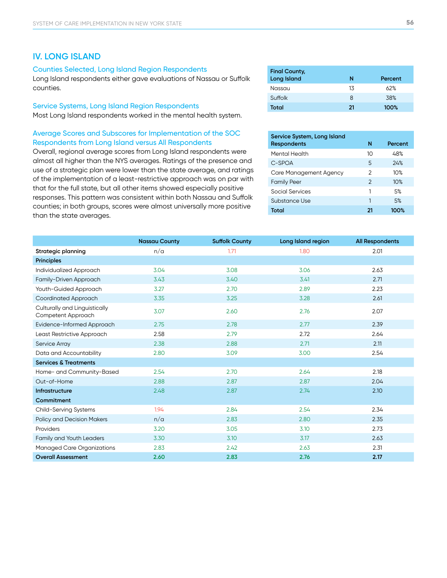#### **IV. LONG ISLAND**

#### Counties Selected, Long Island Region Respondents

Long Island respondents either gave evaluations of Nassau or Suffolk counties.

#### Service Systems, Long Island Region Respondents

Most Long Island respondents worked in the mental health system.

#### Average Scores and Subscores for Implementation of the SOC Respondents from Long Island versus All Respondents

Overall, regional average scores from Long Island respondents were almost all higher than the NYS averages. Ratings of the presence and use of a strategic plan were lower than the state average, and ratings of the implementation of a least-restrictive approach was on par with that for the full state, but all other items showed especially positive responses. This pattern was consistent within both Nassau and Suffolk counties; in both groups, scores were almost universally more positive than the state averages.

| <b>Final County,</b><br><b>Long Island</b> | N  | Percent |
|--------------------------------------------|----|---------|
| Nassau                                     | 13 | 62%     |
| Suffolk                                    | 8  | 38%     |
| Total                                      | 21 | 100%    |

| Service System, Long Island<br><b>Respondents</b> | N             | Percent |
|---------------------------------------------------|---------------|---------|
|                                                   |               |         |
| Mental Health                                     | 10            | 48%     |
| C-SPOA                                            | 5             | 24%     |
| Care Management Agency                            | 2             | 10%     |
| <b>Family Peer</b>                                | $\mathcal{P}$ | 10%     |
| Social Services                                   | 1             | .5%     |
| Substance Use                                     | 1             | .5%     |
| Total                                             | 21            | 100%    |

|                                                     | <b>Nassau County</b> | <b>Suffolk County</b> | Long Island region | <b>All Respondents</b> |
|-----------------------------------------------------|----------------------|-----------------------|--------------------|------------------------|
| Strategic planning                                  | n/a                  | 1.71                  | 1.80               | 2.01                   |
| <b>Principles</b>                                   |                      |                       |                    |                        |
| Individualized Approach                             | 3.04                 | 3.08                  | 3.06               | 2.63                   |
| Family-Driven Approach                              | 3.43                 | 3.40                  | 3.41               | 2.71                   |
| Youth-Guided Approach                               | 3.27                 | 2.70                  | 2.89               | 2.23                   |
| Coordinated Approach                                | 3.35                 | 3.25                  | 3.28               | 2.61                   |
| Culturally and Linguistically<br>Competent Approach | 3.07                 | 2.60                  | 2.76               | 2.07                   |
| Evidence-Informed Approach                          | 2.75                 | 2.78                  | 2.77               | 2.39                   |
| Least Restrictive Approach                          | 2.58                 | 2.79                  | 2.72               | 2.64                   |
| Service Array                                       | 2.38                 | 2.88                  | 2.71               | 2.11                   |
| Data and Accountability                             | 2.80                 | 3.09                  | 3.00               | 2.54                   |
| <b>Services &amp; Treatments</b>                    |                      |                       |                    |                        |
| Home- and Community-Based                           | 2.54                 | 2.70                  | 2.64               | 2.18                   |
| Out-of-Home                                         | 2.88                 | 2.87                  | 2.87               | 2.04                   |
| Infrastructure                                      | 2.48                 | 2.87                  | 2.74               | 2.10                   |
| Commitment                                          |                      |                       |                    |                        |
| <b>Child-Serving Systems</b>                        | 1.94                 | 2.84                  | 2.54               | 2.34                   |
| <b>Policy and Decision Makers</b>                   | n/a                  | 2.83                  | 2.80               | 2.35                   |
| Providers                                           | 3.20                 | 3.05                  | 3.10               | 2.73                   |
| Family and Youth Leaders                            | 3.30                 | 3.10                  | 3.17               | 2.63                   |
| <b>Managed Care Organizations</b>                   | 2.83                 | 2.42                  | 2.63               | 2.31                   |
| <b>Overall Assessment</b>                           | 2.60                 | 2.83                  | 2.76               | 2.17                   |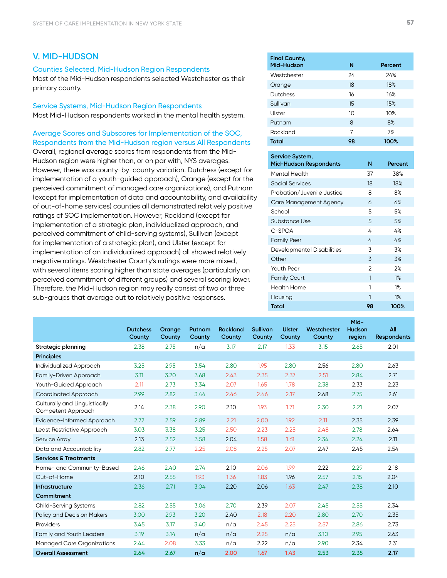#### **V. MID-HUDSON**

#### Counties Selected, Mid-Hudson Region Respondents

Most of the Mid-Hudson respondents selected Westchester as their primary county.

Service Systems, Mid-Hudson Region Respondents Most Mid-Hudson respondents worked in the mental health system.

Average Scores and Subscores for Implementation of the SOC, Respondents from the Mid-Hudson region versus All Respondents Overall, regional average scores from respondents from the Mid-Hudson region were higher than, or on par with, NYS averages. However, there was county-by-county variation. Dutchess (except for implementation of a youth-guided approach), Orange (except for the perceived commitment of managed care organizations), and Putnam (except for implementation of data and accountability, and availability of out-of-home services) counties all demonstrated relatively positive ratings of SOC implementation. However, Rockland (except for implementation of a strategic plan, individualized approach, and perceived commitment of child-serving systems), Sullivan (except for implementation of a strategic plan), and Ulster (except for implementation of an individualized approach) all showed relatively negative ratings. Westchester County's ratings were more mixed, with several items scoring higher than state averages (particularly on perceived commitment of different groups) and several scoring lower. Therefore, the Mid-Hudson region may really consist of two or three sub-groups that average out to relatively positive responses.

| <b>Final County,</b> |    |         |
|----------------------|----|---------|
| Mid-Hudson           | N  | Percent |
| Westchester          | 24 | 24%     |
| Orange               | 18 | 18%     |
| Dutchess             | 16 | 16%     |
| Sullivan             | 15 | 15%     |
| Ulster               | 10 | 10%     |
| Putnam               | 8  | 8%      |
| Rockland             | 7  | 7%      |
| <b>Total</b>         | 98 | 100%    |

| Service System,<br>Mid-Hudson Respondents | N              | Percent |
|-------------------------------------------|----------------|---------|
| Mental Health                             | 37             | 38%     |
| Social Services                           | 18             | 18%     |
| Probation/Juvenile Justice                | 8              | 8%      |
| Care Management Agency                    | 6              | 6%      |
| School                                    | 5              | 5%      |
| Substance Use                             | 5              | 5%      |
| C-SPOA                                    | 4              | 4%      |
| <b>Family Peer</b>                        | 4              | 4%      |
| Developmental Disabilities                | 3              | 3%      |
| Other                                     | 3              | 3%      |
| Youth Peer                                | $\mathfrak{p}$ | 2%      |
| <b>Family Court</b>                       | 1              | 1%      |
| <b>Health Home</b>                        | 1              | 1%      |
| Housing                                   | 1              | 1%      |
| Total                                     | 98             | 100%    |

|                                                     |                           |                  |                  |                           |                    |                  |                       | Mid-                    |                           |
|-----------------------------------------------------|---------------------------|------------------|------------------|---------------------------|--------------------|------------------|-----------------------|-------------------------|---------------------------|
|                                                     | <b>Dutchess</b><br>County | Orange<br>County | Putnam<br>County | <b>Rockland</b><br>County | Sullivan<br>County | Ulster<br>County | Westchester<br>County | <b>Hudson</b><br>region | All<br><b>Respondents</b> |
|                                                     |                           |                  |                  |                           |                    |                  |                       |                         |                           |
| Strategic planning                                  | 2.38                      | 2.75             | n/a              | 3.17                      | 2.17               | 1.33             | 3.15                  | 2.65                    | 2.01                      |
| <b>Principles</b>                                   |                           |                  |                  |                           |                    |                  |                       |                         |                           |
| Individualized Approach                             | 3.25                      | 2.95             | 3.54             | 2.80                      | 1.95               | 2.80             | 2.56                  | 2.80                    | 2.63                      |
| Family-Driven Approach                              | 3.11                      | 3.20             | 3.68             | 2.43                      | 2.35               | 2.37             | 2.51                  | 2.84                    | 2.71                      |
| Youth-Guided Approach                               | 2.11                      | 2.73             | 3.34             | 2.07                      | 1.65               | 1.78             | 2.38                  | 2.33                    | 2.23                      |
| Coordinated Approach                                | 2.99                      | 2.82             | 3.44             | 2.46                      | 2.46               | 2.17             | 2.68                  | 2.75                    | 2.61                      |
| Culturally and Linguistically<br>Competent Approach | 2.14                      | 2.38             | 2.90             | 2.10                      | 1.93               | 1.71             | 2.30                  | 2.21                    | 2.07                      |
| Evidence-Informed Approach                          | 2.72                      | 2.59             | 2.89             | 2.21                      | 2.00               | 1.92             | 2.11                  | 2.35                    | 2.39                      |
| Least Restrictive Approach                          | 3.03                      | 3.38             | 3.25             | 2.50                      | 2.23               | 2.25             | 2.48                  | 2.78                    | 2.64                      |
| Service Array                                       | 2.13                      | 2.52             | 3.58             | 2.04                      | 1.58               | 1.61             | 2.34                  | 2.24                    | 2.11                      |
| Data and Accountability                             | 2.82                      | 2.77             | 2.25             | 2.08                      | 2.25               | 2.07             | 2.47                  | 2.45                    | 2.54                      |
| <b>Services &amp; Treatments</b>                    |                           |                  |                  |                           |                    |                  |                       |                         |                           |
| Home- and Community-Based                           | 2.46                      | 2.40             | 2.74             | 2.10                      | 2.06               | 1.99             | 2.22                  | 2.29                    | 2.18                      |
| Out-of-Home                                         | 2.10                      | 2.55             | 1.93             | 1.36                      | 1.83               | 1.96             | 2.57                  | 2.15                    | 2.04                      |
| Infrastructure                                      | 2.36                      | 2.71             | 3.04             | 2.20                      | 2.06               | 1.63             | 2.47                  | 2.38                    | 2.10                      |
| Commitment                                          |                           |                  |                  |                           |                    |                  |                       |                         |                           |
| <b>Child-Serving Systems</b>                        | 2.82                      | 2.55             | 3.06             | 2.70                      | 2.39               | 2.07             | 2.45                  | 2.55                    | 2.34                      |
| <b>Policy and Decision Makers</b>                   | 3.00                      | 2.93             | 3.20             | 2.40                      | 2.18               | 2.20             | 2.80                  | 2.70                    | 2.35                      |
| Providers                                           | 3.45                      | 3.17             | 3.40             | n/a                       | 2.45               | 2.25             | 2.57                  | 2.86                    | 2.73                      |
| <b>Family and Youth Leaders</b>                     | 3.19                      | 3.14             | n/a              | n/a                       | 2.25               | n/a              | 3.10                  | 2.95                    | 2.63                      |
| <b>Managed Care Organizations</b>                   | 2.44                      | 2.08             | 3.33             | n/a                       | 2.22               | n/a              | 2.90                  | 2.34                    | 2.31                      |
| <b>Overall Assessment</b>                           | 2.64                      | 2.67             | n/a              | 2.00                      | 1.67               | 1.43             | 2.53                  | 2.35                    | 2.17                      |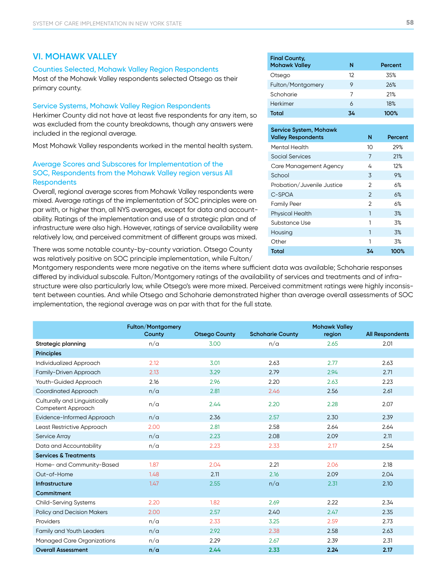#### **VI. MOHAWK VALLEY**

#### Counties Selected, Mohawk Valley Region Respondents

Most of the Mohawk Valley respondents selected Otsego as their primary county.

#### Service Systems, Mohawk Valley Region Respondents

Herkimer County did not have at least five respondents for any item, so was excluded from the county breakdowns, though any answers were included in the regional average.

Most Mohawk Valley respondents worked in the mental health system.

#### Average Scores and Subscores for Implementation of the SOC, Respondents from the Mohawk Valley region versus All **Respondents**

Overall, regional average scores from Mohawk Valley respondents were mixed. Average ratings of the implementation of SOC principles were on par with, or higher than, all NYS averages, except for data and accountability. Ratings of the implementation and use of a strategic plan and of infrastructure were also high. However, ratings of service availability were relatively low, and perceived commitment of different groups was mixed.

There was some notable county-by-county variation. Otsego County was relatively positive on SOC principle implementation, while Fulton/

Montgomery respondents were more negative on the items where sufficient data was available; Schoharie responses differed by individual subscale. Fulton/Montgomery ratings of the availability of services and treatments and of infrastructure were also particularly low, while Otsego's were more mixed. Perceived commitment ratings were highly inconsistent between counties. And while Otsego and Schoharie demonstrated higher than average overall assessments of SOC implementation, the regional average was on par with that for the full state.

|                                                     | <b>Fulton/Montgomery</b><br>County | <b>Otsego County</b> | <b>Schoharie County</b> | <b>Mohawk Valley</b><br>region | <b>All Respondents</b> |
|-----------------------------------------------------|------------------------------------|----------------------|-------------------------|--------------------------------|------------------------|
| Strategic planning                                  | n/a                                | 3.00                 | n/a                     | 2.65                           | 2.01                   |
| <b>Principles</b>                                   |                                    |                      |                         |                                |                        |
| Individualized Approach                             | 2.12                               | 3.01                 | 2.63                    | 2.77                           | 2.63                   |
| Family-Driven Approach                              | 2.13                               | 3.29                 | 2.79                    | 2.94                           | 2.71                   |
| Youth-Guided Approach                               | 2.16                               | 2.96                 | 2.20                    | 2.63                           | 2.23                   |
| Coordinated Approach                                | n/a                                | 2.81                 | 2.46                    | 2.56                           | 2.61                   |
| Culturally and Linguistically<br>Competent Approach | n/a                                | 2.44                 | 2.20                    | 2.28                           | 2.07                   |
| Evidence-Informed Approach                          | n/a                                | 2.36                 | 2.57                    | 2.30                           | 2.39                   |
| Least Restrictive Approach                          | 2.00                               | 2.81                 | 2.58                    | 2.64                           | 2.64                   |
| <b>Service Array</b>                                | n/a                                | 2.23                 | 2.08                    | 2.09                           | 2.11                   |
| Data and Accountability                             | n/a                                | 2.23                 | 2.33                    | 2.17                           | 2.54                   |
| <b>Services &amp; Treatments</b>                    |                                    |                      |                         |                                |                        |
| Home- and Community-Based                           | 1.87                               | 2.04                 | 2.21                    | 2.06                           | 2.18                   |
| Out-of-Home                                         | 1.48                               | 2.11                 | 2.16                    | 2.09                           | 2.04                   |
| Infrastructure                                      | 1.47                               | 2.55                 | n/a                     | 2.31                           | 2.10                   |
| Commitment                                          |                                    |                      |                         |                                |                        |
| <b>Child-Serving Systems</b>                        | 2.20                               | 1.82                 | 2.69                    | 2.22                           | 2.34                   |
| Policy and Decision Makers                          | 2.00                               | 2.57                 | 2.40                    | 2.47                           | 2.35                   |
| Providers                                           | n/a                                | 2.33                 | 3.25                    | 2.59                           | 2.73                   |
| <b>Family and Youth Leaders</b>                     | n/a                                | 2.92                 | 2.38                    | 2.58                           | 2.63                   |
| <b>Managed Care Organizations</b>                   | n/a                                | 2.29                 | 2.67                    | 2.39                           | 2.31                   |
| <b>Overall Assessment</b>                           | n/a                                | 2.44                 | 2.33                    | 2.24                           | 2.17                   |

| <b>Final County,</b><br><b>Mohawk Valley</b> | N  | Percent |
|----------------------------------------------|----|---------|
| Otsego                                       | 12 | 35%     |
| Fulton/Montgomery                            | 9  | 26%     |
| Schoharie                                    | 7  | 21%     |
| Herkimer                                     | 6  | 18%     |
| Total                                        | 34 | 100%    |

| <b>Service System, Mohawk</b><br><b>Valley Respondents</b> | N              | Percent |
|------------------------------------------------------------|----------------|---------|
| Mental Health                                              | 10             | 29%     |
| Social Services                                            | 7              | 21%     |
| Care Management Agency                                     | 4              | 12%     |
| School                                                     | 3              | 9%      |
| Probation/Juvenile Justice                                 | $\mathfrak{p}$ | 6%      |
| C-SPOA                                                     | 2              | 6%      |
| <b>Family Peer</b>                                         | 2              | 6%      |
| <b>Physical Health</b>                                     | 1              | 3%      |
| Substance Use                                              | 1              | .3%     |
| Housing                                                    | 1              | 3%      |
| Other                                                      | 1              | 3%      |
| Total                                                      | 34             | 100%    |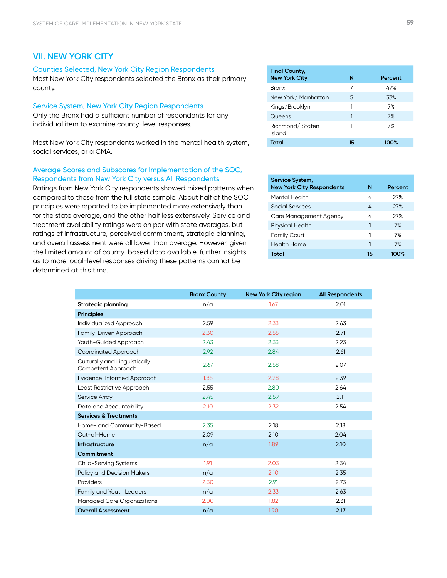#### **VII. NEW YORK CITY**

#### Counties Selected, New York City Region Respondents

Most New York City respondents selected the Bronx as their primary county.

#### Service System, New York City Region Respondents

Only the Bronx had a sufficient number of respondents for any individual item to examine county-level responses.

Most New York City respondents worked in the mental health system, social services, or a CMA.

#### Average Scores and Subscores for Implementation of the SOC, Respondents from New York City versus All Respondents

Ratings from New York City respondents showed mixed patterns when compared to those from the full state sample. About half of the SOC principles were reported to be implemented more extensively than for the state average, and the other half less extensively. Service and treatment availability ratings were on par with state averages, but ratings of infrastructure, perceived commitment, strategic planning, and overall assessment were all lower than average. However, given the limited amount of county-based data available, further insights as to more local-level responses driving these patterns cannot be determined at this time.

| <b>Final County,</b><br><b>New York City</b> | N  | Percent |
|----------------------------------------------|----|---------|
| <b>Bronx</b>                                 | 7  | 47%     |
| New York/Manhattan                           | 5  | 33%     |
| Kings/Brooklyn                               | 1  | 7%      |
| Queens                                       | 1  | 7%      |
| Richmond/Staten<br>Island                    | 1  | 7%      |
| Total                                        | 15 | 100%    |

| Service System,<br><b>New York City Respondents</b> | N  | Percent |
|-----------------------------------------------------|----|---------|
| Mental Health                                       | 4  | 27%     |
| Social Services                                     | 4  | 27%     |
| <b>Care Management Agency</b>                       | 4  | 27%     |
| <b>Physical Health</b>                              | 1  | 7%      |
| <b>Family Court</b>                                 | 1  | 7%      |
| Health Home                                         | 1  | 7%      |
| Total                                               | 15 | 100%    |

|                                                     | <b>Bronx County</b> | <b>New York City region</b> | <b>All Respondents</b> |
|-----------------------------------------------------|---------------------|-----------------------------|------------------------|
| Strategic planning                                  | n/a                 | 1.67                        | 2.01                   |
| <b>Principles</b>                                   |                     |                             |                        |
| Individualized Approach                             | 2.59                | 2.33                        | 2.63                   |
| Family-Driven Approach                              | 2.30                | 2.55                        | 2.71                   |
| Youth-Guided Approach                               | 2.43                | 2.33                        | 2.23                   |
| Coordinated Approach                                | 2.92                | 2.84                        | 2.61                   |
| Culturally and Linguistically<br>Competent Approach | 2.67                | 2.58                        | 2.07                   |
| Evidence-Informed Approach                          | 1.85                | 2.28                        | 2.39                   |
| Least Restrictive Approach                          | 2.55                | 2.80                        | 2.64                   |
| Service Array                                       | 2.45                | 2.59                        | 2.11                   |
| Data and Accountability                             | 2.10                | 2.32                        | 2.54                   |
| <b>Services &amp; Treatments</b>                    |                     |                             |                        |
| Home- and Community-Based                           | 2.35                | 2.18                        | 2.18                   |
| Out-of-Home                                         | 2.09                | 2.10                        | 2.04                   |
| <b>Infrastructure</b>                               | n/a                 | 1.89                        | 2.10                   |
| Commitment                                          |                     |                             |                        |
| <b>Child-Serving Systems</b>                        | 1.91                | 2.03                        | 2.34                   |
| <b>Policy and Decision Makers</b>                   | n/a                 | 2.10                        | 2.35                   |
| Providers                                           | 2.30                | 2.91                        | 2.73                   |
| <b>Family and Youth Leaders</b>                     | n/a                 | 2.33                        | 2.63                   |
| <b>Managed Care Organizations</b>                   | 2.00                | 1.82                        | 2.31                   |
| <b>Overall Assessment</b>                           | n/a                 | 1.90                        | 2.17                   |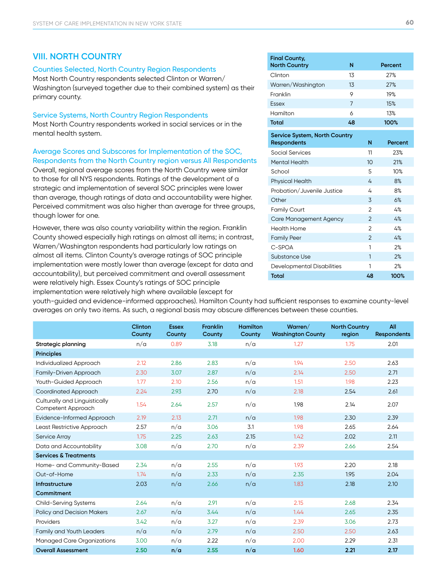#### **VIII. NORTH COUNTRY**

#### Counties Selected, North Country Region Respondents

Most North Country respondents selected Clinton or Warren/ Washington (surveyed together due to their combined system) as their primary county.

#### Service Systems, North Country Region Respondents

Most North Country respondents worked in social services or in the mental health system.

#### Average Scores and Subscores for Implementation of the SOC, Respondents from the North Country region versus All Respondents

Overall, regional average scores from the North Country were similar to those for all NYS respondents. Ratings of the development of a strategic and implementation of several SOC principles were lower than average, though ratings of data and accountability were higher. Perceived commitment was also higher than average for three groups, though lower for one.

However, there was also county variability within the region. Franklin County showed especially high ratings on almost all items; in contrast, Warren/Washington respondents had particularly low ratings on almost all items. Clinton County's average ratings of SOC principle implementation were mostly lower than average (except for data and accountability), but perceived commitment and overall assessment were relatively high. Essex County's ratings of SOC principle implementation were relatively high where available (except for

| <b>Final County,</b><br><b>North Country</b>        | N  |                | Percent |
|-----------------------------------------------------|----|----------------|---------|
| Clinton                                             | 13 |                | 27%     |
| Warren/Washington                                   | 13 |                | 27%     |
| Franklin                                            | 9  |                | 19%     |
| Essex                                               | 7  |                | 15%     |
| Hamilton                                            | 6  |                | 13%     |
| <b>Total</b>                                        | 48 |                | 100%    |
| Service System, North Country<br><b>Respondents</b> |    | N              | Percent |
| <b>Social Services</b>                              |    | 11             | 23%     |
| <b>Mental Health</b>                                |    | 10             | 21%     |
| School                                              |    | 5              | 10%     |
| <b>Physical Health</b>                              |    | 4              | 8%      |
| Probation/Juvenile Justice                          |    | 4              | 8%      |
| Other                                               |    | 3              | 6%      |
| <b>Family Court</b>                                 |    | $\mathfrak{p}$ | 4%      |
| Care Management Agency                              |    | $\overline{2}$ | 4%      |
| <b>Health Home</b>                                  |    | 2              | 4%      |
| <b>Family Peer</b>                                  |    | $\mathfrak{D}$ | 4%      |
| C-SPOA                                              |    | 1              | 2%      |
| Substance Use                                       |    | 1              | 2%      |
| Developmental Disabilities                          |    | 1              | 2%      |
| Total                                               |    | 48             | 100%    |

youth-guided and evidence-informed approaches). Hamilton County had sufficient responses to examine county-level averages on only two items. As such, a regional basis may obscure differences between these counties.

|                                                     | <b>Clinton</b><br>County | <b>Essex</b><br>County | <b>Franklin</b><br>County | <b>Hamilton</b><br>County | Warren/<br><b>Washington County</b> | <b>North Country</b><br>region | All<br><b>Respondents</b> |
|-----------------------------------------------------|--------------------------|------------------------|---------------------------|---------------------------|-------------------------------------|--------------------------------|---------------------------|
| Strategic planning                                  | n/a                      | 0.89                   | 3.18                      | n/a                       | 1.27                                | 1.75                           | 2.01                      |
| Principles                                          |                          |                        |                           |                           |                                     |                                |                           |
| Individualized Approach                             | 2.12                     | 2.86                   | 2.83                      | n/a                       | 1.94                                | 2.50                           | 2.63                      |
| Family-Driven Approach                              | 2.30                     | 3.07                   | 2.87                      | n/a                       | 2.14                                | 2.50                           | 2.71                      |
| Youth-Guided Approach                               | 1.77                     | 2.10                   | 2.56                      | n/a                       | 1.51                                | 1.98                           | 2.23                      |
| <b>Coordinated Approach</b>                         | 2.24                     | 2.93                   | 2.70                      | n/a                       | 2.18                                | 2.54                           | 2.61                      |
| Culturally and Linguistically<br>Competent Approach | 1.54                     | 2.64                   | 2.57                      | n/a                       | 1.98                                | 2.14                           | 2.07                      |
| Evidence-Informed Approach                          | 2.19                     | 2.13                   | 2.71                      | n/a                       | 1.98                                | 2.30                           | 2.39                      |
| Least Restrictive Approach                          | 2.57                     | n/a                    | 3.06                      | 3.1                       | 1.98                                | 2.65                           | 2.64                      |
| Service Array                                       | 1.75                     | 2.25                   | 2.63                      | 2.15                      | 1.42                                | 2.02                           | 2.11                      |
| Data and Accountability                             | 3.08                     | n/a                    | 2.70                      | n/a                       | 2.39                                | 2.66                           | 2.54                      |
| <b>Services &amp; Treatments</b>                    |                          |                        |                           |                           |                                     |                                |                           |
| Home- and Community-Based                           | 2.34                     | n/a                    | 2.55                      | n/a                       | 1.93                                | 2.20                           | 2.18                      |
| Out-of-Home                                         | 1.74                     | n/a                    | 2.33                      | n/a                       | 2.35                                | 1.95                           | 2.04                      |
| Infrastructure                                      | 2.03                     | n/a                    | 2.66                      | n/a                       | 1.83                                | 2.18                           | 2.10                      |
| Commitment                                          |                          |                        |                           |                           |                                     |                                |                           |
| <b>Child-Serving Systems</b>                        | 2.64                     | n/a                    | 2.91                      | n/a                       | 2.15                                | 2.68                           | 2.34                      |
| <b>Policy and Decision Makers</b>                   | 2.67                     | n/a                    | 3.44                      | n/a                       | 1.44                                | 2.65                           | 2.35                      |
| Providers                                           | 3.42                     | n/a                    | 3.27                      | n/a                       | 2.39                                | 3.06                           | 2.73                      |
| <b>Family and Youth Leaders</b>                     | n/a                      | n/a                    | 2.79                      | n/a                       | 2.50                                | 2.50                           | 2.63                      |
| <b>Managed Care Organizations</b>                   | 3.00                     | n/a                    | 2.22                      | n/a                       | 2.00                                | 2.29                           | 2.31                      |
| <b>Overall Assessment</b>                           | 2.50                     | n/a                    | 2.55                      | n/a                       | 1.60                                | 2.21                           | 2.17                      |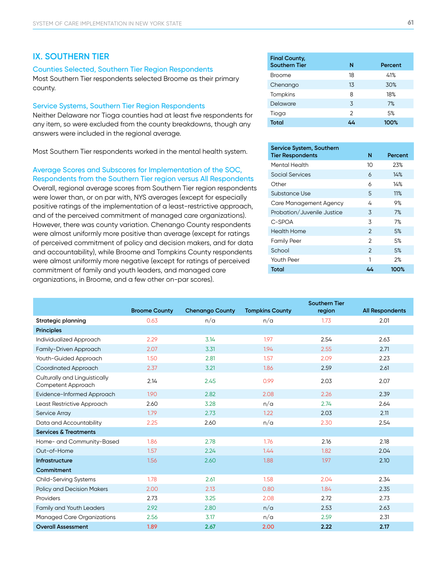#### **IX. SOUTHERN TIER**

#### Counties Selected, Southern Tier Region Respondents

Most Southern Tier respondents selected Broome as their primary county.

#### Service Systems, Southern Tier Region Respondents

Neither Delaware nor Tioga counties had at least five respondents for any item, so were excluded from the county breakdowns, though any answers were included in the regional average.

Most Southern Tier respondents worked in the mental health system.

#### Average Scores and Subscores for Implementation of the SOC,

Respondents from the Southern Tier region versus All Respondents Overall, regional average scores from Southern Tier region respondents were lower than, or on par with, NYS averages (except for especially positive ratings of the implementation of a least-restrictive approach, and of the perceived commitment of managed care organizations). However, there was county variation. Chenango County respondents were almost uniformly more positive than average (except for ratings of perceived commitment of policy and decision makers, and for data and accountability), while Broome and Tompkins County respondents were almost uniformly more negative (except for ratings of perceived commitment of family and youth leaders, and managed care organizations, in Broome, and a few other on-par scores).

| <b>Final County,</b><br><b>Southern Tier</b> | N             | Percent |
|----------------------------------------------|---------------|---------|
| <b>Broome</b>                                | 18            | 41%     |
| Chenango                                     | 13            | 30%     |
| <b>Tompkins</b>                              | 8             | 18%     |
| Delaware                                     | 3             | 7%      |
| Tioga                                        | $\mathcal{P}$ | 5%      |
| <b>Total</b>                                 | 44            | 100%    |

| Service System, Southern<br><b>Tier Respondents</b> | N              | Percent |
|-----------------------------------------------------|----------------|---------|
| Mental Health                                       | 10             | 23%     |
| Social Services                                     | 6              | 14%     |
| Other                                               | 6              | 14%     |
| Substance Use                                       | 5              | 11%     |
| Care Management Agency                              | 4              | 9%      |
| Probation/Juvenile Justice                          | 3              | 7%      |
| C-SPOA                                              | 3              | 7%      |
| <b>Health Home</b>                                  | $\mathcal{P}$  | 5%      |
| <b>Family Peer</b>                                  | $\mathfrak{D}$ | .5%     |
| School                                              | $\mathfrak{D}$ | 5%      |
| Youth Peer                                          | 1              | 2%      |
| Total                                               | 44             | 100%    |

|                                                     |                      |                        |                        | <b>Southern Tier</b> |                        |
|-----------------------------------------------------|----------------------|------------------------|------------------------|----------------------|------------------------|
|                                                     | <b>Broome County</b> | <b>Chenango County</b> | <b>Tompkins County</b> | region               | <b>All Respondents</b> |
| Strategic planning                                  | 0.63                 | n/a                    | n/a                    | 1.73                 | 2.01                   |
| <b>Principles</b>                                   |                      |                        |                        |                      |                        |
| Individualized Approach                             | 2.29                 | 3.14                   | 1.97                   | 2.54                 | 2.63                   |
| Family-Driven Approach                              | 2.07                 | 3.31                   | 1.94                   | 2.55                 | 2.71                   |
| Youth-Guided Approach                               | 1.50                 | 2.81                   | 1.57                   | 2.09                 | 2.23                   |
| Coordinated Approach                                | 2.37                 | 3.21                   | 1.86                   | 2.59                 | 2.61                   |
| Culturally and Linguistically<br>Competent Approach | 2.14                 | 2.45                   | 0.99                   | 2.03                 | 2.07                   |
| Evidence-Informed Approach                          | 1.90                 | 2.82                   | 2.08                   | 2.26                 | 2.39                   |
| Least Restrictive Approach                          | 2.60                 | 3.28                   | n/a                    | 2.74                 | 2.64                   |
| Service Array                                       | 1.79                 | 2.73                   | 1.22                   | 2.03                 | 2.11                   |
| Data and Accountability                             | 2.25                 | 2.60                   | n/a                    | 2.30                 | 2.54                   |
| <b>Services &amp; Treatments</b>                    |                      |                        |                        |                      |                        |
| Home- and Community-Based                           | 1.86                 | 2.78                   | 1.76                   | 2.16                 | 2.18                   |
| Out-of-Home                                         | 1.57                 | 2.24                   | 1.44                   | 1.82                 | 2.04                   |
| Infrastructure                                      | 1.56                 | 2.60                   | 1.88                   | 1.97                 | 2.10                   |
| Commitment                                          |                      |                        |                        |                      |                        |
| Child-Serving Systems                               | 1.78                 | 2.61                   | 1.58                   | 2.04                 | 2.34                   |
| <b>Policy and Decision Makers</b>                   | 2.00                 | 2.13                   | 0.80                   | 1.84                 | 2.35                   |
| Providers                                           | 2.73                 | 3.25                   | 2.08                   | 2.72                 | 2.73                   |
| <b>Family and Youth Leaders</b>                     | 2.92                 | 2.80                   | n/a                    | 2.53                 | 2.63                   |
| <b>Managed Care Organizations</b>                   | 2.56                 | 3.17                   | n/a                    | 2.59                 | 2.31                   |
| <b>Overall Assessment</b>                           | 1.89                 | 2.67                   | 2.00                   | 2.22                 | 2.17                   |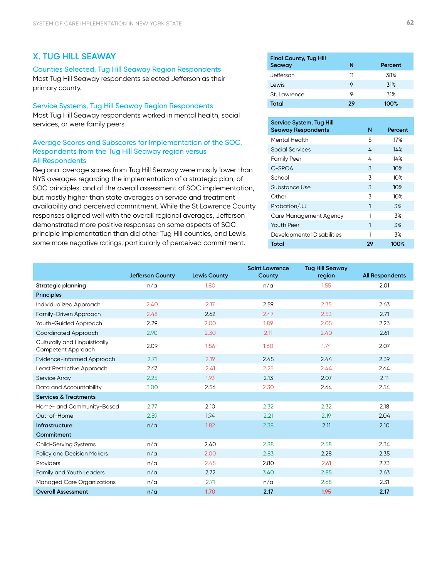#### **X. TUG HILL SEAWAY**

#### Counties Selected, Tug Hill Seaway Region Respondents

Most Tug Hill Seaway respondents selected Jefferson as their primary county.

#### Service Systems, Tug Hill Seaway Region Respondents

Most Tug Hill Seaway respondents worked in mental health, social services, or were family peers.

#### Average Scores and Subscores for Implementation of the SOC, Respondents from the Tug Hill Seaway region versus All Respondents

Regional average scores from Tug Hill Seaway were mostly lower than NYS averages regarding the implementation of a strategic plan, of SOC principles, and of the overall assessment of SOC implementation, but mostly higher than state averages on service and treatment availability and perceived commitment. While the St Lawrence County responses aligned well with the overall regional averages, Jefferson demonstrated more positive responses on some aspects of SOC principle implementation than did other Tug Hill counties, and Lewis some more negative ratings, particularly of perceived commitment.

| <b>Final County, Tug Hill</b> |    |         |
|-------------------------------|----|---------|
| Seaway                        | N  | Percent |
| Jefferson                     | 11 | 38%     |
| Lewis                         | 9  | 31%     |
| St. Lawrence                  | 9  | .31%    |
| Total                         | 29 | 100%    |

| Service System, Tug Hill<br><b>Seaway Respondents</b> | N  | Percent |
|-------------------------------------------------------|----|---------|
| Mental Health                                         | 5  | 17%     |
| Social Services                                       | 4  | 14%     |
| <b>Family Peer</b>                                    | 4  | 14%     |
| C-SPOA                                                | 3  | 10%     |
| School                                                | 3  | 10%     |
| Substance Use                                         | 3  | 10%     |
| Other                                                 | 3  | 10%     |
| Probation/JJ                                          | 1  | 3%      |
| Care Management Agency                                | 1  | .3%     |
| Youth Peer                                            | 1  | 3%      |
| Developmental Disabilities                            | 1  | 3%      |
| Total                                                 | 29 | 100%    |

|                                                     | <b>Jefferson County</b> | <b>Lewis County</b> | <b>Saint Lawrence</b><br>County | <b>Tug Hill Seaway</b><br>region | <b>All Respondents</b> |
|-----------------------------------------------------|-------------------------|---------------------|---------------------------------|----------------------------------|------------------------|
| Strategic planning                                  | n/a                     | 1.80                | n/a                             | 1.55                             | 2.01                   |
| <b>Principles</b>                                   |                         |                     |                                 |                                  |                        |
| Individualized Approach                             | 2.40                    | 2.17                | 2.59                            | 2.35                             | 2.63                   |
| Family-Driven Approach                              | 2.48                    | 2.62                | 2.47                            | 2.53                             | 2.71                   |
| Youth-Guided Approach                               | 2.29                    | 2.00                | 1.89                            | 2.05                             | 2.23                   |
| Coordinated Approach                                | 2.90                    | 2.30                | 2.11                            | 2.40                             | 2.61                   |
| Culturally and Linguistically<br>Competent Approach | 2.09                    | 1.56                | 1.60                            | 1.74                             | 2.07                   |
| Evidence-Informed Approach                          | 2.71                    | 2.19                | 2.45                            | 2.44                             | 2.39                   |
| Least Restrictive Approach                          | 2.67                    | 2.41                | 2.25                            | 2.44                             | 2.64                   |
| Service Array                                       | 2.25                    | 1.93                | 2.13                            | 2.07                             | 2.11                   |
| Data and Accountability                             | 3.00                    | 2.56                | 2.30                            | 2.64                             | 2.54                   |
| <b>Services &amp; Treatments</b>                    |                         |                     |                                 |                                  |                        |
| Home- and Community-Based                           | 2.77                    | 2.10                | 2.32                            | 2.32                             | 2.18                   |
| Out-of-Home                                         | 2.59                    | 1.94                | 2.21                            | 2.19                             | 2.04                   |
| Infrastructure                                      | n/a                     | 1.82                | 2.38                            | 2.11                             | 2.10                   |
| Commitment                                          |                         |                     |                                 |                                  |                        |
| <b>Child-Serving Systems</b>                        | n/a                     | 2.40                | 2.88                            | 2.58                             | 2.34                   |
| <b>Policy and Decision Makers</b>                   | n/a                     | 2.00                | 2.83                            | 2.28                             | 2.35                   |
| Providers                                           | n/a                     | 2.45                | 2.80                            | 2.61                             | 2.73                   |
| <b>Family and Youth Leaders</b>                     | n/a                     | 2.72                | 3.40                            | 2.85                             | 2.63                   |
| <b>Managed Care Organizations</b>                   | n/a                     | 2.71                | n/a                             | 2.68                             | 2.31                   |
| <b>Overall Assessment</b>                           | n/a                     | 1.70                | 2.17                            | 1.95                             | 2.17                   |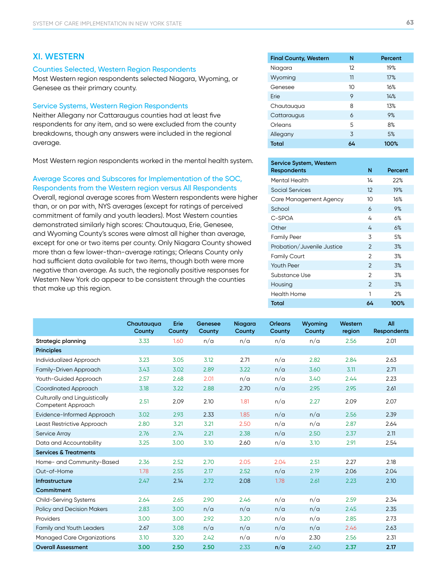#### **XI. WESTERN**

#### Counties Selected, Western Region Respondents

Most Western region respondents selected Niagara, Wyoming, or Genesee as their primary county.

#### Service Systems, Western Region Respondents

Neither Allegany nor Cattaraugus counties had at least five respondents for any item, and so were excluded from the county breakdowns, though any answers were included in the regional average.

Most Western region respondents worked in the mental health system.

#### Average Scores and Subscores for Implementation of the SOC, Respondents from the Western region versus All Respondents

Overall, regional average scores from Western respondents were higher than, or on par with, NYS averages (except for ratings of perceived commitment of family and youth leaders). Most Western counties demonstrated similarly high scores: Chautauqua, Erie, Genesee, and Wyoming County's scores were almost all higher than average, except for one or two items per county. Only Niagara County showed more than a few lower-than-average ratings; Orleans County only had sufficient data available for two items, though both were more negative than average. As such, the regionally positive responses for Western New York do appear to be consistent through the counties that make up this region.

| <b>Final County, Western</b> | N  | Percent |
|------------------------------|----|---------|
| Niagara                      | 12 | 19%     |
| Wyoming                      | 11 | 17%     |
| Genesee                      | 10 | 16%     |
| Erie                         | 9  | 14%     |
| Chautauqua                   | 8  | 13%     |
| Cattaraugus                  | 6  | 9%      |
| Orleans                      | 5  | 8%      |
| Allegany                     | 3  | 5%      |
| Total                        | 64 | 100%    |

| Service System, Western<br><b>Respondents</b> | N              | Percent |
|-----------------------------------------------|----------------|---------|
| Mental Health                                 | 14             | 22%     |
| Social Services                               | 12             | 19%     |
| Care Management Agency                        | 10             | 16%     |
| School                                        | 6              | 9%      |
| C-SPOA                                        | 4              | 6%      |
| Other                                         | 4              | 6%      |
| <b>Family Peer</b>                            | 3              | 5%      |
| Probation/Juvenile Justice                    | $\mathfrak{D}$ | 3%      |
| <b>Family Court</b>                           | $\overline{2}$ | 3%      |
| <b>Youth Peer</b>                             | $\mathfrak{D}$ | 3%      |
| Substance Use                                 | $\mathfrak{D}$ | 3%      |
| Housing                                       | $\mathfrak{D}$ | 3%      |
| Health Home                                   | 1              | 2%      |
| Total                                         | 64             | 100%    |

|                                                     | Chautauqua<br>County | Erie<br>County | Genesee<br>County | Niagara<br>County | <b>Orleans</b><br>County | Wyoming<br>County | Western<br>region | All<br><b>Respondents</b> |
|-----------------------------------------------------|----------------------|----------------|-------------------|-------------------|--------------------------|-------------------|-------------------|---------------------------|
| Strategic planning                                  | 3.33                 | 1.60           | n/a               | n/a               | n/a                      | n/a               | 2.56              | 2.01                      |
| Principles                                          |                      |                |                   |                   |                          |                   |                   |                           |
| Individualized Approach                             | 3.23                 | 3.05           | 3.12              | 2.71              | n/a                      | 2.82              | 2.84              | 2.63                      |
| Family-Driven Approach                              | 3.43                 | 3.02           | 2.89              | 3.22              | n/a                      | 3.60              | 3.11              | 2.71                      |
| Youth-Guided Approach                               | 2.57                 | 2.68           | 2.01              | n/a               | n/a                      | 3.40              | 2.44              | 2.23                      |
| Coordinated Approach                                | 3.18                 | 3.22           | 2.88              | 2.70              | n/a                      | 2.95              | 2.95              | 2.61                      |
| Culturally and Linguistically<br>Competent Approach | 2.51                 | 2.09           | 2.10              | 1.81              | n/a                      | 2.27              | 2.09              | 2.07                      |
| Evidence-Informed Approach                          | 3.02                 | 2.93           | 2.33              | 1.85              | n/a                      | n/a               | 2.56              | 2.39                      |
| Least Restrictive Approach                          | 2.80                 | 3.21           | 3.21              | 2.50              | n/a                      | n/a               | 2.87              | 2.64                      |
| Service Array                                       | 2.76                 | 2.74           | 2.21              | 2.38              | n/a                      | 2.50              | 2.37              | 2.11                      |
| Data and Accountability                             | 3.25                 | 3.00           | 3.10              | 2.60              | n/a                      | 3.10              | 2.91              | 2.54                      |
| <b>Services &amp; Treatments</b>                    |                      |                |                   |                   |                          |                   |                   |                           |
| Home- and Community-Based                           | 2.36                 | 2.52           | 2.70              | 2.05              | 2.04                     | 2.51              | 2.27              | 2.18                      |
| Out-of-Home                                         | 1.78                 | 2.55           | 2.17              | 2.52              | n/a                      | 2.19              | 2.06              | 2.04                      |
| Infrastructure                                      | 2.47                 | 2.14           | 2.72              | 2.08              | 1.78                     | 2.61              | 2.23              | 2.10                      |
| Commitment                                          |                      |                |                   |                   |                          |                   |                   |                           |
| Child-Serving Systems                               | 2.64                 | 2.65           | 2.90              | 2.46              | n/a                      | n/a               | 2.59              | 2.34                      |
| <b>Policy and Decision Makers</b>                   | 2.83                 | 3.00           | n/a               | n/a               | n/a                      | n/a               | 2.45              | 2.35                      |
| Providers                                           | 3.00                 | 3.00           | 2.92              | 3.20              | n/a                      | n/a               | 2.85              | 2.73                      |
| <b>Family and Youth Leaders</b>                     | 2.67                 | 3.08           | n/a               | n/a               | n/a                      | n/a               | 2.46              | 2.63                      |
| <b>Managed Care Organizations</b>                   | 3.10                 | 3.20           | 2.42              | n/a               | n/a                      | 2.30              | 2.56              | 2.31                      |
| <b>Overall Assessment</b>                           | 3.00                 | 2.50           | 2.50              | 2.33              | n/a                      | 2.40              | 2.37              | 2.17                      |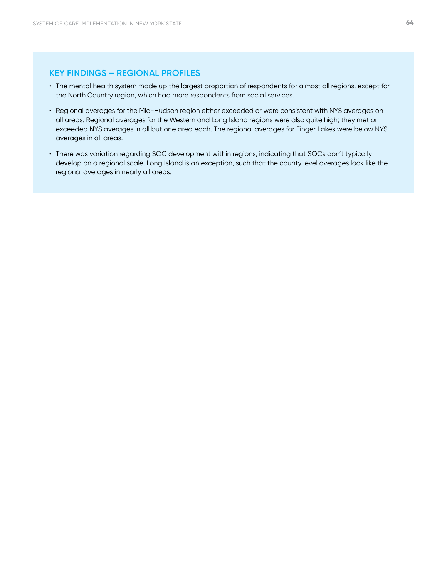#### **KEY FINDINGS – REGIONAL PROFILES**

- The mental health system made up the largest proportion of respondents for almost all regions, except for the North Country region, which had more respondents from social services.
- Regional averages for the Mid-Hudson region either exceeded or were consistent with NYS averages on all areas. Regional averages for the Western and Long Island regions were also quite high; they met or exceeded NYS averages in all but one area each. The regional averages for Finger Lakes were below NYS averages in all areas.
- There was variation regarding SOC development within regions, indicating that SOCs don't typically develop on a regional scale. Long Island is an exception, such that the county level averages look like the regional averages in nearly all areas.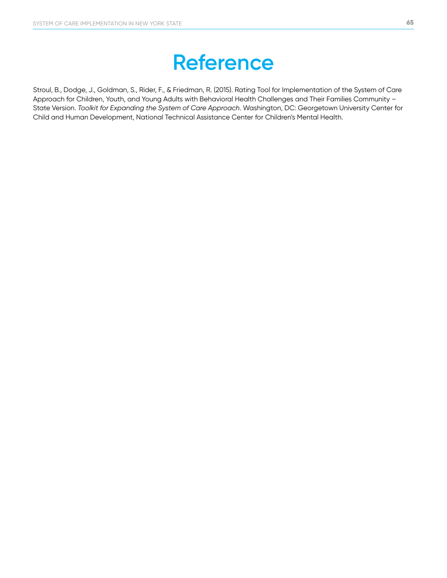## **Reference**

Stroul, B., Dodge, J., Goldman, S., Rider, F., & Friedman, R. (2015). Rating Tool for Implementation of the System of Care Approach for Children, Youth, and Young Adults with Behavioral Health Challenges and Their Families Community – State Version. *Toolkit for Expanding the System of Care Approach*. Washington, DC: Georgetown University Center for Child and Human Development, National Technical Assistance Center for Children's Mental Health.